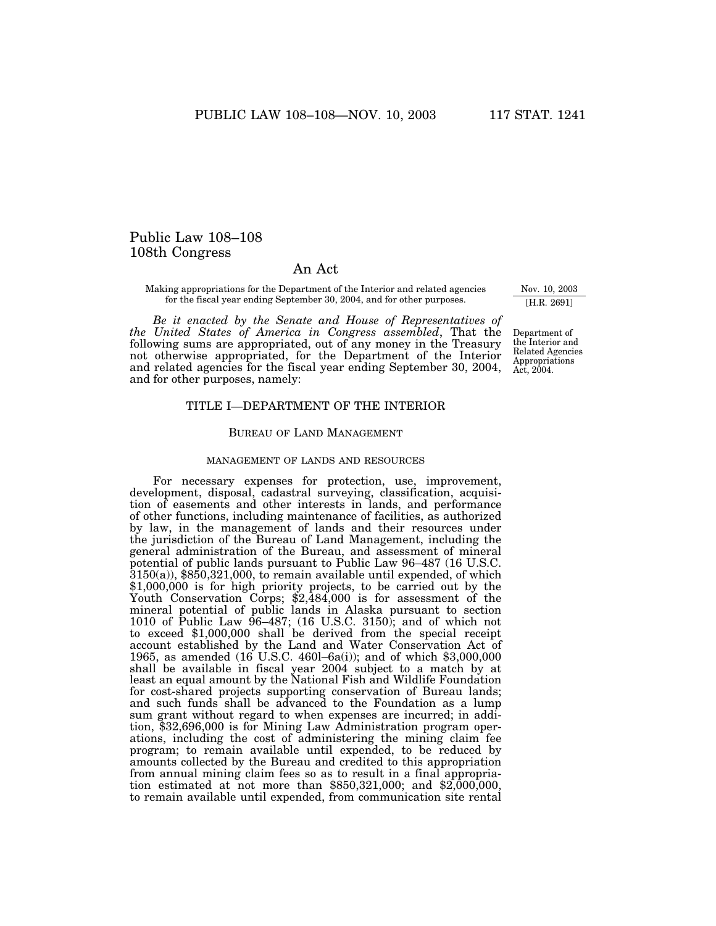# Public Law 108–108 108th Congress

# An Act

Making appropriations for the Department of the Interior and related agencies for the fiscal year ending September 30, 2004, and for other purposes.

*Be it enacted by the Senate and House of Representatives of the United States of America in Congress assembled*, That the following sums are appropriated, out of any money in the Treasury not otherwise appropriated, for the Department of the Interior and related agencies for the fiscal year ending September 30, 2004, and for other purposes, namely:

# TITLE I—DEPARTMENT OF THE INTERIOR

# BUREAU OF LAND MANAGEMENT

### MANAGEMENT OF LANDS AND RESOURCES

For necessary expenses for protection, use, improvement, development, disposal, cadastral surveying, classification, acquisition of easements and other interests in lands, and performance of other functions, including maintenance of facilities, as authorized by law, in the management of lands and their resources under the jurisdiction of the Bureau of Land Management, including the general administration of the Bureau, and assessment of mineral potential of public lands pursuant to Public Law 96–487 (16 U.S.C.  $3150(a)$ , \$850,321,000, to remain available until expended, of which \$1,000,000 is for high priority projects, to be carried out by the Youth Conservation Corps; \$2,484,000 is for assessment of the mineral potential of public lands in Alaska pursuant to section 1010 of Public Law 96–487; (16 U.S.C. 3150); and of which not to exceed \$1,000,000 shall be derived from the special receipt account established by the Land and Water Conservation Act of 1965, as amended (16 U.S.C. 460l–6a(i)); and of which \$3,000,000 shall be available in fiscal year 2004 subject to a match by at least an equal amount by the National Fish and Wildlife Foundation for cost-shared projects supporting conservation of Bureau lands; and such funds shall be advanced to the Foundation as a lump sum grant without regard to when expenses are incurred; in addition, \$32,696,000 is for Mining Law Administration program operations, including the cost of administering the mining claim fee program; to remain available until expended, to be reduced by amounts collected by the Bureau and credited to this appropriation from annual mining claim fees so as to result in a final appropriation estimated at not more than \$850,321,000; and \$2,000,000, to remain available until expended, from communication site rental

Nov. 10, 2003 [H.R. 2691]

Department of the Interior and Related Agencies Appropriations Act, 2004.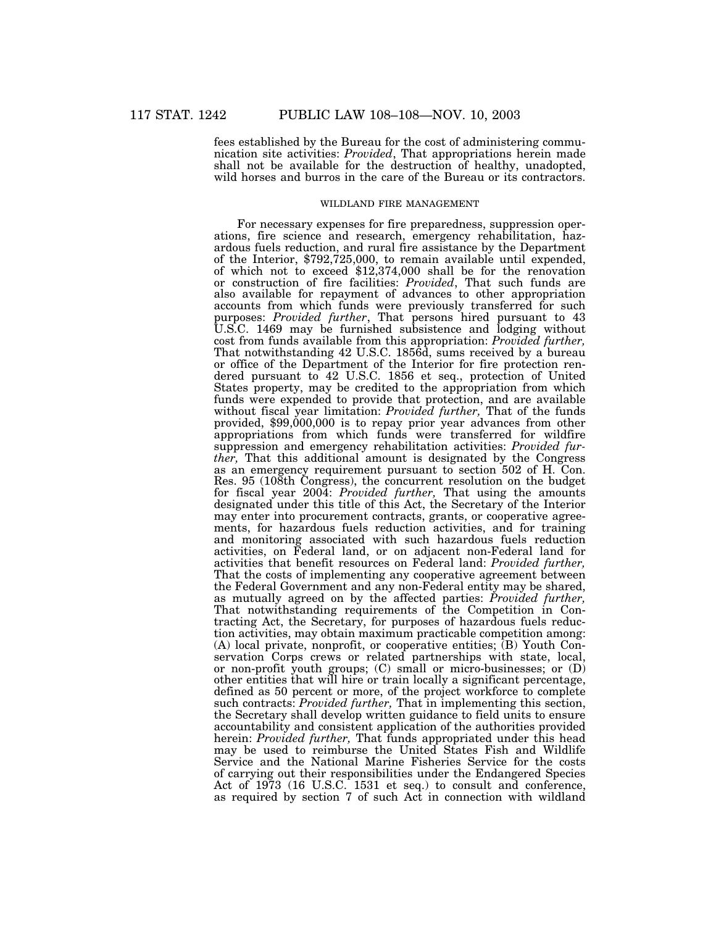fees established by the Bureau for the cost of administering communication site activities: *Provided*, That appropriations herein made shall not be available for the destruction of healthy, unadopted, wild horses and burros in the care of the Bureau or its contractors.

#### WILDLAND FIRE MANAGEMENT

For necessary expenses for fire preparedness, suppression operations, fire science and research, emergency rehabilitation, hazardous fuels reduction, and rural fire assistance by the Department of the Interior, \$792,725,000, to remain available until expended, of which not to exceed \$12,374,000 shall be for the renovation or construction of fire facilities: *Provided*, That such funds are also available for repayment of advances to other appropriation accounts from which funds were previously transferred for such purposes: *Provided further*, That persons hired pursuant to 43 U.S.C. 1469 may be furnished subsistence and lodging without cost from funds available from this appropriation: *Provided further,* That notwithstanding 42 U.S.C. 1856d, sums received by a bureau or office of the Department of the Interior for fire protection rendered pursuant to 42 U.S.C. 1856 et seq., protection of United States property, may be credited to the appropriation from which funds were expended to provide that protection, and are available without fiscal year limitation: *Provided further,* That of the funds provided, \$99,000,000 is to repay prior year advances from other appropriations from which funds were transferred for wildfire suppression and emergency rehabilitation activities: *Provided further,* That this additional amount is designated by the Congress as an emergency requirement pursuant to section 502 of H. Con. Res. 95 (108th Congress), the concurrent resolution on the budget for fiscal year 2004: *Provided further,* That using the amounts designated under this title of this Act, the Secretary of the Interior may enter into procurement contracts, grants, or cooperative agreements, for hazardous fuels reduction activities, and for training and monitoring associated with such hazardous fuels reduction activities, on Federal land, or on adjacent non-Federal land for activities that benefit resources on Federal land: *Provided further,* That the costs of implementing any cooperative agreement between the Federal Government and any non-Federal entity may be shared, as mutually agreed on by the affected parties: *Provided further,* That notwithstanding requirements of the Competition in Contracting Act, the Secretary, for purposes of hazardous fuels reduction activities, may obtain maximum practicable competition among: (A) local private, nonprofit, or cooperative entities; (B) Youth Conservation Corps crews or related partnerships with state, local, or non-profit youth groups; (C) small or micro-businesses; or (D) other entities that will hire or train locally a significant percentage, defined as 50 percent or more, of the project workforce to complete such contracts: *Provided further,* That in implementing this section, the Secretary shall develop written guidance to field units to ensure accountability and consistent application of the authorities provided herein: *Provided further*, That funds appropriated under this head may be used to reimburse the United States Fish and Wildlife Service and the National Marine Fisheries Service for the costs of carrying out their responsibilities under the Endangered Species Act of 1973 (16 U.S.C. 1531 et seq.) to consult and conference, as required by section 7 of such Act in connection with wildland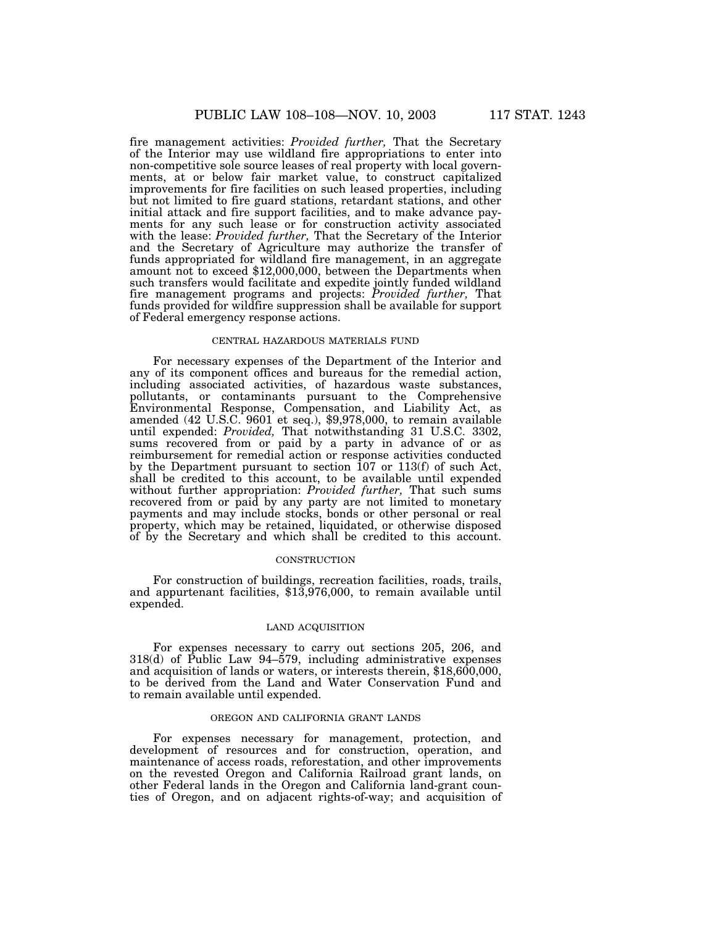fire management activities: *Provided further,* That the Secretary of the Interior may use wildland fire appropriations to enter into non-competitive sole source leases of real property with local governments, at or below fair market value, to construct capitalized improvements for fire facilities on such leased properties, including but not limited to fire guard stations, retardant stations, and other initial attack and fire support facilities, and to make advance payments for any such lease or for construction activity associated with the lease: *Provided further,* That the Secretary of the Interior and the Secretary of Agriculture may authorize the transfer of funds appropriated for wildland fire management, in an aggregate amount not to exceed \$12,000,000, between the Departments when such transfers would facilitate and expedite jointly funded wildland fire management programs and projects: *Provided further,* That funds provided for wildfire suppression shall be available for support of Federal emergency response actions.

### CENTRAL HAZARDOUS MATERIALS FUND

For necessary expenses of the Department of the Interior and any of its component offices and bureaus for the remedial action, including associated activities, of hazardous waste substances, pollutants, or contaminants pursuant to the Comprehensive Environmental Response, Compensation, and Liability Act, as amended (42 U.S.C. 9601 et seq.), \$9,978,000, to remain available until expended: *Provided,* That notwithstanding 31 U.S.C. 3302, sums recovered from or paid by a party in advance of or as reimbursement for remedial action or response activities conducted by the Department pursuant to section 107 or 113(f) of such Act, shall be credited to this account, to be available until expended without further appropriation: *Provided further,* That such sums recovered from or paid by any party are not limited to monetary payments and may include stocks, bonds or other personal or real property, which may be retained, liquidated, or otherwise disposed of by the Secretary and which shall be credited to this account.

#### **CONSTRUCTION**

For construction of buildings, recreation facilities, roads, trails, and appurtenant facilities, \$13,976,000, to remain available until expended.

#### LAND ACQUISITION

For expenses necessary to carry out sections 205, 206, and 318(d) of Public Law 94–579, including administrative expenses and acquisition of lands or waters, or interests therein, \$18,600,000, to be derived from the Land and Water Conservation Fund and to remain available until expended.

#### OREGON AND CALIFORNIA GRANT LANDS

For expenses necessary for management, protection, and development of resources and for construction, operation, and maintenance of access roads, reforestation, and other improvements on the revested Oregon and California Railroad grant lands, on other Federal lands in the Oregon and California land-grant counties of Oregon, and on adjacent rights-of-way; and acquisition of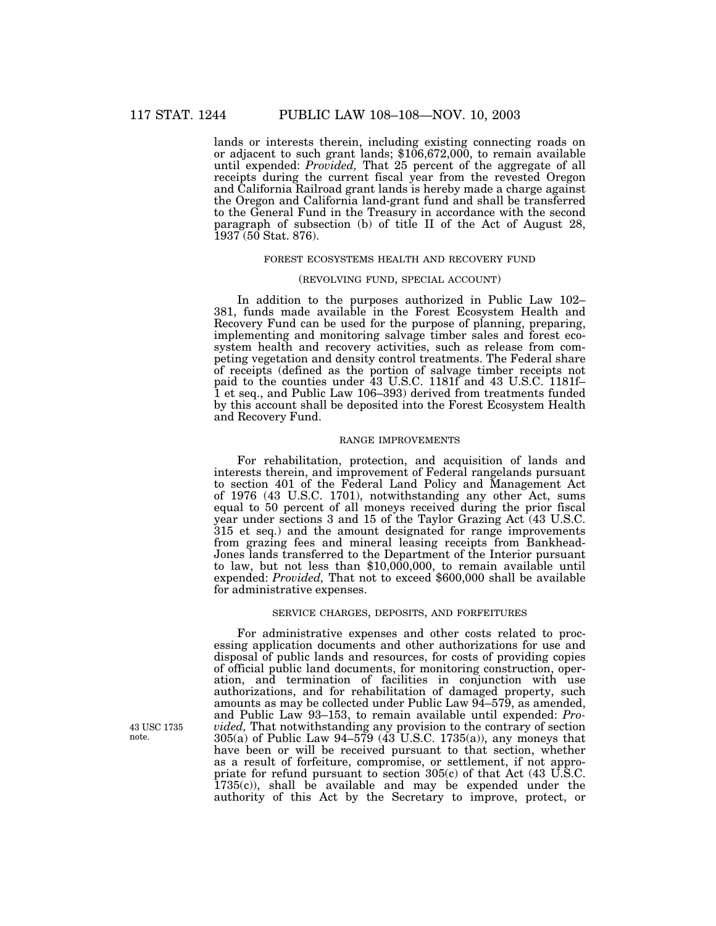lands or interests therein, including existing connecting roads on or adjacent to such grant lands; \$106,672,000, to remain available until expended: *Provided,* That 25 percent of the aggregate of all receipts during the current fiscal year from the revested Oregon and California Railroad grant lands is hereby made a charge against the Oregon and California land-grant fund and shall be transferred to the General Fund in the Treasury in accordance with the second paragraph of subsection (b) of title II of the Act of August 28, 1937 (50 Stat. 876).

#### FOREST ECOSYSTEMS HEALTH AND RECOVERY FUND

#### (REVOLVING FUND, SPECIAL ACCOUNT)

In addition to the purposes authorized in Public Law 102– 381, funds made available in the Forest Ecosystem Health and Recovery Fund can be used for the purpose of planning, preparing, implementing and monitoring salvage timber sales and forest ecosystem health and recovery activities, such as release from competing vegetation and density control treatments. The Federal share of receipts (defined as the portion of salvage timber receipts not paid to the counties under 43 U.S.C. 1181f and 43 U.S.C. 1181f– 1 et seq., and Public Law 106–393) derived from treatments funded by this account shall be deposited into the Forest Ecosystem Health and Recovery Fund.

# RANGE IMPROVEMENTS

For rehabilitation, protection, and acquisition of lands and interests therein, and improvement of Federal rangelands pursuant to section 401 of the Federal Land Policy and Management Act of 1976 (43 U.S.C. 1701), notwithstanding any other Act, sums equal to 50 percent of all moneys received during the prior fiscal year under sections 3 and 15 of the Taylor Grazing Act (43 U.S.C. 315 et seq.) and the amount designated for range improvements from grazing fees and mineral leasing receipts from Bankhead-Jones lands transferred to the Department of the Interior pursuant to law, but not less than \$10,000,000, to remain available until expended: *Provided,* That not to exceed \$600,000 shall be available for administrative expenses.

### SERVICE CHARGES, DEPOSITS, AND FORFEITURES

For administrative expenses and other costs related to processing application documents and other authorizations for use and disposal of public lands and resources, for costs of providing copies of official public land documents, for monitoring construction, operation, and termination of facilities in conjunction with use authorizations, and for rehabilitation of damaged property, such amounts as may be collected under Public Law 94–579, as amended, and Public Law 93–153, to remain available until expended: *Provided,* That notwithstanding any provision to the contrary of section  $305(a)$  of Public Law 94–579 (43 U.S.C. 1735(a)), any moneys that have been or will be received pursuant to that section, whether as a result of forfeiture, compromise, or settlement, if not appropriate for refund pursuant to section 305(c) of that Act (43 U.S.C. 1735(c)), shall be available and may be expended under the authority of this Act by the Secretary to improve, protect, or

43 USC 1735 note.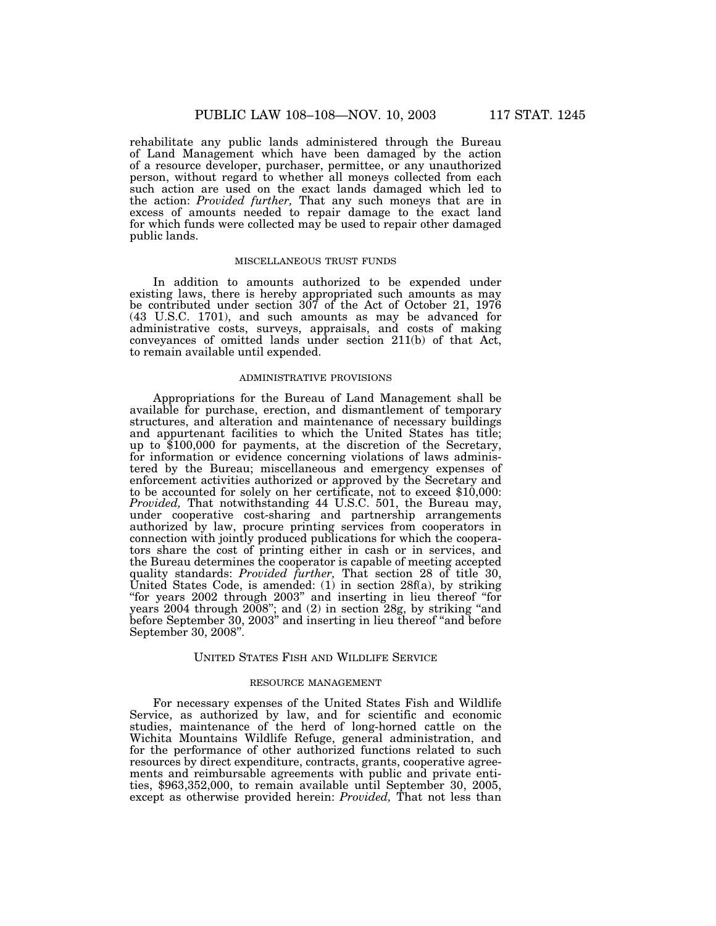rehabilitate any public lands administered through the Bureau of Land Management which have been damaged by the action of a resource developer, purchaser, permittee, or any unauthorized person, without regard to whether all moneys collected from each such action are used on the exact lands damaged which led to the action: *Provided further,* That any such moneys that are in excess of amounts needed to repair damage to the exact land for which funds were collected may be used to repair other damaged public lands.

#### MISCELLANEOUS TRUST FUNDS

In addition to amounts authorized to be expended under existing laws, there is hereby appropriated such amounts as may be contributed under section 307 of the Act of October 21, 1976 (43 U.S.C. 1701), and such amounts as may be advanced for administrative costs, surveys, appraisals, and costs of making conveyances of omitted lands under section 211(b) of that Act, to remain available until expended.

### ADMINISTRATIVE PROVISIONS

Appropriations for the Bureau of Land Management shall be available for purchase, erection, and dismantlement of temporary structures, and alteration and maintenance of necessary buildings and appurtenant facilities to which the United States has title; up to \$100,000 for payments, at the discretion of the Secretary, for information or evidence concerning violations of laws administered by the Bureau; miscellaneous and emergency expenses of enforcement activities authorized or approved by the Secretary and to be accounted for solely on her certificate, not to exceed \$10,000: *Provided,* That notwithstanding 44 U.S.C. 501, the Bureau may, under cooperative cost-sharing and partnership arrangements authorized by law, procure printing services from cooperators in connection with jointly produced publications for which the cooperators share the cost of printing either in cash or in services, and the Bureau determines the cooperator is capable of meeting accepted quality standards: *Provided further,* That section 28 of title 30, United States Code, is amended: (1) in section 28f(a), by striking ''for years 2002 through 2003'' and inserting in lieu thereof ''for years 2004 through 2008''; and (2) in section 28g, by striking ''and before September 30, 2003'' and inserting in lieu thereof ''and before September 30, 2008''.

## UNITED STATES FISH AND WILDLIFE SERVICE

# RESOURCE MANAGEMENT

For necessary expenses of the United States Fish and Wildlife Service, as authorized by law, and for scientific and economic studies, maintenance of the herd of long-horned cattle on the Wichita Mountains Wildlife Refuge, general administration, and for the performance of other authorized functions related to such resources by direct expenditure, contracts, grants, cooperative agreements and reimbursable agreements with public and private entities, \$963,352,000, to remain available until September 30, 2005, except as otherwise provided herein: *Provided,* That not less than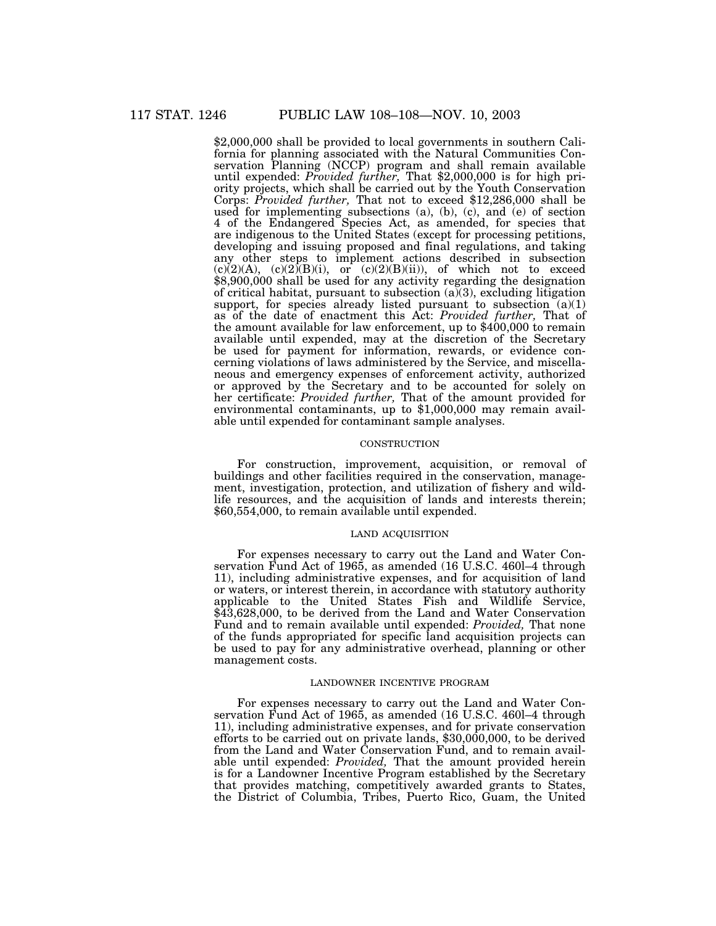\$2,000,000 shall be provided to local governments in southern California for planning associated with the Natural Communities Conservation Planning (NCCP) program and shall remain available until expended: *Provided further,* That \$2,000,000 is for high priority projects, which shall be carried out by the Youth Conservation Corps: *Provided further,* That not to exceed \$12,286,000 shall be used for implementing subsections (a), (b), (c), and (e) of section 4 of the Endangered Species Act, as amended, for species that are indigenous to the United States (except for processing petitions, developing and issuing proposed and final regulations, and taking any other steps to implement actions described in subsection  $(c)(2)(A)$ ,  $(c)(2)(B)(i)$ , or  $(c)(2)(B)(ii)$ , of which not to exceed \$8,900,000 shall be used for any activity regarding the designation of critical habitat, pursuant to subsection  $(a)(3)$ , excluding litigation support, for species already listed pursuant to subsection  $(a)(1)$ as of the date of enactment this Act: *Provided further,* That of the amount available for law enforcement, up to \$400,000 to remain available until expended, may at the discretion of the Secretary be used for payment for information, rewards, or evidence concerning violations of laws administered by the Service, and miscellaneous and emergency expenses of enforcement activity, authorized or approved by the Secretary and to be accounted for solely on her certificate: *Provided further,* That of the amount provided for environmental contaminants, up to \$1,000,000 may remain available until expended for contaminant sample analyses.

### **CONSTRUCTION**

For construction, improvement, acquisition, or removal of buildings and other facilities required in the conservation, management, investigation, protection, and utilization of fishery and wildlife resources, and the acquisition of lands and interests therein; \$60,554,000, to remain available until expended.

# LAND ACQUISITION

For expenses necessary to carry out the Land and Water Conservation Fund Act of 1965, as amended (16 U.S.C. 460l–4 through 11), including administrative expenses, and for acquisition of land or waters, or interest therein, in accordance with statutory authority applicable to the United States Fish and Wildlife Service, \$43,628,000, to be derived from the Land and Water Conservation Fund and to remain available until expended: *Provided,* That none of the funds appropriated for specific land acquisition projects can be used to pay for any administrative overhead, planning or other management costs.

### LANDOWNER INCENTIVE PROGRAM

For expenses necessary to carry out the Land and Water Conservation Fund Act of 1965, as amended (16 U.S.C. 460l–4 through 11), including administrative expenses, and for private conservation efforts to be carried out on private lands, \$30,000,000, to be derived from the Land and Water Conservation Fund, and to remain available until expended: *Provided,* That the amount provided herein is for a Landowner Incentive Program established by the Secretary that provides matching, competitively awarded grants to States, the District of Columbia, Tribes, Puerto Rico, Guam, the United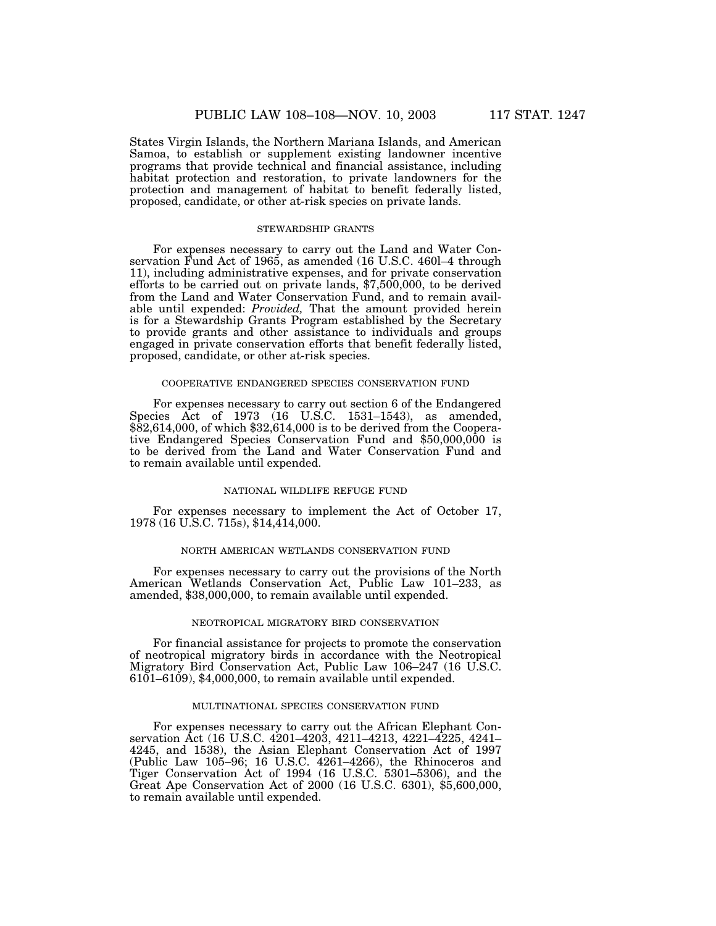States Virgin Islands, the Northern Mariana Islands, and American Samoa, to establish or supplement existing landowner incentive programs that provide technical and financial assistance, including habitat protection and restoration, to private landowners for the protection and management of habitat to benefit federally listed, proposed, candidate, or other at-risk species on private lands.

#### STEWARDSHIP GRANTS

For expenses necessary to carry out the Land and Water Conservation Fund Act of 1965, as amended (16 U.S.C. 460l–4 through 11), including administrative expenses, and for private conservation efforts to be carried out on private lands, \$7,500,000, to be derived from the Land and Water Conservation Fund, and to remain available until expended: *Provided,* That the amount provided herein is for a Stewardship Grants Program established by the Secretary to provide grants and other assistance to individuals and groups engaged in private conservation efforts that benefit federally listed, proposed, candidate, or other at-risk species.

## COOPERATIVE ENDANGERED SPECIES CONSERVATION FUND

For expenses necessary to carry out section 6 of the Endangered Species Act of 1973 (16 U.S.C. 1531–1543), as amended,  $\frac{$2,614,000,66}{1}$  which  $\frac{$2,614,000}{1}$  is to be derived from the Cooperative Endangered Species Conservation Fund and \$50,000,000 is to be derived from the Land and Water Conservation Fund and to remain available until expended.

### NATIONAL WILDLIFE REFUGE FUND

For expenses necessary to implement the Act of October 17, 1978 (16 U.S.C. 715s), \$14,414,000.

### NORTH AMERICAN WETLANDS CONSERVATION FUND

For expenses necessary to carry out the provisions of the North American Wetlands Conservation Act, Public Law 101–233, as amended, \$38,000,000, to remain available until expended.

### NEOTROPICAL MIGRATORY BIRD CONSERVATION

For financial assistance for projects to promote the conservation of neotropical migratory birds in accordance with the Neotropical Migratory Bird Conservation Act, Public Law 106–247 (16 U.S.C.  $6101-6109$ , \$4,000,000, to remain available until expended.

### MULTINATIONAL SPECIES CONSERVATION FUND

For expenses necessary to carry out the African Elephant Conservation Act (16 U.S.C. 4201–4203, 4211–4213, 4221–4225, 4241– 4245, and 1538), the Asian Elephant Conservation Act of 1997 (Public Law 105–96; 16 U.S.C. 4261–4266), the Rhinoceros and Tiger Conservation Act of 1994 (16 U.S.C. 5301–5306), and the Great Ape Conservation Act of 2000 (16 U.S.C. 6301), \$5,600,000, to remain available until expended.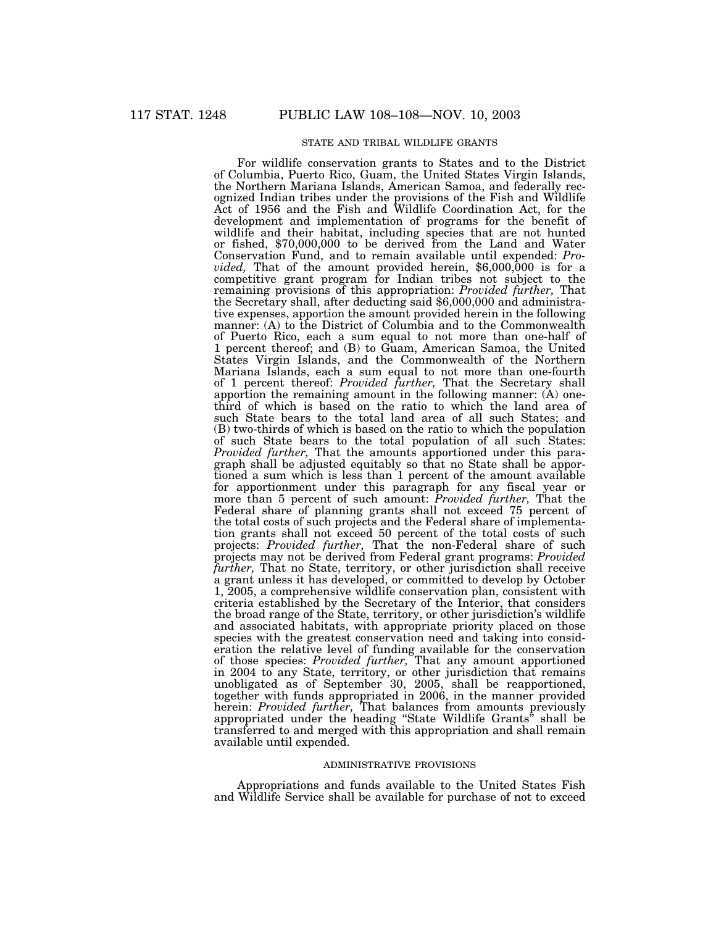# STATE AND TRIBAL WILDLIFE GRANTS

For wildlife conservation grants to States and to the District of Columbia, Puerto Rico, Guam, the United States Virgin Islands, the Northern Mariana Islands, American Samoa, and federally recognized Indian tribes under the provisions of the Fish and Wildlife Act of 1956 and the Fish and Wildlife Coordination Act, for the development and implementation of programs for the benefit of wildlife and their habitat, including species that are not hunted or fished, \$70,000,000 to be derived from the Land and Water Conservation Fund, and to remain available until expended: *Provided,* That of the amount provided herein, \$6,000,000 is for a competitive grant program for Indian tribes not subject to the remaining provisions of this appropriation: *Provided further,* That the Secretary shall, after deducting said \$6,000,000 and administrative expenses, apportion the amount provided herein in the following manner: (A) to the District of Columbia and to the Commonwealth of Puerto Rico, each a sum equal to not more than one-half of 1 percent thereof; and (B) to Guam, American Samoa, the United States Virgin Islands, and the Commonwealth of the Northern Mariana Islands, each a sum equal to not more than one-fourth of 1 percent thereof: *Provided further,* That the Secretary shall apportion the remaining amount in the following manner: (A) onethird of which is based on the ratio to which the land area of such State bears to the total land area of all such States; and (B) two-thirds of which is based on the ratio to which the population of such State bears to the total population of all such States: *Provided further,* That the amounts apportioned under this paragraph shall be adjusted equitably so that no State shall be apportioned a sum which is less than 1 percent of the amount available for apportionment under this paragraph for any fiscal year or more than 5 percent of such amount: *Provided further,* That the Federal share of planning grants shall not exceed 75 percent of the total costs of such projects and the Federal share of implementation grants shall not exceed 50 percent of the total costs of such projects: *Provided further,* That the non-Federal share of such projects may not be derived from Federal grant programs: *Provided further,* That no State, territory, or other jurisdiction shall receive a grant unless it has developed, or committed to develop by October 1, 2005, a comprehensive wildlife conservation plan, consistent with criteria established by the Secretary of the Interior, that considers the broad range of the State, territory, or other jurisdiction's wildlife and associated habitats, with appropriate priority placed on those species with the greatest conservation need and taking into consideration the relative level of funding available for the conservation of those species: *Provided further,* That any amount apportioned in 2004 to any State, territory, or other jurisdiction that remains unobligated as of September 30, 2005, shall be reapportioned, together with funds appropriated in 2006, in the manner provided herein: *Provided further,* That balances from amounts previously appropriated under the heading ''State Wildlife Grants'' shall be transferred to and merged with this appropriation and shall remain available until expended.

### ADMINISTRATIVE PROVISIONS

Appropriations and funds available to the United States Fish and Wildlife Service shall be available for purchase of not to exceed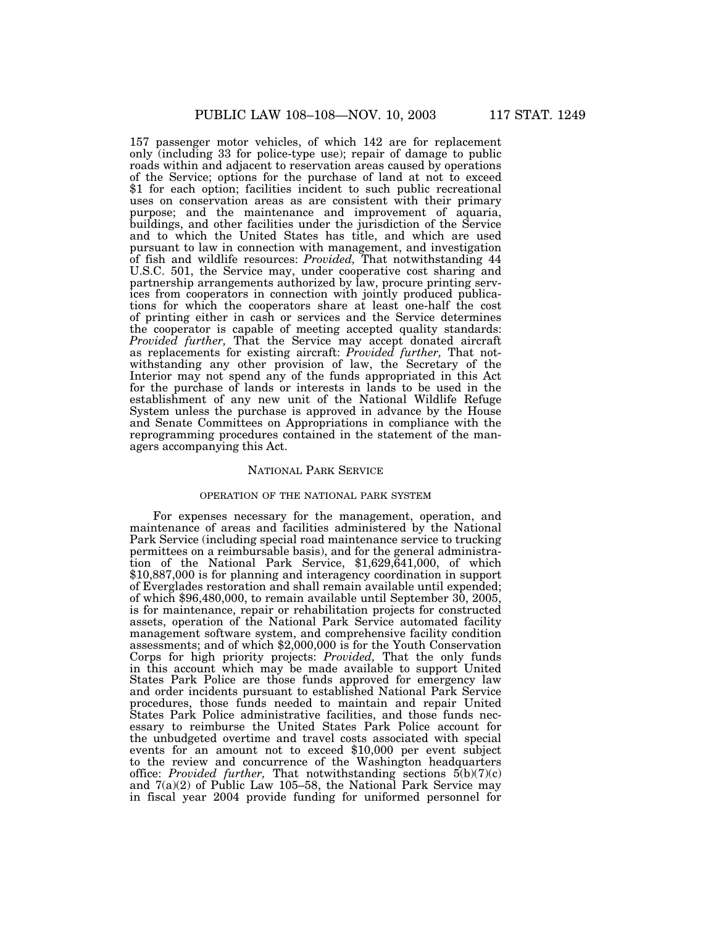157 passenger motor vehicles, of which 142 are for replacement only (including 33 for police-type use); repair of damage to public roads within and adjacent to reservation areas caused by operations of the Service; options for the purchase of land at not to exceed \$1 for each option; facilities incident to such public recreational uses on conservation areas as are consistent with their primary purpose; and the maintenance and improvement of aquaria, buildings, and other facilities under the jurisdiction of the Service and to which the United States has title, and which are used pursuant to law in connection with management, and investigation of fish and wildlife resources: *Provided,* That notwithstanding 44 U.S.C. 501, the Service may, under cooperative cost sharing and partnership arrangements authorized by law, procure printing services from cooperators in connection with jointly produced publications for which the cooperators share at least one-half the cost of printing either in cash or services and the Service determines the cooperator is capable of meeting accepted quality standards: *Provided further,* That the Service may accept donated aircraft as replacements for existing aircraft: *Provided further,* That notwithstanding any other provision of law, the Secretary of the Interior may not spend any of the funds appropriated in this Act for the purchase of lands or interests in lands to be used in the establishment of any new unit of the National Wildlife Refuge System unless the purchase is approved in advance by the House and Senate Committees on Appropriations in compliance with the reprogramming procedures contained in the statement of the managers accompanying this Act.

#### NATIONAL PARK SERVICE

# OPERATION OF THE NATIONAL PARK SYSTEM

For expenses necessary for the management, operation, and maintenance of areas and facilities administered by the National Park Service (including special road maintenance service to trucking permittees on a reimbursable basis), and for the general administration of the National Park Service, \$1,629,641,000, of which \$10,887,000 is for planning and interagency coordination in support of Everglades restoration and shall remain available until expended; of which \$96,480,000, to remain available until September 30, 2005, is for maintenance, repair or rehabilitation projects for constructed assets, operation of the National Park Service automated facility management software system, and comprehensive facility condition assessments; and of which \$2,000,000 is for the Youth Conservation Corps for high priority projects: *Provided,* That the only funds in this account which may be made available to support United States Park Police are those funds approved for emergency law and order incidents pursuant to established National Park Service procedures, those funds needed to maintain and repair United States Park Police administrative facilities, and those funds necessary to reimburse the United States Park Police account for the unbudgeted overtime and travel costs associated with special events for an amount not to exceed \$10,000 per event subject to the review and concurrence of the Washington headquarters office: *Provided further,* That notwithstanding sections 5(b)(7)(c) and 7(a)(2) of Public Law 105–58, the National Park Service may in fiscal year 2004 provide funding for uniformed personnel for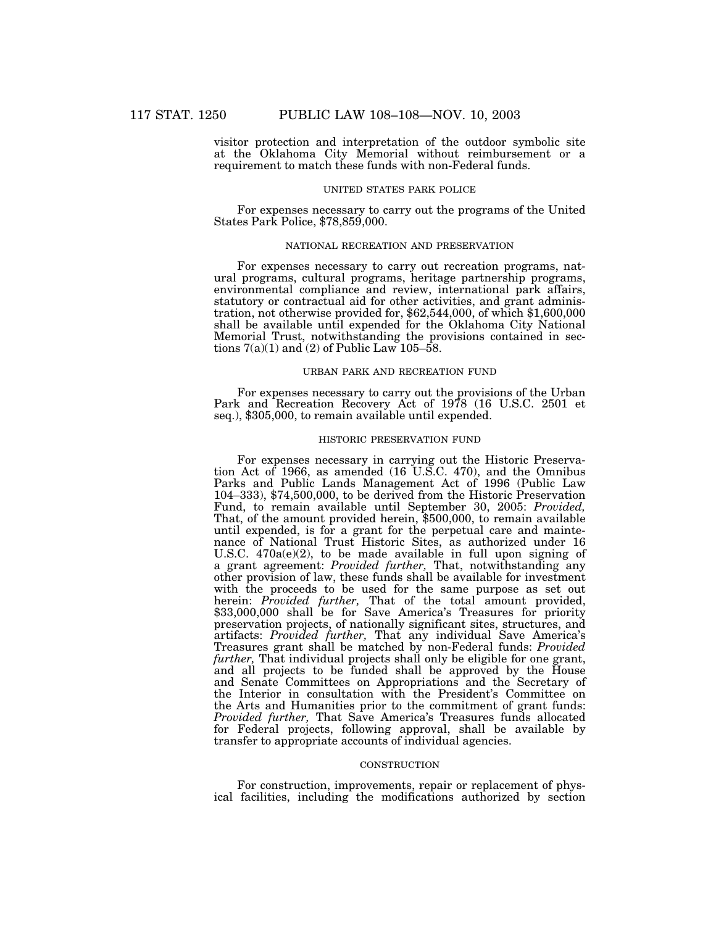visitor protection and interpretation of the outdoor symbolic site at the Oklahoma City Memorial without reimbursement or a requirement to match these funds with non-Federal funds.

#### UNITED STATES PARK POLICE

For expenses necessary to carry out the programs of the United States Park Police, \$78,859,000.

# NATIONAL RECREATION AND PRESERVATION

For expenses necessary to carry out recreation programs, natural programs, cultural programs, heritage partnership programs, environmental compliance and review, international park affairs, statutory or contractual aid for other activities, and grant administration, not otherwise provided for, \$62,544,000, of which \$1,600,000 shall be available until expended for the Oklahoma City National Memorial Trust, notwithstanding the provisions contained in sections  $7(a)(1)$  and  $(2)$  of Public Law 105–58.

# URBAN PARK AND RECREATION FUND

For expenses necessary to carry out the provisions of the Urban Park and Recreation Recovery Act of 1978 (16 U.S.C. 2501 et seq.), \$305,000, to remain available until expended.

### HISTORIC PRESERVATION FUND

For expenses necessary in carrying out the Historic Preservation Act of 1966, as amended (16 U.S.C. 470), and the Omnibus Parks and Public Lands Management Act of 1996 (Public Law 104–333), \$74,500,000, to be derived from the Historic Preservation Fund, to remain available until September 30, 2005: *Provided,* That, of the amount provided herein, \$500,000, to remain available until expended, is for a grant for the perpetual care and maintenance of National Trust Historic Sites, as authorized under 16 U.S.C. 470a(e)(2), to be made available in full upon signing of a grant agreement: *Provided further,* That, notwithstanding any other provision of law, these funds shall be available for investment with the proceeds to be used for the same purpose as set out herein: *Provided further,* That of the total amount provided, \$33,000,000 shall be for Save America's Treasures for priority preservation projects, of nationally significant sites, structures, and artifacts: *Provided further,* That any individual Save America's Treasures grant shall be matched by non-Federal funds: *Provided further,* That individual projects shall only be eligible for one grant, and all projects to be funded shall be approved by the House and Senate Committees on Appropriations and the Secretary of the Interior in consultation with the President's Committee on the Arts and Humanities prior to the commitment of grant funds: *Provided further,* That Save America's Treasures funds allocated for Federal projects, following approval, shall be available by transfer to appropriate accounts of individual agencies.

### **CONSTRUCTION**

For construction, improvements, repair or replacement of physical facilities, including the modifications authorized by section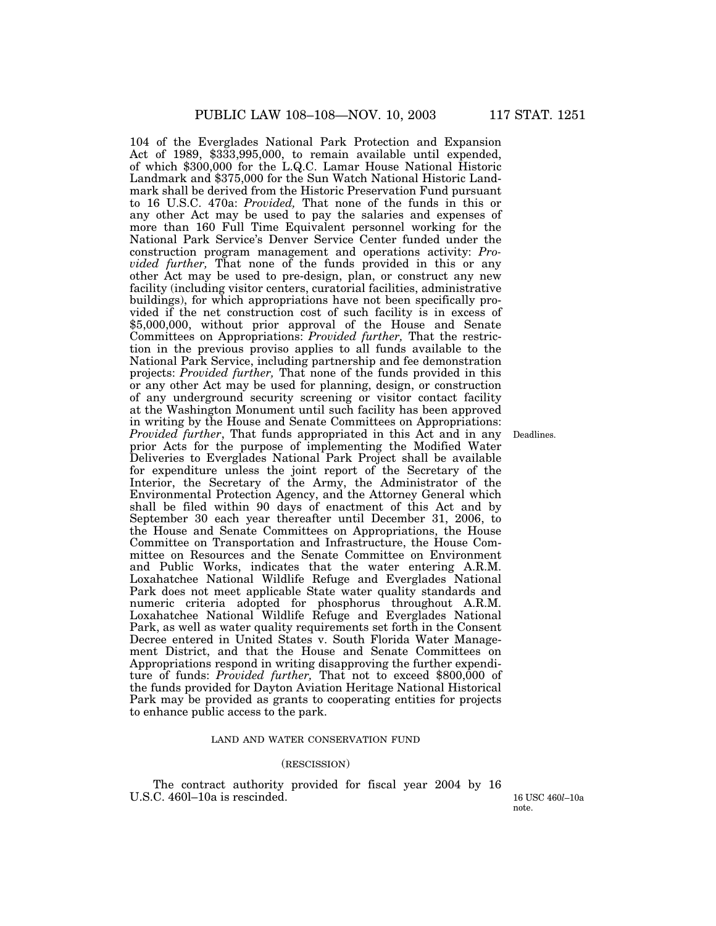104 of the Everglades National Park Protection and Expansion Act of 1989, \$333,995,000, to remain available until expended, of which \$300,000 for the L.Q.C. Lamar House National Historic Landmark and \$375,000 for the Sun Watch National Historic Landmark shall be derived from the Historic Preservation Fund pursuant to 16 U.S.C. 470a: *Provided,* That none of the funds in this or any other Act may be used to pay the salaries and expenses of more than 160 Full Time Equivalent personnel working for the National Park Service's Denver Service Center funded under the construction program management and operations activity: *Provided further,* That none of the funds provided in this or any other Act may be used to pre-design, plan, or construct any new facility (including visitor centers, curatorial facilities, administrative buildings), for which appropriations have not been specifically provided if the net construction cost of such facility is in excess of \$5,000,000, without prior approval of the House and Senate Committees on Appropriations: *Provided further,* That the restriction in the previous proviso applies to all funds available to the National Park Service, including partnership and fee demonstration projects: *Provided further,* That none of the funds provided in this or any other Act may be used for planning, design, or construction of any underground security screening or visitor contact facility at the Washington Monument until such facility has been approved in writing by the House and Senate Committees on Appropriations: *Provided further*, That funds appropriated in this Act and in any prior Acts for the purpose of implementing the Modified Water Deliveries to Everglades National Park Project shall be available for expenditure unless the joint report of the Secretary of the Interior, the Secretary of the Army, the Administrator of the Environmental Protection Agency, and the Attorney General which shall be filed within 90 days of enactment of this Act and by September 30 each year thereafter until December 31, 2006, to the House and Senate Committees on Appropriations, the House Committee on Transportation and Infrastructure, the House Committee on Resources and the Senate Committee on Environment and Public Works, indicates that the water entering A.R.M. Loxahatchee National Wildlife Refuge and Everglades National Park does not meet applicable State water quality standards and numeric criteria adopted for phosphorus throughout A.R.M. Loxahatchee National Wildlife Refuge and Everglades National Park, as well as water quality requirements set forth in the Consent Decree entered in United States v. South Florida Water Management District, and that the House and Senate Committees on Appropriations respond in writing disapproving the further expenditure of funds: *Provided further*, That not to exceed \$800,000 of the funds provided for Dayton Aviation Heritage National Historical Park may be provided as grants to cooperating entities for projects to enhance public access to the park.

# LAND AND WATER CONSERVATION FUND

# (RESCISSION)

The contract authority provided for fiscal year 2004 by 16 U.S.C. 4601–10a is rescinded. 16 USC 460<sup>l</sup>–10a

note.

Deadlines.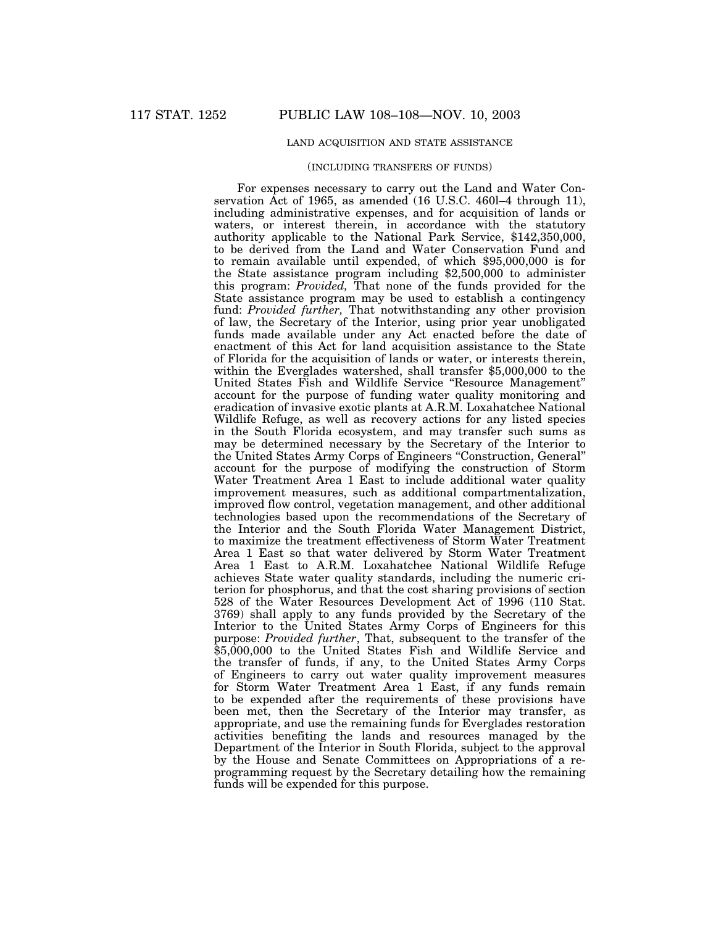# LAND ACQUISITION AND STATE ASSISTANCE

### (INCLUDING TRANSFERS OF FUNDS)

For expenses necessary to carry out the Land and Water Conservation Act of 1965, as amended (16 U.S.C. 460l–4 through 11), including administrative expenses, and for acquisition of lands or waters, or interest therein, in accordance with the statutory authority applicable to the National Park Service, \$142,350,000, to be derived from the Land and Water Conservation Fund and to remain available until expended, of which \$95,000,000 is for the State assistance program including \$2,500,000 to administer this program: *Provided,* That none of the funds provided for the State assistance program may be used to establish a contingency fund: *Provided further,* That notwithstanding any other provision of law, the Secretary of the Interior, using prior year unobligated funds made available under any Act enacted before the date of enactment of this Act for land acquisition assistance to the State of Florida for the acquisition of lands or water, or interests therein, within the Everglades watershed, shall transfer \$5,000,000 to the United States Fish and Wildlife Service "Resource Management" account for the purpose of funding water quality monitoring and eradication of invasive exotic plants at A.R.M. Loxahatchee National Wildlife Refuge, as well as recovery actions for any listed species in the South Florida ecosystem, and may transfer such sums as may be determined necessary by the Secretary of the Interior to the United States Army Corps of Engineers "Construction, General" account for the purpose of modifying the construction of Storm Water Treatment Area 1 East to include additional water quality improvement measures, such as additional compartmentalization, improved flow control, vegetation management, and other additional technologies based upon the recommendations of the Secretary of the Interior and the South Florida Water Management District, to maximize the treatment effectiveness of Storm Water Treatment Area 1 East so that water delivered by Storm Water Treatment Area 1 East to A.R.M. Loxahatchee National Wildlife Refuge achieves State water quality standards, including the numeric criterion for phosphorus, and that the cost sharing provisions of section 528 of the Water Resources Development Act of 1996 (110 Stat. 3769) shall apply to any funds provided by the Secretary of the Interior to the United States Army Corps of Engineers for this purpose: *Provided further*, That, subsequent to the transfer of the \$5,000,000 to the United States Fish and Wildlife Service and the transfer of funds, if any, to the United States Army Corps of Engineers to carry out water quality improvement measures for Storm Water Treatment Area 1 East, if any funds remain to be expended after the requirements of these provisions have been met, then the Secretary of the Interior may transfer, as appropriate, and use the remaining funds for Everglades restoration activities benefiting the lands and resources managed by the Department of the Interior in South Florida, subject to the approval by the House and Senate Committees on Appropriations of a reprogramming request by the Secretary detailing how the remaining funds will be expended for this purpose.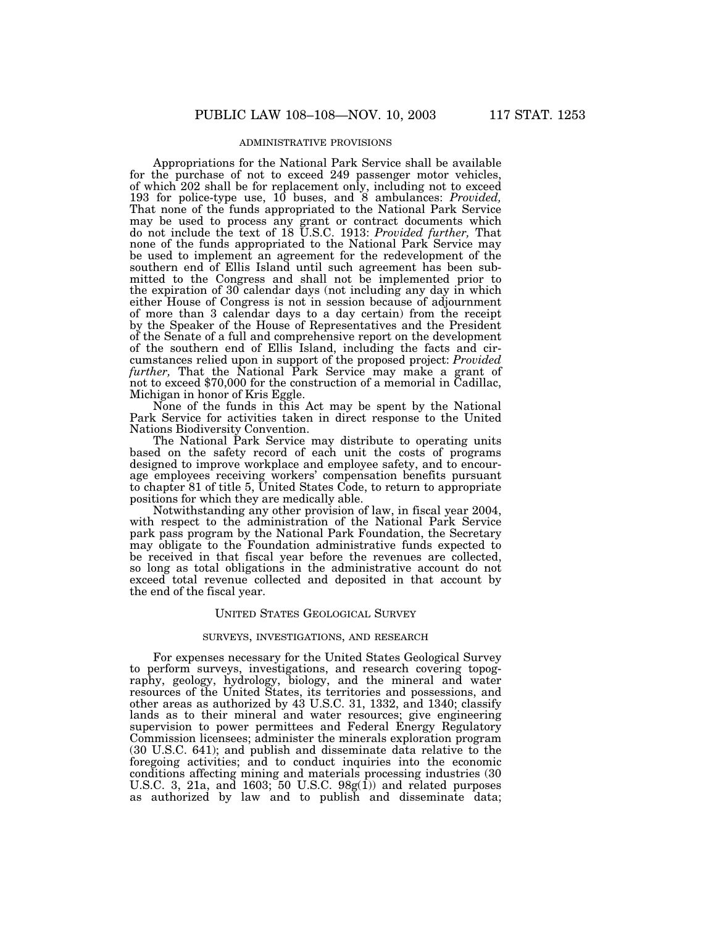# ADMINISTRATIVE PROVISIONS

Appropriations for the National Park Service shall be available for the purchase of not to exceed 249 passenger motor vehicles, of which 202 shall be for replacement only, including not to exceed 193 for police-type use, 10 buses, and 8 ambulances: *Provided,* That none of the funds appropriated to the National Park Service may be used to process any grant or contract documents which do not include the text of 18 U.S.C. 1913: *Provided further,* That none of the funds appropriated to the National Park Service may be used to implement an agreement for the redevelopment of the southern end of Ellis Island until such agreement has been submitted to the Congress and shall not be implemented prior to the expiration of 30 calendar days (not including any day in which either House of Congress is not in session because of adjournment of more than 3 calendar days to a day certain) from the receipt by the Speaker of the House of Representatives and the President of the Senate of a full and comprehensive report on the development of the southern end of Ellis Island, including the facts and circumstances relied upon in support of the proposed project: *Provided further, That the National Park Service may make a grant of not to exceed \$70,000 for the construction of a memorial in Cadillac,* Michigan in honor of Kris Eggle.

None of the funds in this Act may be spent by the National Park Service for activities taken in direct response to the United Nations Biodiversity Convention.

The National Park Service may distribute to operating units based on the safety record of each unit the costs of programs designed to improve workplace and employee safety, and to encourage employees receiving workers' compensation benefits pursuant to chapter 81 of title 5, United States Code, to return to appropriate positions for which they are medically able.

Notwithstanding any other provision of law, in fiscal year 2004, with respect to the administration of the National Park Service park pass program by the National Park Foundation, the Secretary may obligate to the Foundation administrative funds expected to be received in that fiscal year before the revenues are collected, so long as total obligations in the administrative account do not exceed total revenue collected and deposited in that account by the end of the fiscal year.

#### UNITED STATES GEOLOGICAL SURVEY

# SURVEYS, INVESTIGATIONS, AND RESEARCH

For expenses necessary for the United States Geological Survey to perform surveys, investigations, and research covering topography, geology, hydrology, biology, and the mineral and water resources of the United States, its territories and possessions, and other areas as authorized by 43 U.S.C. 31, 1332, and 1340; classify lands as to their mineral and water resources; give engineering supervision to power permittees and Federal Energy Regulatory Commission licensees; administer the minerals exploration program (30 U.S.C. 641); and publish and disseminate data relative to the foregoing activities; and to conduct inquiries into the economic conditions affecting mining and materials processing industries (30 U.S.C. 3, 21a, and 1603; 50 U.S.C.  $98g(1)$  and related purposes as authorized by law and to publish and disseminate data;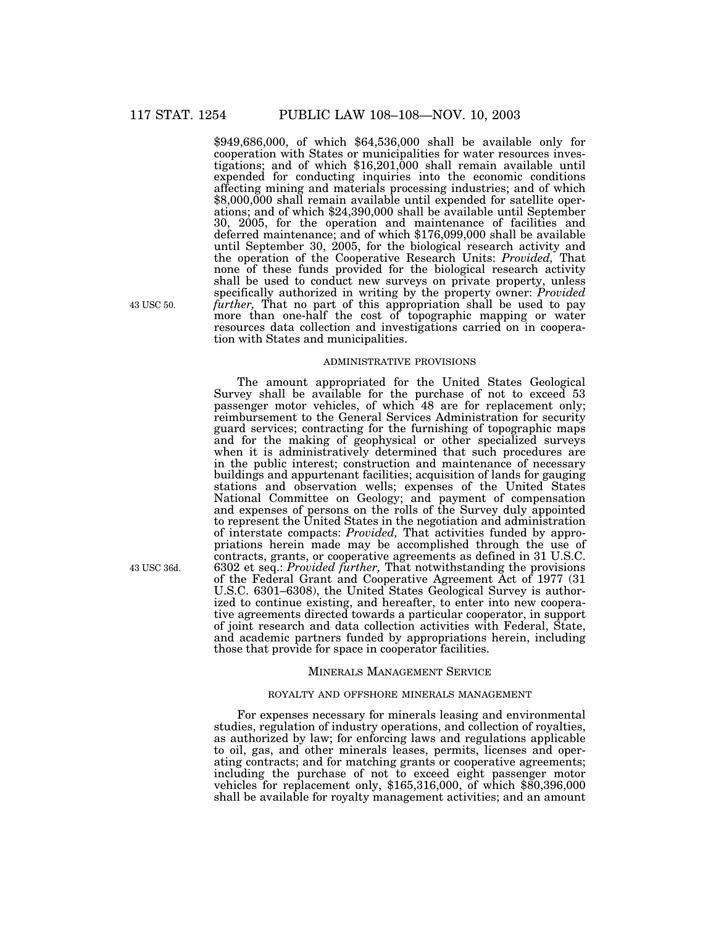\$949,686,000, of which \$64,536,000 shall be available only for cooperation with States or municipalities for water resources investigations; and of which  $$16,201,000$  shall remain available until expended for conducting inquiries into the economic conditions affecting mining and materials processing industries; and of which \$8,000,000 shall remain available until expended for satellite operations; and of which \$24,390,000 shall be available until September 30, 2005, for the operation and maintenance of facilities and deferred maintenance; and of which \$176,099,000 shall be available until September 30, 2005, for the biological research activity and the operation of the Cooperative Research Units: *Provided,* That none of these funds provided for the biological research activity shall be used to conduct new surveys on private property, unless specifically authorized in writing by the property owner: *Provided further,* That no part of this appropriation shall be used to pay more than one-half the cost of topographic mapping or water resources data collection and investigations carried on in cooperation with States and municipalities.

#### ADMINISTRATIVE PROVISIONS

The amount appropriated for the United States Geological Survey shall be available for the purchase of not to exceed 53 passenger motor vehicles, of which 48 are for replacement only; reimbursement to the General Services Administration for security guard services; contracting for the furnishing of topographic maps and for the making of geophysical or other specialized surveys when it is administratively determined that such procedures are in the public interest; construction and maintenance of necessary buildings and appurtenant facilities; acquisition of lands for gauging stations and observation wells; expenses of the United States National Committee on Geology; and payment of compensation and expenses of persons on the rolls of the Survey duly appointed to represent the United States in the negotiation and administration of interstate compacts: *Provided,* That activities funded by appropriations herein made may be accomplished through the use of contracts, grants, or cooperative agreements as defined in 31 U.S.C. 6302 et seq.: *Provided further,* That notwithstanding the provisions of the Federal Grant and Cooperative Agreement Act of 1977 (31 U.S.C. 6301–6308), the United States Geological Survey is authorized to continue existing, and hereafter, to enter into new cooperative agreements directed towards a particular cooperator, in support of joint research and data collection activities with Federal, State, and academic partners funded by appropriations herein, including those that provide for space in cooperator facilities.

#### MINERALS MANAGEMENT SERVICE

### ROYALTY AND OFFSHORE MINERALS MANAGEMENT

For expenses necessary for minerals leasing and environmental studies, regulation of industry operations, and collection of royalties, as authorized by law; for enforcing laws and regulations applicable to oil, gas, and other minerals leases, permits, licenses and operating contracts; and for matching grants or cooperative agreements; including the purchase of not to exceed eight passenger motor vehicles for replacement only,  $$165,316,000$ , of which  $$80,396,000$ shall be available for royalty management activities; and an amount

43 USC 50.

43 USC 36d.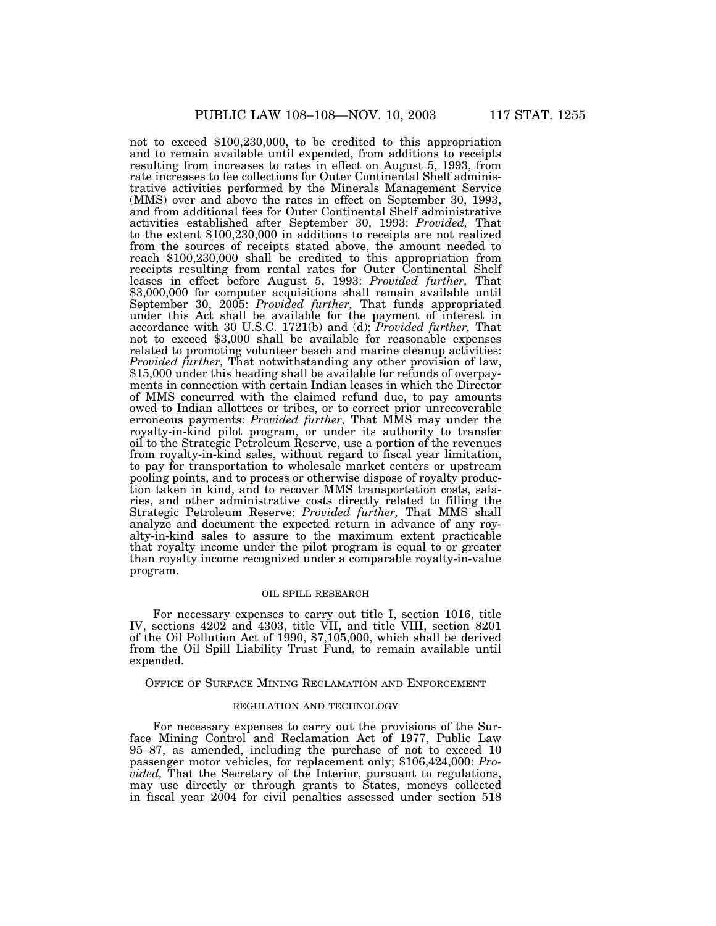not to exceed \$100,230,000, to be credited to this appropriation and to remain available until expended, from additions to receipts resulting from increases to rates in effect on August 5, 1993, from rate increases to fee collections for Outer Continental Shelf administrative activities performed by the Minerals Management Service (MMS) over and above the rates in effect on September 30, 1993, and from additional fees for Outer Continental Shelf administrative activities established after September 30, 1993: *Provided,* That to the extent \$100,230,000 in additions to receipts are not realized from the sources of receipts stated above, the amount needed to reach \$100,230,000 shall be credited to this appropriation from receipts resulting from rental rates for Outer Continental Shelf leases in effect before August 5, 1993: *Provided further,* That \$3,000,000 for computer acquisitions shall remain available until September 30, 2005: *Provided further,* That funds appropriated under this Act shall be available for the payment of interest in accordance with 30 U.S.C. 1721(b) and (d): *Provided further,* That not to exceed \$3,000 shall be available for reasonable expenses related to promoting volunteer beach and marine cleanup activities: *Provided further,* That notwithstanding any other provision of law, \$15,000 under this heading shall be available for refunds of overpayments in connection with certain Indian leases in which the Director of MMS concurred with the claimed refund due, to pay amounts owed to Indian allottees or tribes, or to correct prior unrecoverable erroneous payments: *Provided further,* That MMS may under the royalty-in-kind pilot program, or under its authority to transfer oil to the Strategic Petroleum Reserve, use a portion of the revenues from royalty-in-kind sales, without regard to fiscal year limitation, to pay for transportation to wholesale market centers or upstream pooling points, and to process or otherwise dispose of royalty production taken in kind, and to recover MMS transportation costs, salaries, and other administrative costs directly related to filling the Strategic Petroleum Reserve: *Provided further,* That MMS shall analyze and document the expected return in advance of any royalty-in-kind sales to assure to the maximum extent practicable that royalty income under the pilot program is equal to or greater than royalty income recognized under a comparable royalty-in-value program.

# OIL SPILL RESEARCH

For necessary expenses to carry out title I, section 1016, title IV, sections 4202 and 4303, title VII, and title VIII, section 8201 of the Oil Pollution Act of 1990, \$7,105,000, which shall be derived from the Oil Spill Liability Trust Fund, to remain available until expended.

OFFICE OF SURFACE MINING RECLAMATION AND ENFORCEMENT

#### REGULATION AND TECHNOLOGY

For necessary expenses to carry out the provisions of the Surface Mining Control and Reclamation Act of 1977, Public Law 95–87, as amended, including the purchase of not to exceed 10 passenger motor vehicles, for replacement only; \$106,424,000: *Provided,* That the Secretary of the Interior, pursuant to regulations, may use directly or through grants to States, moneys collected in fiscal year 2004 for civil penalties assessed under section 518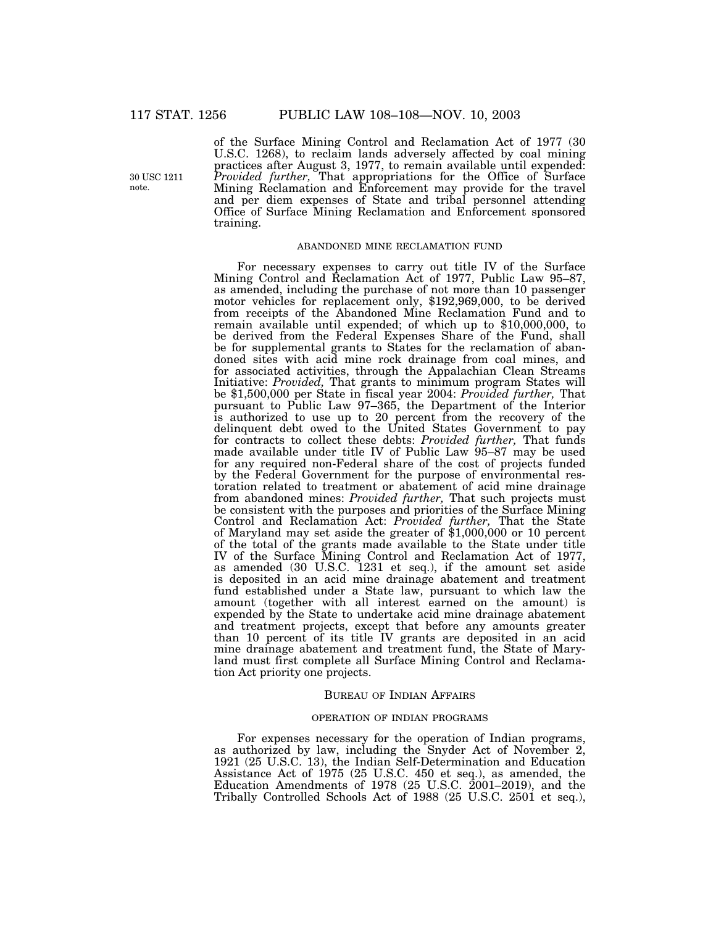30 USC 1211 note.

of the Surface Mining Control and Reclamation Act of 1977 (30 U.S.C. 1268), to reclaim lands adversely affected by coal mining practices after August 3, 1977, to remain available until expended: *Provided further,* That appropriations for the Office of Surface Mining Reclamation and Enforcement may provide for the travel and per diem expenses of State and tribal personnel attending Office of Surface Mining Reclamation and Enforcement sponsored training.

#### ABANDONED MINE RECLAMATION FUND

For necessary expenses to carry out title IV of the Surface Mining Control and Reclamation Act of 1977, Public Law 95–87, as amended, including the purchase of not more than 10 passenger motor vehicles for replacement only, \$192,969,000, to be derived from receipts of the Abandoned Mine Reclamation Fund and to remain available until expended; of which up to \$10,000,000, to be derived from the Federal Expenses Share of the Fund, shall be for supplemental grants to States for the reclamation of abandoned sites with acid mine rock drainage from coal mines, and for associated activities, through the Appalachian Clean Streams Initiative: *Provided,* That grants to minimum program States will be \$1,500,000 per State in fiscal year 2004: *Provided further,* That pursuant to Public Law 97–365, the Department of the Interior is authorized to use up to 20 percent from the recovery of the delinquent debt owed to the United States Government to pay for contracts to collect these debts: *Provided further,* That funds made available under title IV of Public Law 95–87 may be used for any required non-Federal share of the cost of projects funded by the Federal Government for the purpose of environmental restoration related to treatment or abatement of acid mine drainage from abandoned mines: *Provided further,* That such projects must be consistent with the purposes and priorities of the Surface Mining Control and Reclamation Act: *Provided further,* That the State of Maryland may set aside the greater of \$1,000,000 or 10 percent of the total of the grants made available to the State under title IV of the Surface Mining Control and Reclamation Act of 1977, as amended (30 U.S.C. 1231 et seq.), if the amount set aside is deposited in an acid mine drainage abatement and treatment fund established under a State law, pursuant to which law the amount (together with all interest earned on the amount) is expended by the State to undertake acid mine drainage abatement and treatment projects, except that before any amounts greater than 10 percent of its title IV grants are deposited in an acid mine drainage abatement and treatment fund, the State of Maryland must first complete all Surface Mining Control and Reclamation Act priority one projects.

### BUREAU OF INDIAN AFFAIRS

#### OPERATION OF INDIAN PROGRAMS

For expenses necessary for the operation of Indian programs, as authorized by law, including the Snyder Act of November 2, 1921 (25 U.S.C. 13), the Indian Self-Determination and Education Assistance Act of 1975 (25 U.S.C. 450 et seq.), as amended, the Education Amendments of 1978 (25 U.S.C. 2001–2019), and the Tribally Controlled Schools Act of 1988 (25 U.S.C. 2501 et seq.),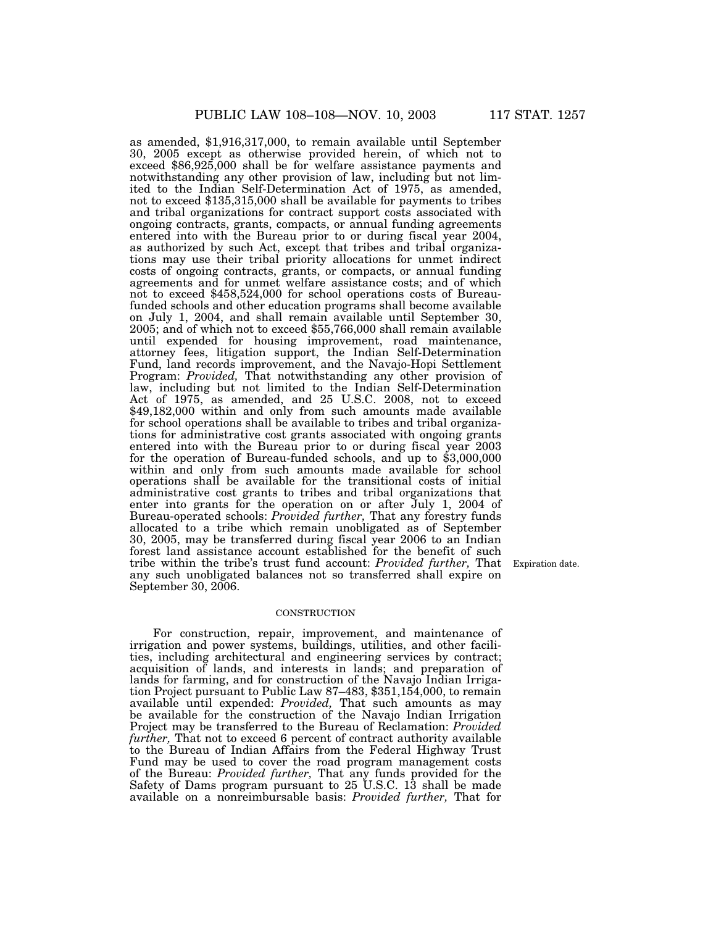as amended, \$1,916,317,000, to remain available until September 30, 2005 except as otherwise provided herein, of which not to exceed \$86,925,000 shall be for welfare assistance payments and notwithstanding any other provision of law, including but not limited to the Indian Self-Determination Act of 1975, as amended, not to exceed \$135,315,000 shall be available for payments to tribes and tribal organizations for contract support costs associated with ongoing contracts, grants, compacts, or annual funding agreements entered into with the Bureau prior to or during fiscal year 2004, as authorized by such Act, except that tribes and tribal organizations may use their tribal priority allocations for unmet indirect costs of ongoing contracts, grants, or compacts, or annual funding agreements and for unmet welfare assistance costs; and of which not to exceed \$458,524,000 for school operations costs of Bureaufunded schools and other education programs shall become available on July 1, 2004, and shall remain available until September 30, 2005; and of which not to exceed \$55,766,000 shall remain available until expended for housing improvement, road maintenance, attorney fees, litigation support, the Indian Self-Determination Fund, land records improvement, and the Navajo-Hopi Settlement Program: *Provided,* That notwithstanding any other provision of law, including but not limited to the Indian Self-Determination Act of 1975, as amended, and 25 U.S.C. 2008, not to exceed \$49,182,000 within and only from such amounts made available for school operations shall be available to tribes and tribal organizations for administrative cost grants associated with ongoing grants entered into with the Bureau prior to or during fiscal year 2003 for the operation of Bureau-funded schools, and up to \$3,000,000 within and only from such amounts made available for school operations shall be available for the transitional costs of initial administrative cost grants to tribes and tribal organizations that enter into grants for the operation on or after July 1, 2004 of Bureau-operated schools: *Provided further,* That any forestry funds allocated to a tribe which remain unobligated as of September 30, 2005, may be transferred during fiscal year 2006 to an Indian forest land assistance account established for the benefit of such tribe within the tribe's trust fund account: *Provided further,* That Expiration date. any such unobligated balances not so transferred shall expire on September 30, 2006.

#### **CONSTRUCTION**

For construction, repair, improvement, and maintenance of irrigation and power systems, buildings, utilities, and other facilities, including architectural and engineering services by contract; acquisition of lands, and interests in lands; and preparation of lands for farming, and for construction of the Navajo Indian Irrigation Project pursuant to Public Law 87–483, \$351,154,000, to remain available until expended: *Provided,* That such amounts as may be available for the construction of the Navajo Indian Irrigation Project may be transferred to the Bureau of Reclamation: *Provided further,* That not to exceed 6 percent of contract authority available to the Bureau of Indian Affairs from the Federal Highway Trust Fund may be used to cover the road program management costs of the Bureau: *Provided further,* That any funds provided for the Safety of Dams program pursuant to  $25$  U.S.C. 13 shall be made available on a nonreimbursable basis: *Provided further,* That for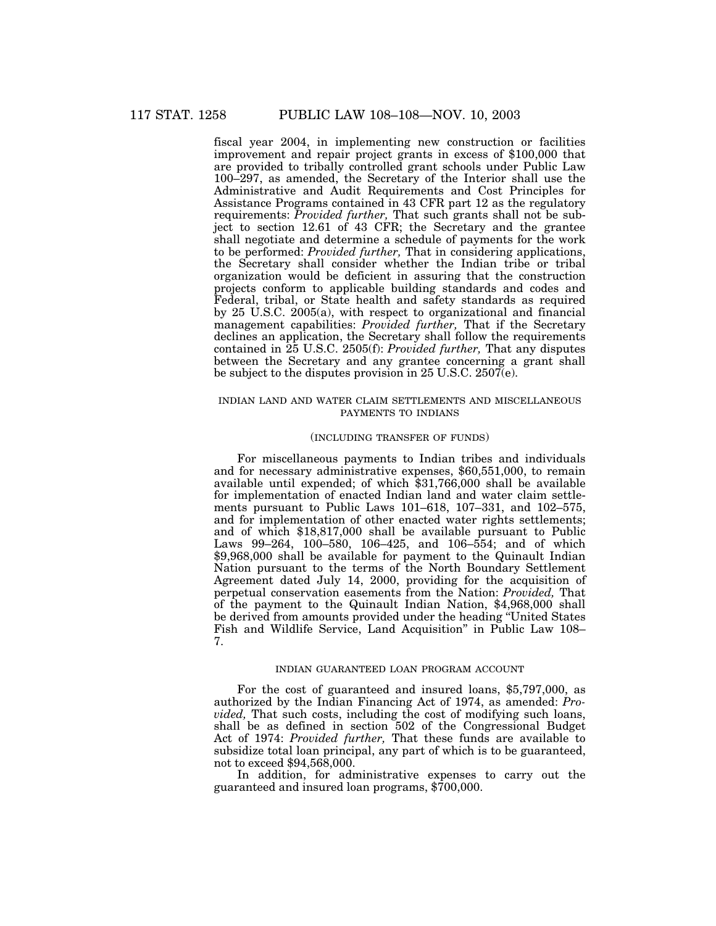fiscal year 2004, in implementing new construction or facilities improvement and repair project grants in excess of \$100,000 that are provided to tribally controlled grant schools under Public Law 100–297, as amended, the Secretary of the Interior shall use the Administrative and Audit Requirements and Cost Principles for Assistance Programs contained in 43 CFR part 12 as the regulatory requirements: *Provided further,* That such grants shall not be subject to section 12.61 of 43 CFR; the Secretary and the grantee shall negotiate and determine a schedule of payments for the work to be performed: *Provided further,* That in considering applications, the Secretary shall consider whether the Indian tribe or tribal organization would be deficient in assuring that the construction projects conform to applicable building standards and codes and Federal, tribal, or State health and safety standards as required by 25 U.S.C. 2005(a), with respect to organizational and financial management capabilities: *Provided further,* That if the Secretary declines an application, the Secretary shall follow the requirements contained in 25 U.S.C. 2505(f): *Provided further,* That any disputes between the Secretary and any grantee concerning a grant shall be subject to the disputes provision in 25 U.S.C. 2507(e).

### INDIAN LAND AND WATER CLAIM SETTLEMENTS AND MISCELLANEOUS PAYMENTS TO INDIANS

### (INCLUDING TRANSFER OF FUNDS)

For miscellaneous payments to Indian tribes and individuals and for necessary administrative expenses, \$60,551,000, to remain available until expended; of which \$31,766,000 shall be available for implementation of enacted Indian land and water claim settlements pursuant to Public Laws 101–618, 107–331, and 102–575, and for implementation of other enacted water rights settlements; and of which \$18,817,000 shall be available pursuant to Public Laws 99–264, 100–580, 106–425, and 106–554; and of which \$9,968,000 shall be available for payment to the Quinault Indian Nation pursuant to the terms of the North Boundary Settlement Agreement dated July 14, 2000, providing for the acquisition of perpetual conservation easements from the Nation: *Provided,* That of the payment to the Quinault Indian Nation, \$4,968,000 shall be derived from amounts provided under the heading ''United States Fish and Wildlife Service, Land Acquisition'' in Public Law 108– 7.

# INDIAN GUARANTEED LOAN PROGRAM ACCOUNT

For the cost of guaranteed and insured loans, \$5,797,000, as authorized by the Indian Financing Act of 1974, as amended: *Provided,* That such costs, including the cost of modifying such loans, shall be as defined in section 502 of the Congressional Budget Act of 1974: *Provided further,* That these funds are available to subsidize total loan principal, any part of which is to be guaranteed, not to exceed \$94,568,000.

In addition, for administrative expenses to carry out the guaranteed and insured loan programs, \$700,000.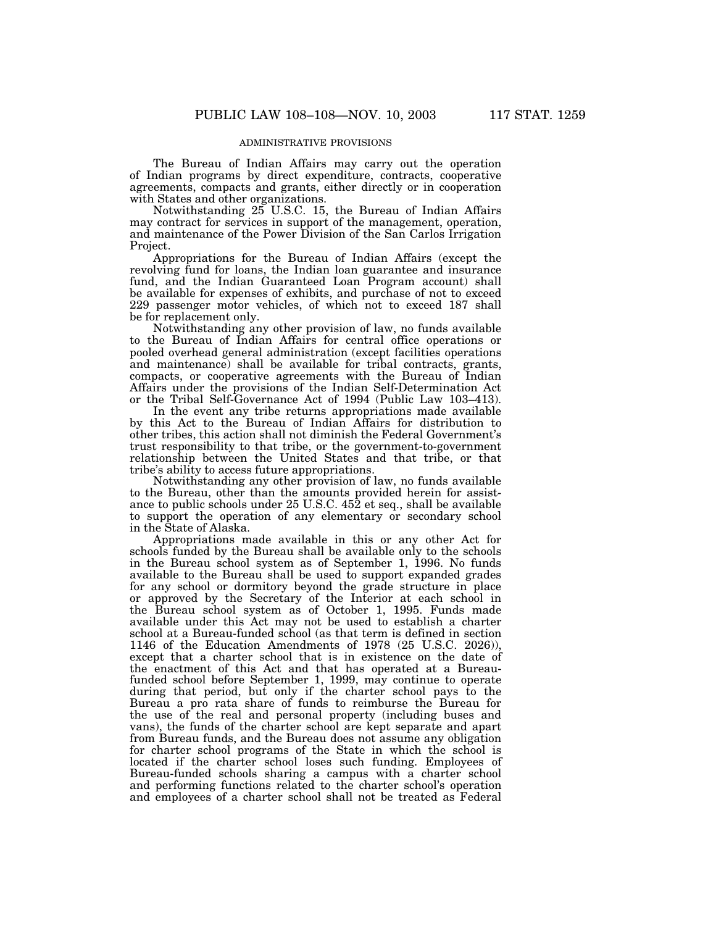# ADMINISTRATIVE PROVISIONS

The Bureau of Indian Affairs may carry out the operation of Indian programs by direct expenditure, contracts, cooperative agreements, compacts and grants, either directly or in cooperation with States and other organizations.

Notwithstanding 25 U.S.C. 15, the Bureau of Indian Affairs may contract for services in support of the management, operation, and maintenance of the Power Division of the San Carlos Irrigation Project.

Appropriations for the Bureau of Indian Affairs (except the revolving fund for loans, the Indian loan guarantee and insurance fund, and the Indian Guaranteed Loan Program account) shall be available for expenses of exhibits, and purchase of not to exceed 229 passenger motor vehicles, of which not to exceed 187 shall be for replacement only.

Notwithstanding any other provision of law, no funds available to the Bureau of Indian Affairs for central office operations or pooled overhead general administration (except facilities operations and maintenance) shall be available for tribal contracts, grants, compacts, or cooperative agreements with the Bureau of Indian Affairs under the provisions of the Indian Self-Determination Act or the Tribal Self-Governance Act of 1994 (Public Law 103–413).

In the event any tribe returns appropriations made available by this Act to the Bureau of Indian Affairs for distribution to other tribes, this action shall not diminish the Federal Government's trust responsibility to that tribe, or the government-to-government relationship between the United States and that tribe, or that tribe's ability to access future appropriations.

Notwithstanding any other provision of law, no funds available to the Bureau, other than the amounts provided herein for assistance to public schools under 25 U.S.C. 452 et seq., shall be available to support the operation of any elementary or secondary school in the State of Alaska.

Appropriations made available in this or any other Act for schools funded by the Bureau shall be available only to the schools in the Bureau school system as of September 1, 1996. No funds available to the Bureau shall be used to support expanded grades for any school or dormitory beyond the grade structure in place or approved by the Secretary of the Interior at each school in the Bureau school system as of October 1, 1995. Funds made available under this Act may not be used to establish a charter school at a Bureau-funded school (as that term is defined in section 1146 of the Education Amendments of 1978 (25 U.S.C. 2026)), except that a charter school that is in existence on the date of the enactment of this Act and that has operated at a Bureaufunded school before September 1, 1999, may continue to operate during that period, but only if the charter school pays to the Bureau a pro rata share of funds to reimburse the Bureau for the use of the real and personal property (including buses and vans), the funds of the charter school are kept separate and apart from Bureau funds, and the Bureau does not assume any obligation for charter school programs of the State in which the school is located if the charter school loses such funding. Employees of Bureau-funded schools sharing a campus with a charter school and performing functions related to the charter school's operation and employees of a charter school shall not be treated as Federal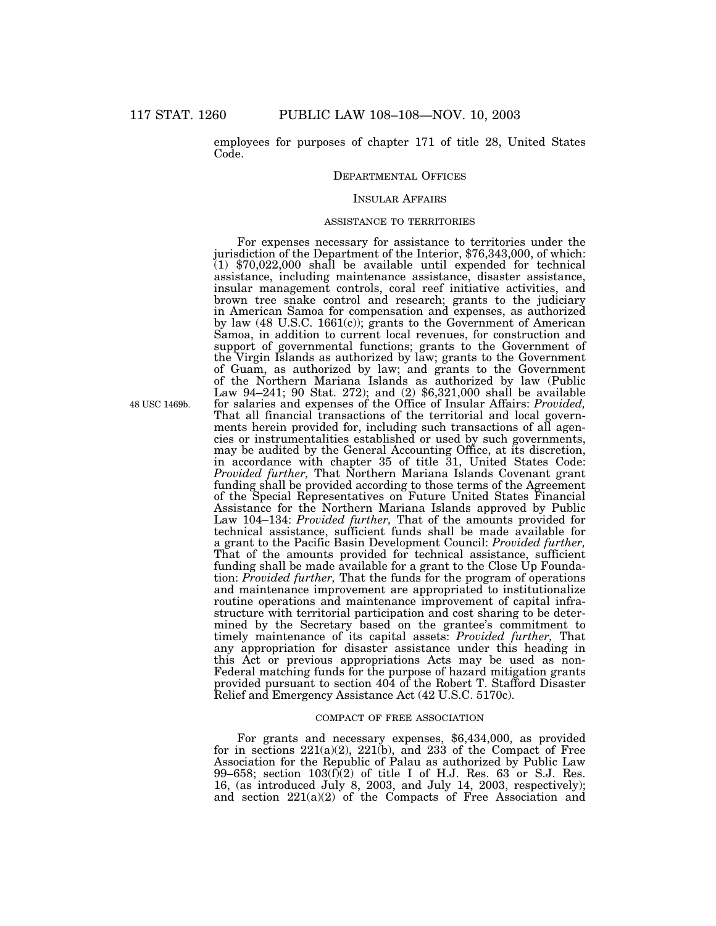employees for purposes of chapter 171 of title 28, United States Code.

### DEPARTMENTAL OFFICES

# INSULAR AFFAIRS

#### ASSISTANCE TO TERRITORIES

For expenses necessary for assistance to territories under the jurisdiction of the Department of the Interior, \$76,343,000, of which: (1) \$70,022,000 shall be available until expended for technical assistance, including maintenance assistance, disaster assistance, insular management controls, coral reef initiative activities, and brown tree snake control and research; grants to the judiciary in American Samoa for compensation and expenses, as authorized by law (48 U.S.C. 1661(c)); grants to the Government of American Samoa, in addition to current local revenues, for construction and support of governmental functions; grants to the Government of the Virgin Islands as authorized by law; grants to the Government of Guam, as authorized by law; and grants to the Government of the Northern Mariana Islands as authorized by law (Public Law 94–241; 90 Stat. 272); and (2) \$6,321,000 shall be available for salaries and expenses of the Office of Insular Affairs: *Provided,* That all financial transactions of the territorial and local governments herein provided for, including such transactions of all agencies or instrumentalities established or used by such governments, may be audited by the General Accounting Office, at its discretion, in accordance with chapter 35 of title 31, United States Code: *Provided further,* That Northern Mariana Islands Covenant grant funding shall be provided according to those terms of the Agreement of the Special Representatives on Future United States Financial Assistance for the Northern Mariana Islands approved by Public Law 104–134: *Provided further,* That of the amounts provided for technical assistance, sufficient funds shall be made available for a grant to the Pacific Basin Development Council: *Provided further,* That of the amounts provided for technical assistance, sufficient funding shall be made available for a grant to the Close Up Foundation: *Provided further,* That the funds for the program of operations and maintenance improvement are appropriated to institutionalize routine operations and maintenance improvement of capital infrastructure with territorial participation and cost sharing to be determined by the Secretary based on the grantee's commitment to timely maintenance of its capital assets: *Provided further,* That any appropriation for disaster assistance under this heading in this Act or previous appropriations Acts may be used as non-Federal matching funds for the purpose of hazard mitigation grants provided pursuant to section 404 of the Robert T. Stafford Disaster Relief and Emergency Assistance Act (42 U.S.C. 5170c).

#### COMPACT OF FREE ASSOCIATION

For grants and necessary expenses, \$6,434,000, as provided for in sections  $221(a)(2)$ ,  $221(b)$ , and  $233$  of the Compact of Free Association for the Republic of Palau as authorized by Public Law 99–658; section  $103(f)(2)$  of title I of H.J. Res. 63 or S.J. Res. 16, (as introduced July 8, 2003, and July 14, 2003, respectively); and section 221(a)(2) of the Compacts of Free Association and

48 USC 1469b.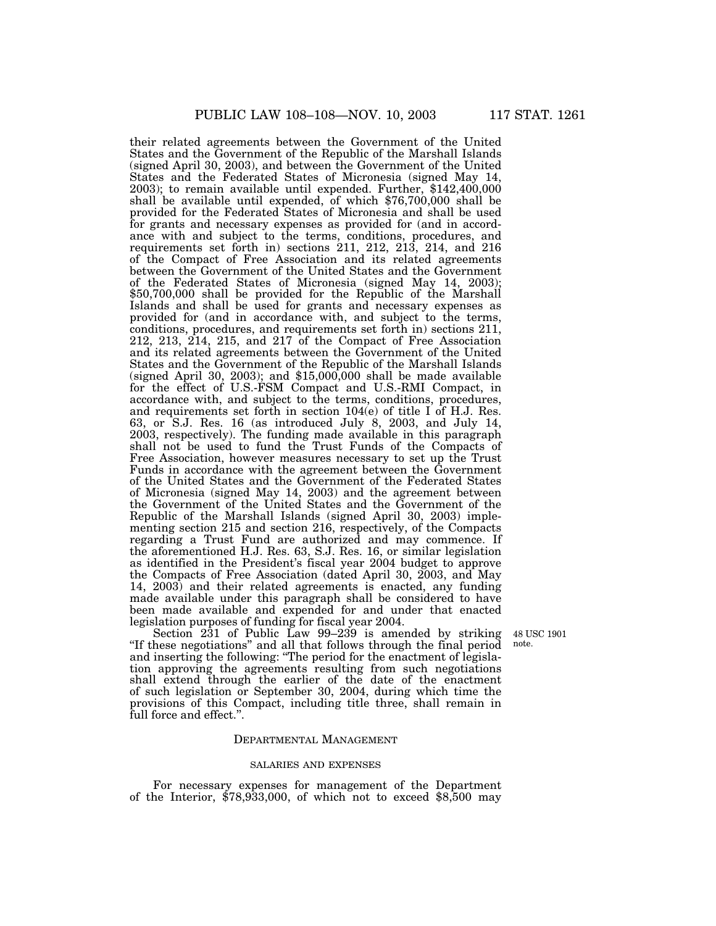their related agreements between the Government of the United States and the Government of the Republic of the Marshall Islands (signed April 30, 2003), and between the Government of the United States and the Federated States of Micronesia (signed May 14, 2003); to remain available until expended. Further, \$142,400,000 shall be available until expended, of which \$76,700,000 shall be provided for the Federated States of Micronesia and shall be used for grants and necessary expenses as provided for (and in accordance with and subject to the terms, conditions, procedures, and requirements set forth in) sections 211, 212, 213, 214, and 216 of the Compact of Free Association and its related agreements between the Government of the United States and the Government of the Federated States of Micronesia (signed May 14, 2003); \$50,700,000 shall be provided for the Republic of the Marshall Islands and shall be used for grants and necessary expenses as provided for (and in accordance with, and subject to the terms, conditions, procedures, and requirements set forth in) sections 211, 212, 213, 214, 215, and 217 of the Compact of Free Association and its related agreements between the Government of the United States and the Government of the Republic of the Marshall Islands (signed April 30, 2003); and  $$15,000,000$  shall be made available for the effect of U.S.-FSM Compact and U.S.-RMI Compact, in accordance with, and subject to the terms, conditions, procedures, and requirements set forth in section 104(e) of title I of H.J. Res. 63, or S.J. Res. 16 (as introduced July 8, 2003, and July 14, 2003, respectively). The funding made available in this paragraph shall not be used to fund the Trust Funds of the Compacts of Free Association, however measures necessary to set up the Trust Funds in accordance with the agreement between the Government of the United States and the Government of the Federated States of Micronesia (signed May 14, 2003) and the agreement between the Government of the United States and the Government of the Republic of the Marshall Islands (signed April 30, 2003) implementing section 215 and section 216, respectively, of the Compacts regarding a Trust Fund are authorized and may commence. If the aforementioned H.J. Res. 63, S.J. Res. 16, or similar legislation as identified in the President's fiscal year 2004 budget to approve the Compacts of Free Association (dated April 30, 2003, and May 14, 2003) and their related agreements is enacted, any funding made available under this paragraph shall be considered to have been made available and expended for and under that enacted legislation purposes of funding for fiscal year 2004.

48 USC 1901 note.

Section 231 of Public Law 99–239 is amended by striking ''If these negotiations'' and all that follows through the final period and inserting the following: ''The period for the enactment of legislation approving the agreements resulting from such negotiations shall extend through the earlier of the date of the enactment of such legislation or September 30, 2004, during which time the provisions of this Compact, including title three, shall remain in full force and effect.''.

### DEPARTMENTAL MANAGEMENT

#### SALARIES AND EXPENSES

For necessary expenses for management of the Department of the Interior, \$78,933,000, of which not to exceed \$8,500 may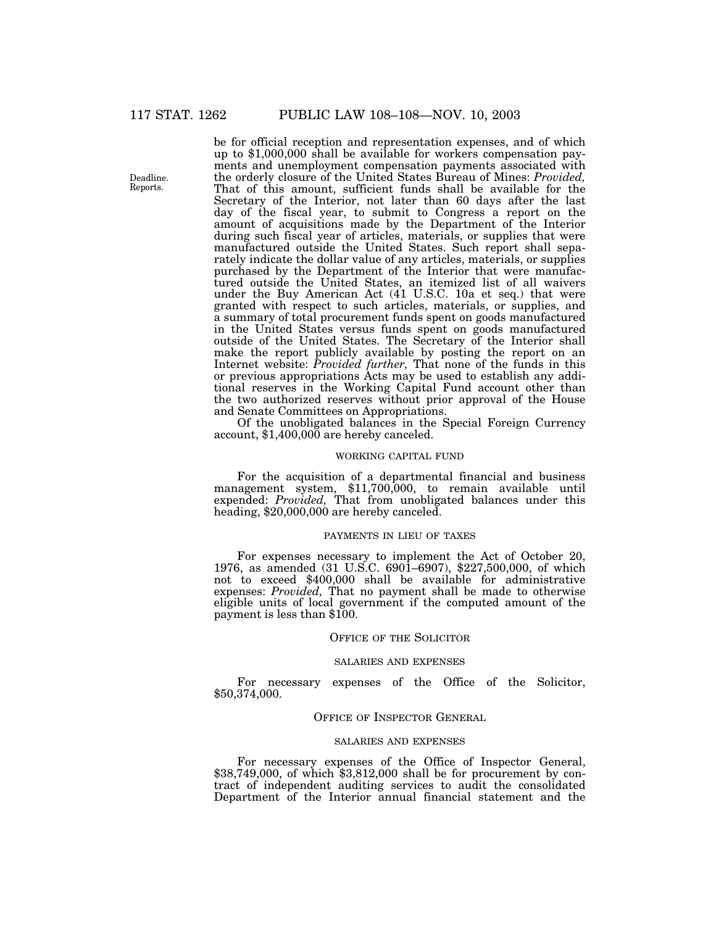Deadline. Reports.

be for official reception and representation expenses, and of which up to \$1,000,000 shall be available for workers compensation payments and unemployment compensation payments associated with the orderly closure of the United States Bureau of Mines: *Provided,* That of this amount, sufficient funds shall be available for the Secretary of the Interior, not later than 60 days after the last day of the fiscal year, to submit to Congress a report on the amount of acquisitions made by the Department of the Interior during such fiscal year of articles, materials, or supplies that were manufactured outside the United States. Such report shall separately indicate the dollar value of any articles, materials, or supplies purchased by the Department of the Interior that were manufactured outside the United States, an itemized list of all waivers under the Buy American Act (41 U.S.C. 10a et seq.) that were granted with respect to such articles, materials, or supplies, and a summary of total procurement funds spent on goods manufactured in the United States versus funds spent on goods manufactured outside of the United States. The Secretary of the Interior shall make the report publicly available by posting the report on an Internet website: *Provided further,* That none of the funds in this or previous appropriations Acts may be used to establish any additional reserves in the Working Capital Fund account other than the two authorized reserves without prior approval of the House and Senate Committees on Appropriations.

Of the unobligated balances in the Special Foreign Currency account, \$1,400,000 are hereby canceled.

#### WORKING CAPITAL FUND

For the acquisition of a departmental financial and business management system, \$11,700,000, to remain available until expended: *Provided,* That from unobligated balances under this heading, \$20,000,000 are hereby canceled.

#### PAYMENTS IN LIEU OF TAXES

For expenses necessary to implement the Act of October 20, 1976, as amended (31 U.S.C. 6901–6907), \$227,500,000, of which not to exceed \$400,000 shall be available for administrative expenses: *Provided*, That no payment shall be made to otherwise eligible units of local government if the computed amount of the payment is less than \$100.

# OFFICE OF THE SOLICITOR

### SALARIES AND EXPENSES

For necessary expenses of the Office of the Solicitor, \$50,374,000.

### OFFICE OF INSPECTOR GENERAL

#### SALARIES AND EXPENSES

For necessary expenses of the Office of Inspector General, \$38,749,000, of which \$3,812,000 shall be for procurement by contract of independent auditing services to audit the consolidated Department of the Interior annual financial statement and the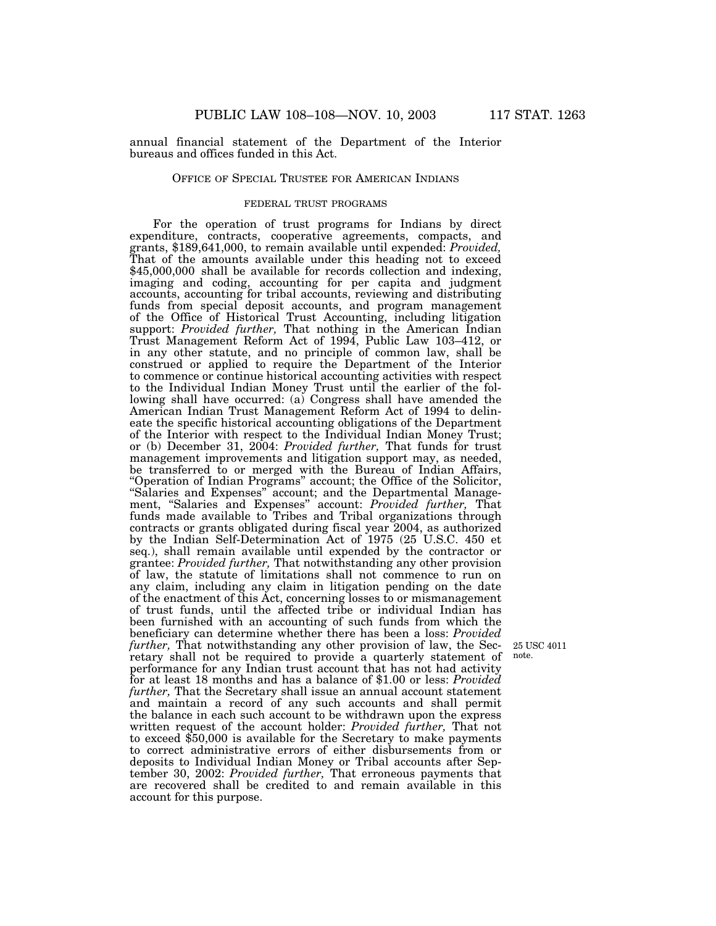annual financial statement of the Department of the Interior bureaus and offices funded in this Act.

### OFFICE OF SPECIAL TRUSTEE FOR AMERICAN INDIANS

#### FEDERAL TRUST PROGRAMS

For the operation of trust programs for Indians by direct expenditure, contracts, cooperative agreements, compacts, and grants, \$189,641,000, to remain available until expended: *Provided,* That of the amounts available under this heading not to exceed \$45,000,000 shall be available for records collection and indexing, imaging and coding, accounting for per capita and judgment accounts, accounting for tribal accounts, reviewing and distributing funds from special deposit accounts, and program management of the Office of Historical Trust Accounting, including litigation support: *Provided further*, That nothing in the American Indian Trust Management Reform Act of 1994, Public Law 103–412, or in any other statute, and no principle of common law, shall be construed or applied to require the Department of the Interior to commence or continue historical accounting activities with respect to the Individual Indian Money Trust until the earlier of the following shall have occurred: (a) Congress shall have amended the American Indian Trust Management Reform Act of 1994 to delineate the specific historical accounting obligations of the Department of the Interior with respect to the Individual Indian Money Trust; or (b) December 31, 2004: *Provided further,* That funds for trust management improvements and litigation support may, as needed, be transferred to or merged with the Bureau of Indian Affairs, ''Operation of Indian Programs'' account; the Office of the Solicitor, ''Salaries and Expenses'' account; and the Departmental Management, ''Salaries and Expenses'' account: *Provided further,* That funds made available to Tribes and Tribal organizations through contracts or grants obligated during fiscal year 2004, as authorized by the Indian Self-Determination Act of 1975 (25 U.S.C. 450 et seq.), shall remain available until expended by the contractor or grantee: *Provided further,* That notwithstanding any other provision of law, the statute of limitations shall not commence to run on any claim, including any claim in litigation pending on the date of the enactment of this Act, concerning losses to or mismanagement of trust funds, until the affected tribe or individual Indian has been furnished with an accounting of such funds from which the beneficiary can determine whether there has been a loss: *Provided further,* That notwithstanding any other provision of law, the Secretary shall not be required to provide a quarterly statement of performance for any Indian trust account that has not had activity for at least 18 months and has a balance of \$1.00 or less: *Provided further,* That the Secretary shall issue an annual account statement and maintain a record of any such accounts and shall permit the balance in each such account to be withdrawn upon the express written request of the account holder: *Provided further,* That not to exceed \$50,000 is available for the Secretary to make payments to correct administrative errors of either disbursements from or deposits to Individual Indian Money or Tribal accounts after September 30, 2002: *Provided further,* That erroneous payments that are recovered shall be credited to and remain available in this account for this purpose.

25 USC 4011 note.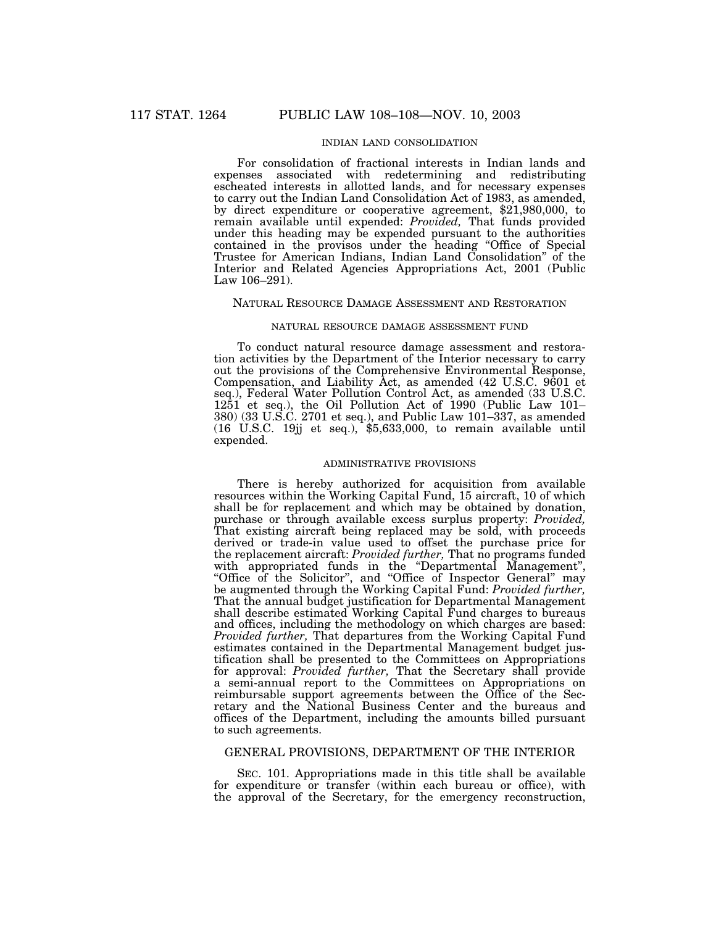# INDIAN LAND CONSOLIDATION

For consolidation of fractional interests in Indian lands and expenses associated with redetermining and redistributing escheated interests in allotted lands, and for necessary expenses to carry out the Indian Land Consolidation Act of 1983, as amended, by direct expenditure or cooperative agreement, \$21,980,000, to remain available until expended: *Provided,* That funds provided under this heading may be expended pursuant to the authorities contained in the provisos under the heading ''Office of Special Trustee for American Indians, Indian Land Consolidation'' of the Interior and Related Agencies Appropriations Act, 2001 (Public Law 106–291).

# NATURAL RESOURCE DAMAGE ASSESSMENT AND RESTORATION

#### NATURAL RESOURCE DAMAGE ASSESSMENT FUND

To conduct natural resource damage assessment and restoration activities by the Department of the Interior necessary to carry out the provisions of the Comprehensive Environmental Response, Compensation, and Liability Act, as amended (42 U.S.C. 9601 et seq.), Federal Water Pollution Control Act, as amended (33 U.S.C. 1251 et seq.), the Oil Pollution Act of 1990 (Public Law 101– 380) (33 U.S.C. 2701 et seq.), and Public Law 101–337, as amended (16 U.S.C. 19jj et seq.), \$5,633,000, to remain available until expended.

# ADMINISTRATIVE PROVISIONS

There is hereby authorized for acquisition from available resources within the Working Capital Fund, 15 aircraft, 10 of which shall be for replacement and which may be obtained by donation, purchase or through available excess surplus property: *Provided,* That existing aircraft being replaced may be sold, with proceeds derived or trade-in value used to offset the purchase price for the replacement aircraft: *Provided further,* That no programs funded with appropriated funds in the "Departmental Management", ''Office of the Solicitor'', and ''Office of Inspector General'' may be augmented through the Working Capital Fund: *Provided further,* That the annual budget justification for Departmental Management shall describe estimated Working Capital Fund charges to bureaus and offices, including the methodology on which charges are based: *Provided further,* That departures from the Working Capital Fund estimates contained in the Departmental Management budget justification shall be presented to the Committees on Appropriations for approval: *Provided further,* That the Secretary shall provide a semi-annual report to the Committees on Appropriations on reimbursable support agreements between the Office of the Secretary and the National Business Center and the bureaus and offices of the Department, including the amounts billed pursuant to such agreements.

# GENERAL PROVISIONS, DEPARTMENT OF THE INTERIOR

SEC. 101. Appropriations made in this title shall be available for expenditure or transfer (within each bureau or office), with the approval of the Secretary, for the emergency reconstruction,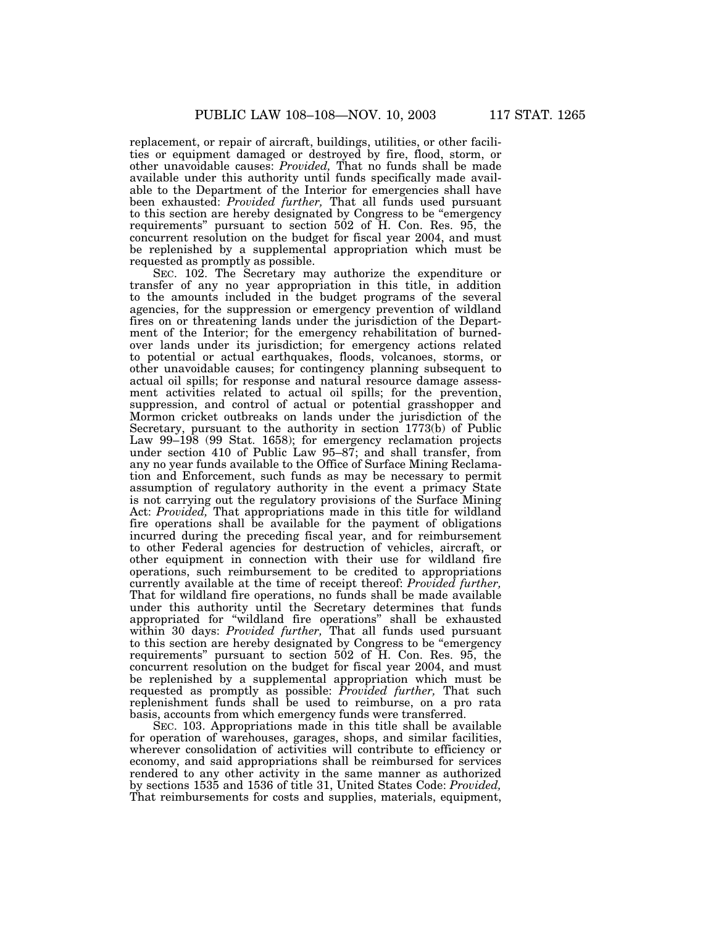replacement, or repair of aircraft, buildings, utilities, or other facilities or equipment damaged or destroyed by fire, flood, storm, or other unavoidable causes: *Provided,* That no funds shall be made available under this authority until funds specifically made available to the Department of the Interior for emergencies shall have been exhausted: *Provided further,* That all funds used pursuant to this section are hereby designated by Congress to be ''emergency requirements'' pursuant to section 502 of H. Con. Res. 95, the concurrent resolution on the budget for fiscal year 2004, and must be replenished by a supplemental appropriation which must be requested as promptly as possible.

SEC. 102. The Secretary may authorize the expenditure or transfer of any no year appropriation in this title, in addition to the amounts included in the budget programs of the several agencies, for the suppression or emergency prevention of wildland fires on or threatening lands under the jurisdiction of the Department of the Interior; for the emergency rehabilitation of burnedover lands under its jurisdiction; for emergency actions related to potential or actual earthquakes, floods, volcanoes, storms, or other unavoidable causes; for contingency planning subsequent to actual oil spills; for response and natural resource damage assessment activities related to actual oil spills; for the prevention, suppression, and control of actual or potential grasshopper and Mormon cricket outbreaks on lands under the jurisdiction of the Secretary, pursuant to the authority in section 1773(b) of Public Law 99–198 (99 Stat. 1658); for emergency reclamation projects under section 410 of Public Law 95–87; and shall transfer, from any no year funds available to the Office of Surface Mining Reclamation and Enforcement, such funds as may be necessary to permit assumption of regulatory authority in the event a primacy State is not carrying out the regulatory provisions of the Surface Mining Act: *Provided,* That appropriations made in this title for wildland fire operations shall be available for the payment of obligations incurred during the preceding fiscal year, and for reimbursement to other Federal agencies for destruction of vehicles, aircraft, or other equipment in connection with their use for wildland fire operations, such reimbursement to be credited to appropriations currently available at the time of receipt thereof: *Provided further,* That for wildland fire operations, no funds shall be made available under this authority until the Secretary determines that funds appropriated for ''wildland fire operations'' shall be exhausted within 30 days: *Provided further,* That all funds used pursuant to this section are hereby designated by Congress to be ''emergency requirements'' pursuant to section 502 of H. Con. Res. 95, the concurrent resolution on the budget for fiscal year 2004, and must be replenished by a supplemental appropriation which must be requested as promptly as possible: *Provided further,* That such replenishment funds shall be used to reimburse, on a pro rata basis, accounts from which emergency funds were transferred.

SEC. 103. Appropriations made in this title shall be available for operation of warehouses, garages, shops, and similar facilities, wherever consolidation of activities will contribute to efficiency or economy, and said appropriations shall be reimbursed for services rendered to any other activity in the same manner as authorized by sections 1535 and 1536 of title 31, United States Code: *Provided,* That reimbursements for costs and supplies, materials, equipment,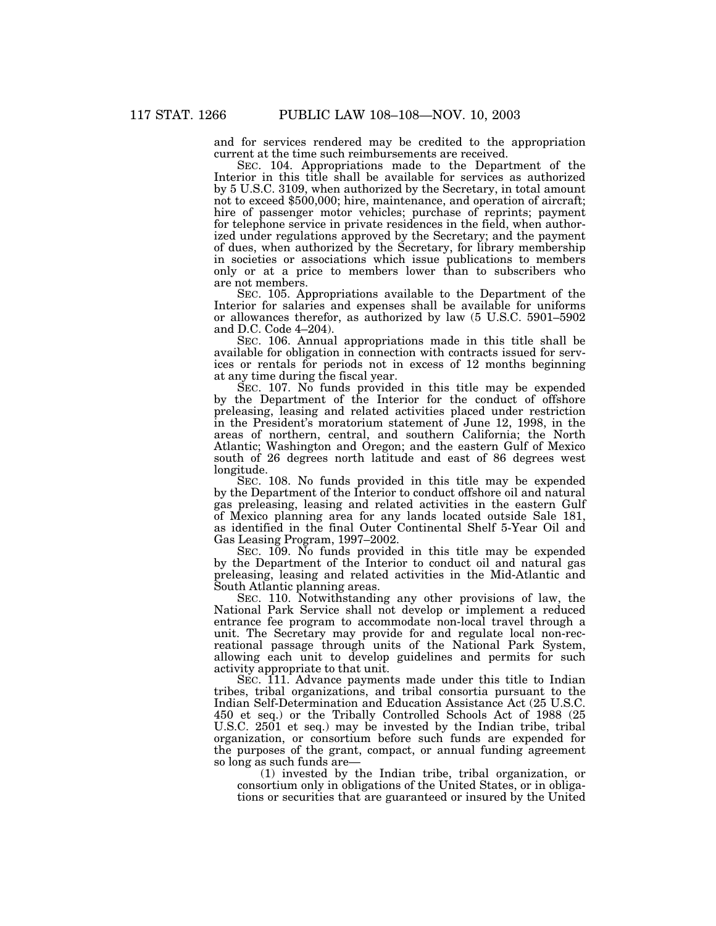and for services rendered may be credited to the appropriation current at the time such reimbursements are received.

SEC. 104. Appropriations made to the Department of the Interior in this title shall be available for services as authorized by 5 U.S.C. 3109, when authorized by the Secretary, in total amount not to exceed \$500,000; hire, maintenance, and operation of aircraft; hire of passenger motor vehicles; purchase of reprints; payment for telephone service in private residences in the field, when authorized under regulations approved by the Secretary; and the payment of dues, when authorized by the Secretary, for library membership in societies or associations which issue publications to members only or at a price to members lower than to subscribers who are not members.

SEC. 105. Appropriations available to the Department of the Interior for salaries and expenses shall be available for uniforms or allowances therefor, as authorized by law (5 U.S.C. 5901–5902 and D.C. Code 4–204).

SEC. 106. Annual appropriations made in this title shall be available for obligation in connection with contracts issued for services or rentals for periods not in excess of 12 months beginning at any time during the fiscal year.

SEC. 107. No funds provided in this title may be expended by the Department of the Interior for the conduct of offshore preleasing, leasing and related activities placed under restriction in the President's moratorium statement of June 12, 1998, in the areas of northern, central, and southern California; the North Atlantic; Washington and Oregon; and the eastern Gulf of Mexico south of 26 degrees north latitude and east of 86 degrees west longitude.

SEC. 108. No funds provided in this title may be expended by the Department of the Interior to conduct offshore oil and natural gas preleasing, leasing and related activities in the eastern Gulf of Mexico planning area for any lands located outside Sale 181, as identified in the final Outer Continental Shelf 5-Year Oil and Gas Leasing Program, 1997–2002.

SEC. 109. No funds provided in this title may be expended by the Department of the Interior to conduct oil and natural gas preleasing, leasing and related activities in the Mid-Atlantic and South Atlantic planning areas.

SEC. 110. Notwithstanding any other provisions of law, the National Park Service shall not develop or implement a reduced entrance fee program to accommodate non-local travel through a unit. The Secretary may provide for and regulate local non-recreational passage through units of the National Park System, allowing each unit to develop guidelines and permits for such activity appropriate to that unit.

SEC. 111. Advance payments made under this title to Indian tribes, tribal organizations, and tribal consortia pursuant to the Indian Self-Determination and Education Assistance Act (25 U.S.C. 450 et seq.) or the Tribally Controlled Schools Act of 1988 (25 U.S.C. 2501 et seq.) may be invested by the Indian tribe, tribal organization, or consortium before such funds are expended for the purposes of the grant, compact, or annual funding agreement so long as such funds are—

(1) invested by the Indian tribe, tribal organization, or consortium only in obligations of the United States, or in obligations or securities that are guaranteed or insured by the United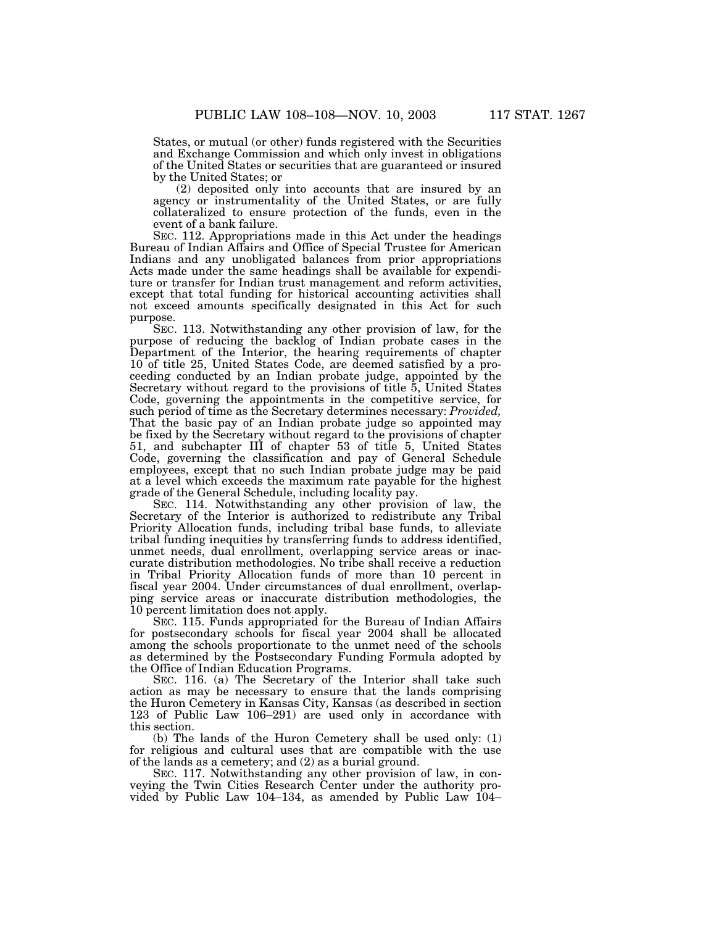States, or mutual (or other) funds registered with the Securities and Exchange Commission and which only invest in obligations of the United States or securities that are guaranteed or insured by the United States; or

(2) deposited only into accounts that are insured by an agency or instrumentality of the United States, or are fully collateralized to ensure protection of the funds, even in the event of a bank failure.

SEC. 112. Appropriations made in this Act under the headings Bureau of Indian Affairs and Office of Special Trustee for American Indians and any unobligated balances from prior appropriations Acts made under the same headings shall be available for expenditure or transfer for Indian trust management and reform activities, except that total funding for historical accounting activities shall not exceed amounts specifically designated in this Act for such purpose.

SEC. 113. Notwithstanding any other provision of law, for the purpose of reducing the backlog of Indian probate cases in the Department of the Interior, the hearing requirements of chapter 10 of title 25, United States Code, are deemed satisfied by a proceeding conducted by an Indian probate judge, appointed by the Secretary without regard to the provisions of title 5, United States Code, governing the appointments in the competitive service, for such period of time as the Secretary determines necessary: *Provided,* That the basic pay of an Indian probate judge so appointed may be fixed by the Secretary without regard to the provisions of chapter 51, and subchapter III of chapter 53 of title 5, United States Code, governing the classification and pay of General Schedule employees, except that no such Indian probate judge may be paid at a level which exceeds the maximum rate payable for the highest grade of the General Schedule, including locality pay.

SEC. 114. Notwithstanding any other provision of law, the Secretary of the Interior is authorized to redistribute any Tribal Priority Allocation funds, including tribal base funds, to alleviate tribal funding inequities by transferring funds to address identified, unmet needs, dual enrollment, overlapping service areas or inaccurate distribution methodologies. No tribe shall receive a reduction in Tribal Priority Allocation funds of more than 10 percent in fiscal year 2004. Under circumstances of dual enrollment, overlapping service areas or inaccurate distribution methodologies, the 10 percent limitation does not apply.

SEC. 115. Funds appropriated for the Bureau of Indian Affairs for postsecondary schools for fiscal year 2004 shall be allocated among the schools proportionate to the unmet need of the schools as determined by the Postsecondary Funding Formula adopted by the Office of Indian Education Programs.

SEC. 116. (a) The Secretary of the Interior shall take such action as may be necessary to ensure that the lands comprising the Huron Cemetery in Kansas City, Kansas (as described in section 123 of Public Law 106–291) are used only in accordance with this section.

(b) The lands of the Huron Cemetery shall be used only: (1) for religious and cultural uses that are compatible with the use of the lands as a cemetery; and (2) as a burial ground.

SEC. 117. Notwithstanding any other provision of law, in conveying the Twin Cities Research Center under the authority provided by Public Law 104–134, as amended by Public Law 104–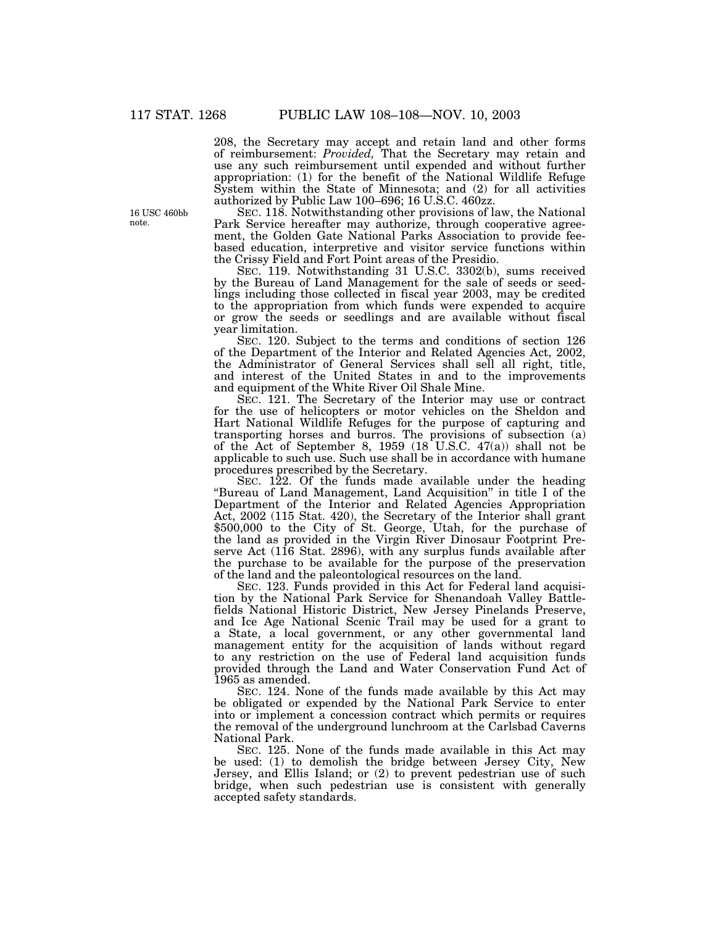208, the Secretary may accept and retain land and other forms of reimbursement: *Provided,* That the Secretary may retain and use any such reimbursement until expended and without further appropriation: (1) for the benefit of the National Wildlife Refuge System within the State of Minnesota; and (2) for all activities authorized by Public Law 100–696; 16 U.S.C. 460zz.

SEC. 118. Notwithstanding other provisions of law, the National Park Service hereafter may authorize, through cooperative agreement, the Golden Gate National Parks Association to provide feebased education, interpretive and visitor service functions within the Crissy Field and Fort Point areas of the Presidio.

SEC. 119. Notwithstanding 31 U.S.C. 3302(b), sums received by the Bureau of Land Management for the sale of seeds or seedlings including those collected in fiscal year 2003, may be credited to the appropriation from which funds were expended to acquire or grow the seeds or seedlings and are available without fiscal year limitation.

SEC. 120. Subject to the terms and conditions of section 126 of the Department of the Interior and Related Agencies Act, 2002, the Administrator of General Services shall sell all right, title, and interest of the United States in and to the improvements and equipment of the White River Oil Shale Mine.

SEC. 121. The Secretary of the Interior may use or contract for the use of helicopters or motor vehicles on the Sheldon and Hart National Wildlife Refuges for the purpose of capturing and transporting horses and burros. The provisions of subsection (a) of the Act of September 8, 1959 (18 U.S.C. 47(a)) shall not be applicable to such use. Such use shall be in accordance with humane procedures prescribed by the Secretary.

SEC. 122. Of the funds made available under the heading "Bureau of Land Management, Land Acquisition" in title I of the Department of the Interior and Related Agencies Appropriation Act, 2002 (115 Stat. 420), the Secretary of the Interior shall grant \$500,000 to the City of St. George, Utah, for the purchase of the land as provided in the Virgin River Dinosaur Footprint Preserve Act (116 Stat. 2896), with any surplus funds available after the purchase to be available for the purpose of the preservation of the land and the paleontological resources on the land.

SEC. 123. Funds provided in this Act for Federal land acquisition by the National Park Service for Shenandoah Valley Battlefields National Historic District, New Jersey Pinelands Preserve, and Ice Age National Scenic Trail may be used for a grant to a State, a local government, or any other governmental land management entity for the acquisition of lands without regard to any restriction on the use of Federal land acquisition funds provided through the Land and Water Conservation Fund Act of 1965 as amended.

SEC. 124. None of the funds made available by this Act may be obligated or expended by the National Park Service to enter into or implement a concession contract which permits or requires the removal of the underground lunchroom at the Carlsbad Caverns National Park.

SEC. 125. None of the funds made available in this Act may be used: (1) to demolish the bridge between Jersey City, New Jersey, and Ellis Island; or (2) to prevent pedestrian use of such bridge, when such pedestrian use is consistent with generally accepted safety standards.

16 USC 460bb note.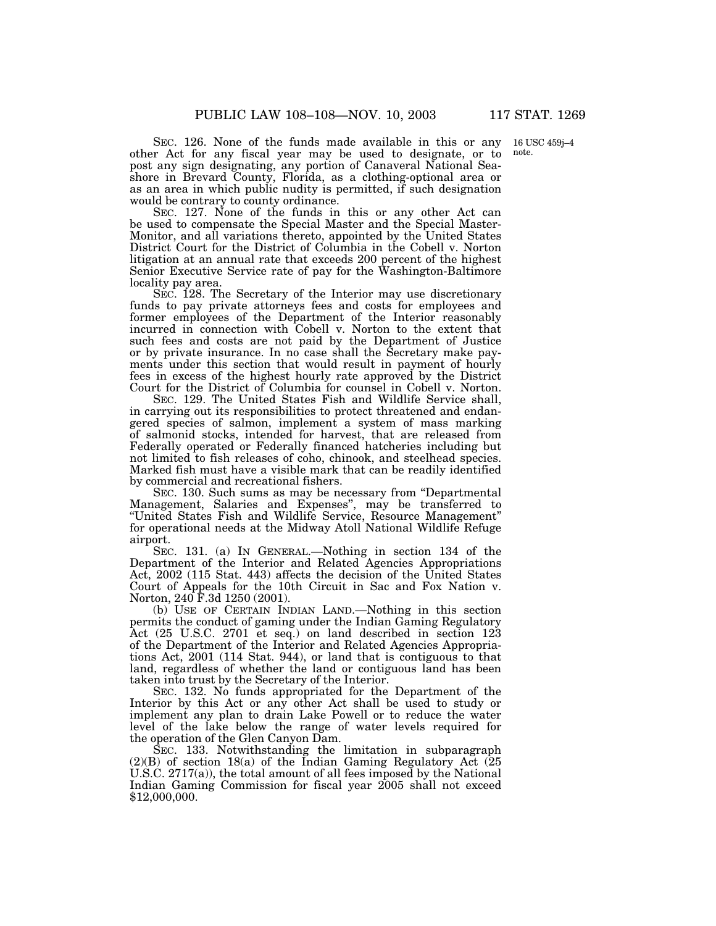SEC. 126. None of the funds made available in this or any other Act for any fiscal year may be used to designate, or to post any sign designating, any portion of Canaveral National Seashore in Brevard County, Florida, as a clothing-optional area or as an area in which public nudity is permitted, if such designation would be contrary to county ordinance.

SEC. 127. None of the funds in this or any other Act can be used to compensate the Special Master and the Special Master-Monitor, and all variations thereto, appointed by the United States District Court for the District of Columbia in the Cobell v. Norton litigation at an annual rate that exceeds 200 percent of the highest Senior Executive Service rate of pay for the Washington-Baltimore locality pay area.

SEC. 128. The Secretary of the Interior may use discretionary funds to pay private attorneys fees and costs for employees and former employees of the Department of the Interior reasonably incurred in connection with Cobell v. Norton to the extent that such fees and costs are not paid by the Department of Justice or by private insurance. In no case shall the Secretary make payments under this section that would result in payment of hourly fees in excess of the highest hourly rate approved by the District Court for the District of Columbia for counsel in Cobell v. Norton.

SEC. 129. The United States Fish and Wildlife Service shall, in carrying out its responsibilities to protect threatened and endangered species of salmon, implement a system of mass marking of salmonid stocks, intended for harvest, that are released from Federally operated or Federally financed hatcheries including but not limited to fish releases of coho, chinook, and steelhead species. Marked fish must have a visible mark that can be readily identified by commercial and recreational fishers.

SEC. 130. Such sums as may be necessary from ''Departmental Management, Salaries and Expenses'', may be transferred to ''United States Fish and Wildlife Service, Resource Management'' for operational needs at the Midway Atoll National Wildlife Refuge airport.

SEC. 131. (a) IN GENERAL.—Nothing in section 134 of the Department of the Interior and Related Agencies Appropriations Act, 2002 (115 Stat. 443) affects the decision of the United States Court of Appeals for the 10th Circuit in Sac and Fox Nation v. Norton, 240 F.3d 1250 (2001).

(b) USE OF CERTAIN INDIAN LAND.—Nothing in this section permits the conduct of gaming under the Indian Gaming Regulatory Act (25 U.S.C. 2701 et seq.) on land described in section 123 of the Department of the Interior and Related Agencies Appropriations Act, 2001 (114 Stat. 944), or land that is contiguous to that land, regardless of whether the land or contiguous land has been taken into trust by the Secretary of the Interior.

SEC. 132. No funds appropriated for the Department of the Interior by this Act or any other Act shall be used to study or implement any plan to drain Lake Powell or to reduce the water level of the lake below the range of water levels required for the operation of the Glen Canyon Dam.

SEC. 133. Notwithstanding the limitation in subparagraph  $(2)(B)$  of section 18(a) of the Indian Gaming Regulatory Act  $(25)$ U.S.C. 2717(a)), the total amount of all fees imposed by the National Indian Gaming Commission for fiscal year 2005 shall not exceed \$12,000,000.

16 USC 459j–4 note.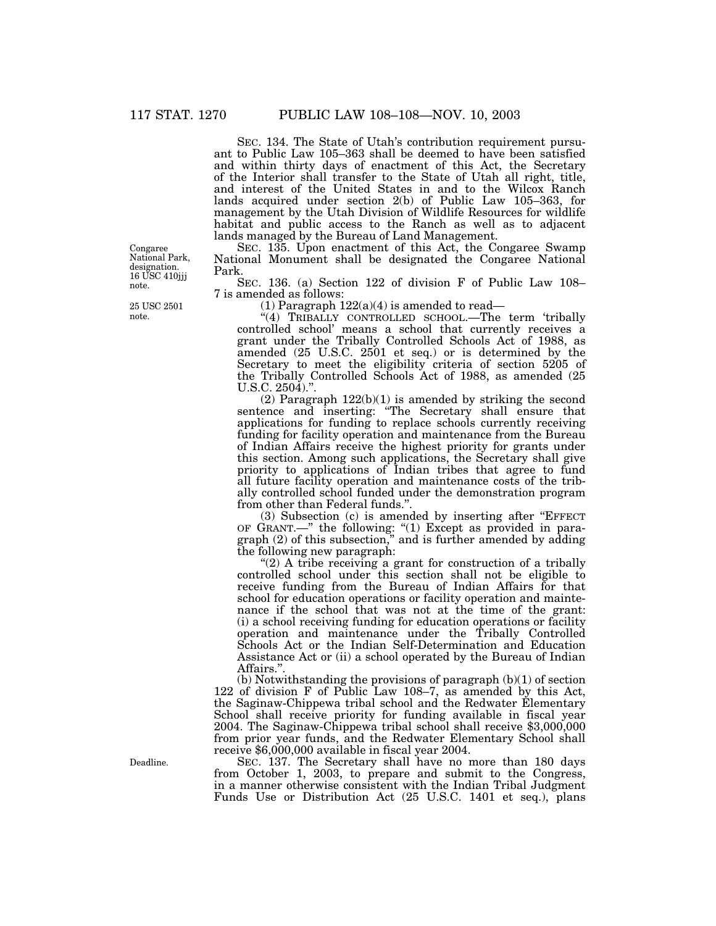SEC. 134. The State of Utah's contribution requirement pursuant to Public Law 105–363 shall be deemed to have been satisfied and within thirty days of enactment of this Act, the Secretary of the Interior shall transfer to the State of Utah all right, title, and interest of the United States in and to the Wilcox Ranch lands acquired under section 2(b) of Public Law 105–363, for management by the Utah Division of Wildlife Resources for wildlife habitat and public access to the Ranch as well as to adjacent lands managed by the Bureau of Land Management.

SEC. 135. Upon enactment of this Act, the Congaree Swamp National Monument shall be designated the Congaree National Park.

SEC. 136. (a) Section 122 of division F of Public Law 108– 7 is amended as follows:

(1) Paragraph  $122(a)(4)$  is amended to read—

"(4) TRIBALLY CONTROLLED SCHOOL.—The term 'tribally controlled school' means a school that currently receives a grant under the Tribally Controlled Schools Act of 1988, as amended (25 U.S.C. 2501 et seq.) or is determined by the Secretary to meet the eligibility criteria of section 5205 of the Tribally Controlled Schools Act of 1988, as amended (25 U.S.C. 2504).''.

(2) Paragraph 122(b)(1) is amended by striking the second sentence and inserting: "The Secretary shall ensure that applications for funding to replace schools currently receiving funding for facility operation and maintenance from the Bureau of Indian Affairs receive the highest priority for grants under this section. Among such applications, the Secretary shall give priority to applications of Indian tribes that agree to fund all future facility operation and maintenance costs of the tribally controlled school funded under the demonstration program from other than Federal funds."

(3) Subsection (c) is amended by inserting after ''EFFECT OF GRANT.—'' the following: ''(1) Except as provided in paragraph (2) of this subsection,'' and is further amended by adding the following new paragraph:

" $(2)$  A tribe receiving a grant for construction of a tribally controlled school under this section shall not be eligible to receive funding from the Bureau of Indian Affairs for that school for education operations or facility operation and maintenance if the school that was not at the time of the grant: (i) a school receiving funding for education operations or facility operation and maintenance under the Tribally Controlled Schools Act or the Indian Self-Determination and Education Assistance Act or (ii) a school operated by the Bureau of Indian Affairs.''.

(b) Notwithstanding the provisions of paragraph (b)(1) of section 122 of division F of Public Law 108–7, as amended by this Act, the Saginaw-Chippewa tribal school and the Redwater Elementary School shall receive priority for funding available in fiscal year 2004. The Saginaw-Chippewa tribal school shall receive \$3,000,000 from prior year funds, and the Redwater Elementary School shall receive \$6,000,000 available in fiscal year 2004.

SEC. 137. The Secretary shall have no more than 180 days from October 1, 2003, to prepare and submit to the Congress, in a manner otherwise consistent with the Indian Tribal Judgment Funds Use or Distribution Act (25 U.S.C. 1401 et seq.), plans

Congaree National Park, designation. 16 USC 410jjj note.

25 USC 2501 note.

Deadline.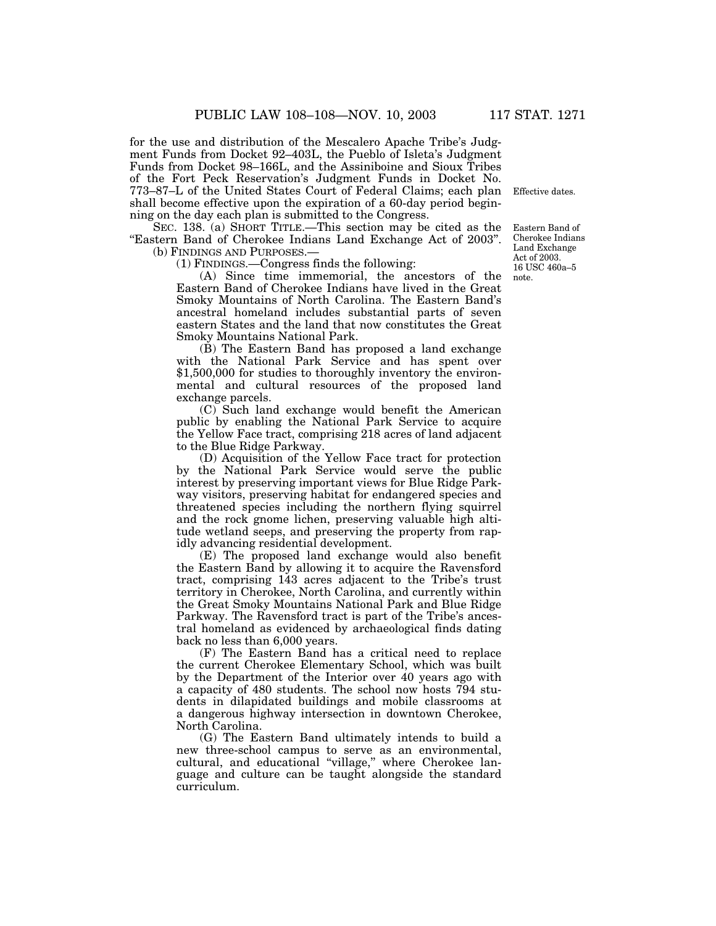for the use and distribution of the Mescalero Apache Tribe's Judgment Funds from Docket 92–403L, the Pueblo of Isleta's Judgment Funds from Docket 98–166L, and the Assiniboine and Sioux Tribes of the Fort Peck Reservation's Judgment Funds in Docket No. 773–87–L of the United States Court of Federal Claims; each plan shall become effective upon the expiration of a 60-day period beginning on the day each plan is submitted to the Congress.

SEC. 138. (a) SHORT TITLE.—This section may be cited as the ''Eastern Band of Cherokee Indians Land Exchange Act of 2003''. (b) FINDINGS AND PURPOSES.—

(1) FINDINGS.—Congress finds the following:

(A) Since time immemorial, the ancestors of the Eastern Band of Cherokee Indians have lived in the Great Smoky Mountains of North Carolina. The Eastern Band's ancestral homeland includes substantial parts of seven eastern States and the land that now constitutes the Great Smoky Mountains National Park.

(B) The Eastern Band has proposed a land exchange with the National Park Service and has spent over \$1,500,000 for studies to thoroughly inventory the environmental and cultural resources of the proposed land exchange parcels.

(C) Such land exchange would benefit the American public by enabling the National Park Service to acquire the Yellow Face tract, comprising 218 acres of land adjacent to the Blue Ridge Parkway.

(D) Acquisition of the Yellow Face tract for protection by the National Park Service would serve the public interest by preserving important views for Blue Ridge Parkway visitors, preserving habitat for endangered species and threatened species including the northern flying squirrel and the rock gnome lichen, preserving valuable high altitude wetland seeps, and preserving the property from rapidly advancing residential development.

(E) The proposed land exchange would also benefit the Eastern Band by allowing it to acquire the Ravensford tract, comprising 143 acres adjacent to the Tribe's trust territory in Cherokee, North Carolina, and currently within the Great Smoky Mountains National Park and Blue Ridge Parkway. The Ravensford tract is part of the Tribe's ancestral homeland as evidenced by archaeological finds dating back no less than 6,000 years.

(F) The Eastern Band has a critical need to replace the current Cherokee Elementary School, which was built by the Department of the Interior over 40 years ago with a capacity of 480 students. The school now hosts 794 students in dilapidated buildings and mobile classrooms at a dangerous highway intersection in downtown Cherokee, North Carolina.

(G) The Eastern Band ultimately intends to build a new three-school campus to serve as an environmental, cultural, and educational ''village,'' where Cherokee language and culture can be taught alongside the standard curriculum.

Effective dates.

Eastern Band of Cherokee Indians Land Exchange Act of 2003. 16 USC 460a–5 note.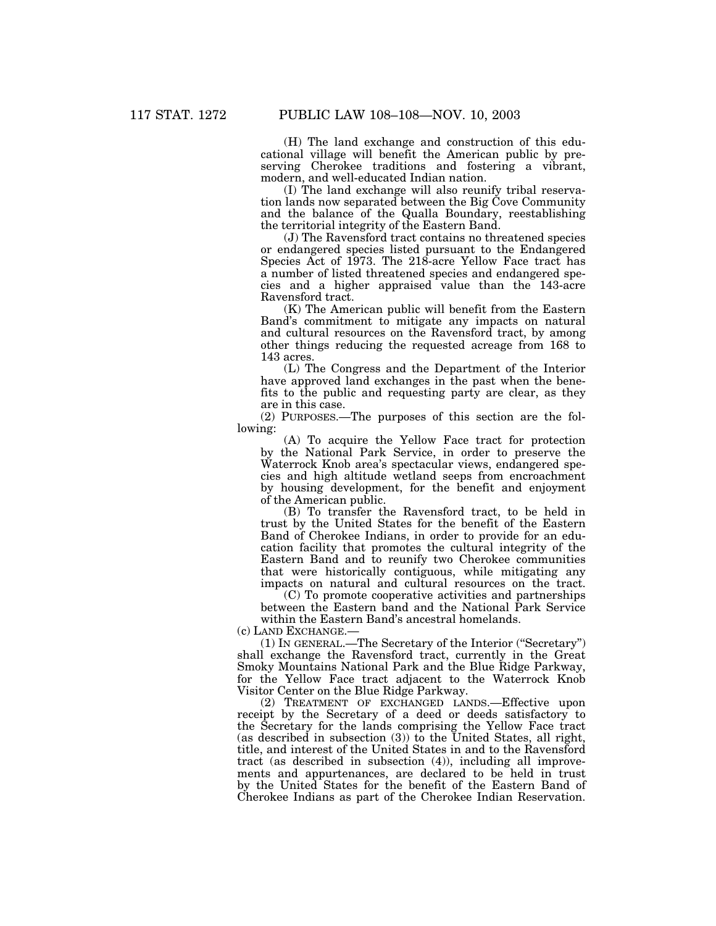(H) The land exchange and construction of this educational village will benefit the American public by preserving Cherokee traditions and fostering a vibrant, modern, and well-educated Indian nation.

(I) The land exchange will also reunify tribal reservation lands now separated between the Big Cove Community and the balance of the Qualla Boundary, reestablishing the territorial integrity of the Eastern Band.

(J) The Ravensford tract contains no threatened species or endangered species listed pursuant to the Endangered Species Act of 1973. The 218-acre Yellow Face tract has a number of listed threatened species and endangered species and a higher appraised value than the 143-acre Ravensford tract.

(K) The American public will benefit from the Eastern Band's commitment to mitigate any impacts on natural and cultural resources on the Ravensford tract, by among other things reducing the requested acreage from 168 to 143 acres.

(L) The Congress and the Department of the Interior have approved land exchanges in the past when the benefits to the public and requesting party are clear, as they are in this case.

(2) PURPOSES.—The purposes of this section are the following:

(A) To acquire the Yellow Face tract for protection by the National Park Service, in order to preserve the Waterrock Knob area's spectacular views, endangered species and high altitude wetland seeps from encroachment by housing development, for the benefit and enjoyment of the American public.

(B) To transfer the Ravensford tract, to be held in trust by the United States for the benefit of the Eastern Band of Cherokee Indians, in order to provide for an education facility that promotes the cultural integrity of the Eastern Band and to reunify two Cherokee communities that were historically contiguous, while mitigating any impacts on natural and cultural resources on the tract.

(C) To promote cooperative activities and partnerships between the Eastern band and the National Park Service within the Eastern Band's ancestral homelands.

(c) LAND EXCHANGE.—

(1) IN GENERAL.—The Secretary of the Interior (''Secretary'') shall exchange the Ravensford tract, currently in the Great Smoky Mountains National Park and the Blue Ridge Parkway, for the Yellow Face tract adjacent to the Waterrock Knob Visitor Center on the Blue Ridge Parkway.

(2) TREATMENT OF EXCHANGED LANDS.—Effective upon receipt by the Secretary of a deed or deeds satisfactory to the Secretary for the lands comprising the Yellow Face tract (as described in subsection (3)) to the United States, all right, title, and interest of the United States in and to the Ravensford tract (as described in subsection (4)), including all improvements and appurtenances, are declared to be held in trust by the United States for the benefit of the Eastern Band of Cherokee Indians as part of the Cherokee Indian Reservation.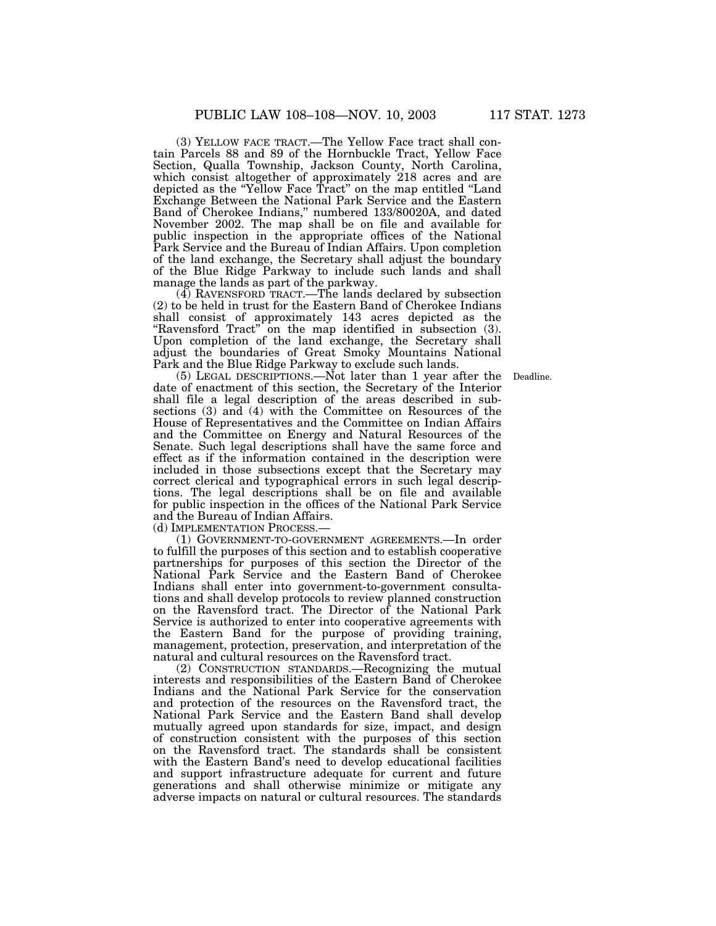(3) YELLOW FACE TRACT.—The Yellow Face tract shall contain Parcels 88 and 89 of the Hornbuckle Tract, Yellow Face Section, Qualla Township, Jackson County, North Carolina, which consist altogether of approximately 218 acres and are depicted as the ''Yellow Face Tract'' on the map entitled ''Land Exchange Between the National Park Service and the Eastern Band of Cherokee Indians,'' numbered 133/80020A, and dated November 2002. The map shall be on file and available for public inspection in the appropriate offices of the National Park Service and the Bureau of Indian Affairs. Upon completion of the land exchange, the Secretary shall adjust the boundary of the Blue Ridge Parkway to include such lands and shall manage the lands as part of the parkway.

(4) RAVENSFORD TRACT.—The lands declared by subsection (2) to be held in trust for the Eastern Band of Cherokee Indians shall consist of approximately 143 acres depicted as the "Ravensford Tract" on the map identified in subsection (3). Upon completion of the land exchange, the Secretary shall adjust the boundaries of Great Smoky Mountains National Park and the Blue Ridge Parkway to exclude such lands.

(5) LEGAL DESCRIPTIONS.—Not later than 1 year after the Deadline. date of enactment of this section, the Secretary of the Interior shall file a legal description of the areas described in subsections (3) and (4) with the Committee on Resources of the House of Representatives and the Committee on Indian Affairs and the Committee on Energy and Natural Resources of the Senate. Such legal descriptions shall have the same force and effect as if the information contained in the description were included in those subsections except that the Secretary may correct clerical and typographical errors in such legal descriptions. The legal descriptions shall be on file and available for public inspection in the offices of the National Park Service and the Bureau of Indian Affairs.

(d) IMPLEMENTATION PROCESS.—

(1) GOVERNMENT-TO-GOVERNMENT AGREEMENTS.—In order to fulfill the purposes of this section and to establish cooperative partnerships for purposes of this section the Director of the National Park Service and the Eastern Band of Cherokee Indians shall enter into government-to-government consultations and shall develop protocols to review planned construction on the Ravensford tract. The Director of the National Park Service is authorized to enter into cooperative agreements with the Eastern Band for the purpose of providing training, management, protection, preservation, and interpretation of the natural and cultural resources on the Ravensford tract.

(2) CONSTRUCTION STANDARDS.—Recognizing the mutual interests and responsibilities of the Eastern Band of Cherokee Indians and the National Park Service for the conservation and protection of the resources on the Ravensford tract, the National Park Service and the Eastern Band shall develop mutually agreed upon standards for size, impact, and design of construction consistent with the purposes of this section on the Ravensford tract. The standards shall be consistent with the Eastern Band's need to develop educational facilities and support infrastructure adequate for current and future generations and shall otherwise minimize or mitigate any adverse impacts on natural or cultural resources. The standards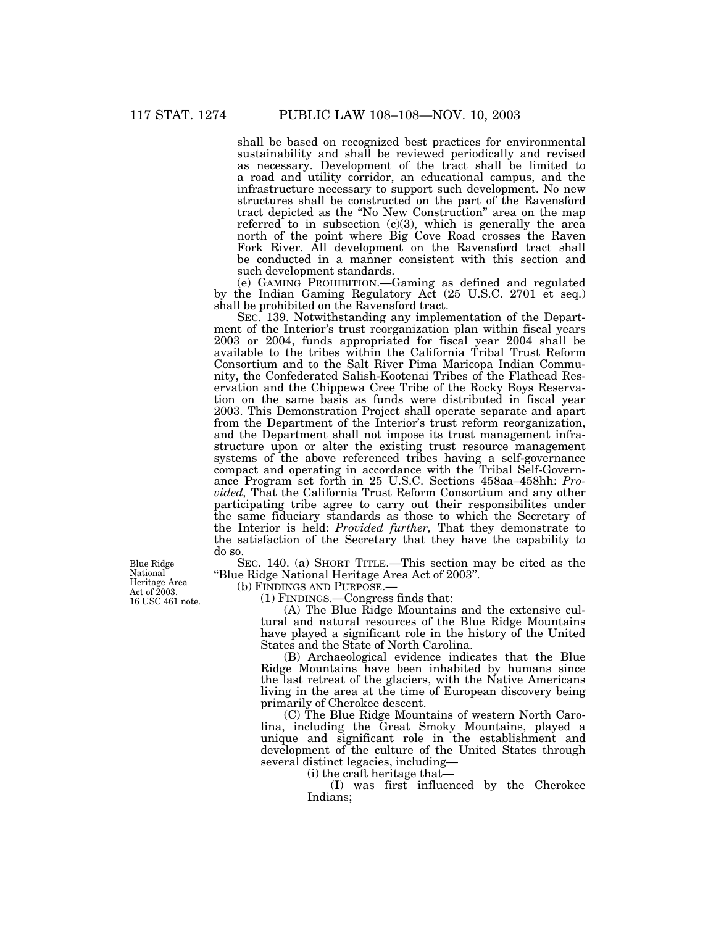shall be based on recognized best practices for environmental sustainability and shall be reviewed periodically and revised as necessary. Development of the tract shall be limited to a road and utility corridor, an educational campus, and the infrastructure necessary to support such development. No new structures shall be constructed on the part of the Ravensford tract depicted as the ''No New Construction'' area on the map referred to in subsection  $(c)(3)$ , which is generally the area north of the point where Big Cove Road crosses the Raven Fork River. All development on the Ravensford tract shall be conducted in a manner consistent with this section and such development standards.

(e) GAMING PROHIBITION.—Gaming as defined and regulated by the Indian Gaming Regulatory Act (25 U.S.C. 2701 et seq.) shall be prohibited on the Ravensford tract.

SEC. 139. Notwithstanding any implementation of the Department of the Interior's trust reorganization plan within fiscal years 2003 or 2004, funds appropriated for fiscal year 2004 shall be available to the tribes within the California Tribal Trust Reform Consortium and to the Salt River Pima Maricopa Indian Community, the Confederated Salish-Kootenai Tribes of the Flathead Reservation and the Chippewa Cree Tribe of the Rocky Boys Reservation on the same basis as funds were distributed in fiscal year 2003. This Demonstration Project shall operate separate and apart from the Department of the Interior's trust reform reorganization, and the Department shall not impose its trust management infrastructure upon or alter the existing trust resource management systems of the above referenced tribes having a self-governance compact and operating in accordance with the Tribal Self-Governance Program set forth in 25 U.S.C. Sections 458aa–458hh: *Provided,* That the California Trust Reform Consortium and any other participating tribe agree to carry out their responsibilites under the same fiduciary standards as those to which the Secretary of the Interior is held: *Provided further,* That they demonstrate to the satisfaction of the Secretary that they have the capability to do so.

SEC. 140. (a) SHORT TITLE.—This section may be cited as the ''Blue Ridge National Heritage Area Act of 2003''.

(b) FINDINGS AND PURPOSE.—

(1) FINDINGS.—Congress finds that:

(A) The Blue Ridge Mountains and the extensive cultural and natural resources of the Blue Ridge Mountains have played a significant role in the history of the United States and the State of North Carolina.

(B) Archaeological evidence indicates that the Blue Ridge Mountains have been inhabited by humans since the last retreat of the glaciers, with the Native Americans living in the area at the time of European discovery being primarily of Cherokee descent.

(C) The Blue Ridge Mountains of western North Carolina, including the Great Smoky Mountains, played a unique and significant role in the establishment and development of the culture of the United States through several distinct legacies, including—

(i) the craft heritage that—

(I) was first influenced by the Cherokee Indians;

Blue Ridge National Heritage Area Act of  $\bar{2}003$ . 16 USC 461 note.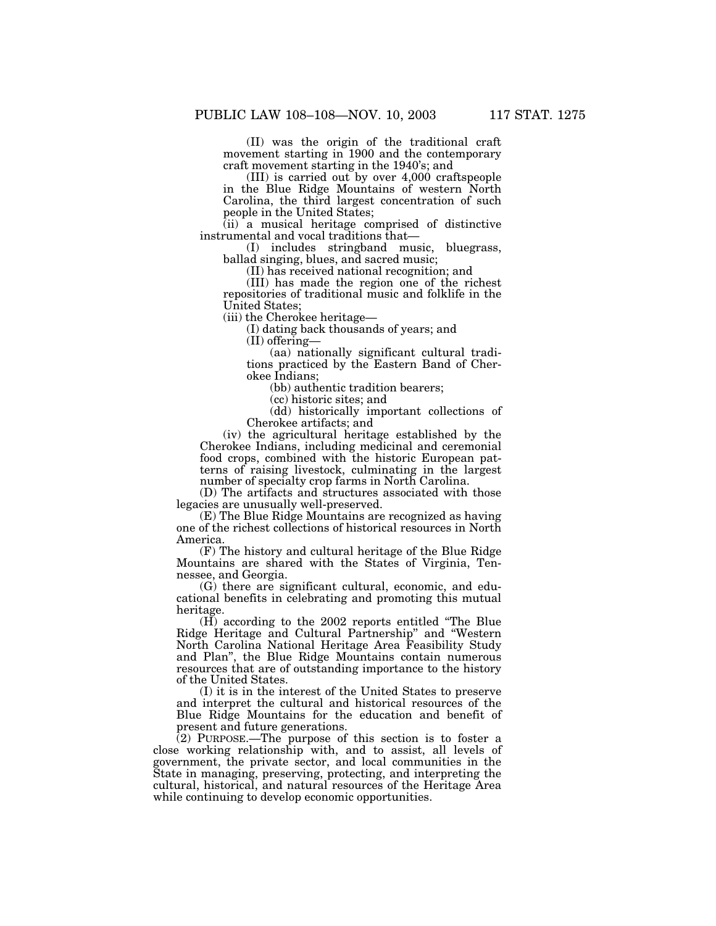(II) was the origin of the traditional craft movement starting in 1900 and the contemporary craft movement starting in the 1940's; and

(III) is carried out by over 4,000 craftspeople in the Blue Ridge Mountains of western North Carolina, the third largest concentration of such people in the United States;

(ii) a musical heritage comprised of distinctive instrumental and vocal traditions that—

(I) includes stringband music, bluegrass, ballad singing, blues, and sacred music;

(II) has received national recognition; and

(III) has made the region one of the richest repositories of traditional music and folklife in the United States;

(iii) the Cherokee heritage—

(I) dating back thousands of years; and

(II) offering—

(aa) nationally significant cultural traditions practiced by the Eastern Band of Cherokee Indians;

(bb) authentic tradition bearers;

(cc) historic sites; and

(dd) historically important collections of Cherokee artifacts; and

(iv) the agricultural heritage established by the Cherokee Indians, including medicinal and ceremonial food crops, combined with the historic European patterns of raising livestock, culminating in the largest number of specialty crop farms in North Carolina.

(D) The artifacts and structures associated with those legacies are unusually well-preserved.

(E) The Blue Ridge Mountains are recognized as having one of the richest collections of historical resources in North America.

(F) The history and cultural heritage of the Blue Ridge Mountains are shared with the States of Virginia, Tennessee, and Georgia.

(G) there are significant cultural, economic, and educational benefits in celebrating and promoting this mutual heritage.

(H) according to the 2002 reports entitled ''The Blue Ridge Heritage and Cultural Partnership'' and ''Western North Carolina National Heritage Area Feasibility Study and Plan'', the Blue Ridge Mountains contain numerous resources that are of outstanding importance to the history of the United States.

(I) it is in the interest of the United States to preserve and interpret the cultural and historical resources of the Blue Ridge Mountains for the education and benefit of present and future generations.

(2) PURPOSE.—The purpose of this section is to foster a close working relationship with, and to assist, all levels of government, the private sector, and local communities in the State in managing, preserving, protecting, and interpreting the cultural, historical, and natural resources of the Heritage Area while continuing to develop economic opportunities.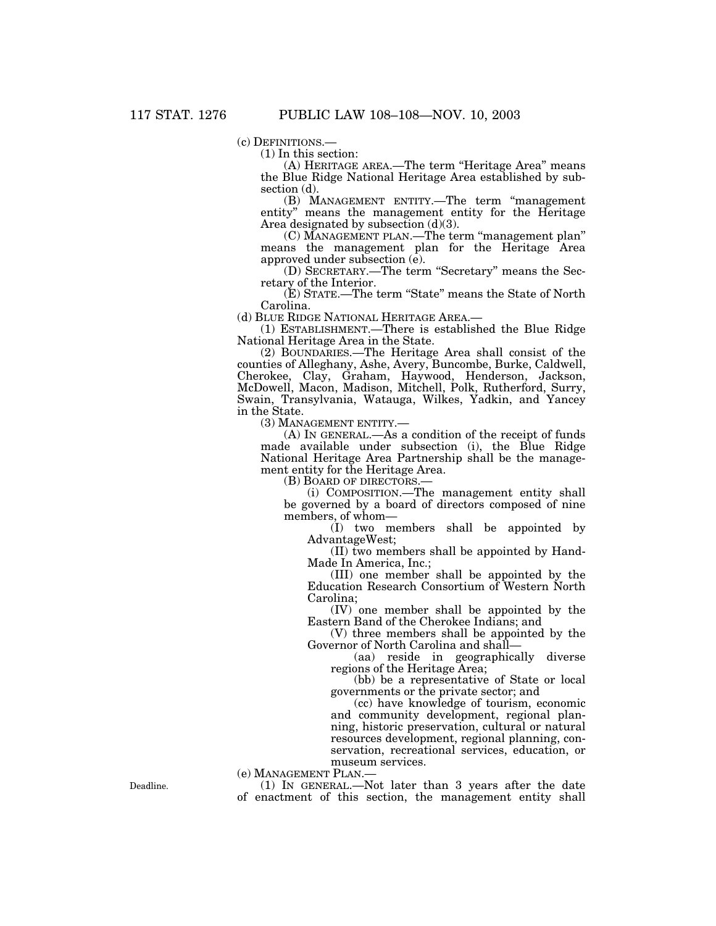(c) DEFINITIONS.—<br>(1) In this section:

(A) HERITAGE AREA.—The term ''Heritage Area'' means the Blue Ridge National Heritage Area established by subsection (d).

(B) MANAGEMENT ENTITY.—The term ''management entity'' means the management entity for the Heritage Area designated by subsection (d)(3).

(C) MANAGEMENT PLAN.—The term ''management plan'' means the management plan for the Heritage Area approved under subsection (e).

(D) SECRETARY.—The term ''Secretary'' means the Secretary of the Interior.

(E) STATE.—The term ''State'' means the State of North Carolina.<br>(d) BLUE RIDGE NATIONAL HERITAGE AREA.—

 $(1)$  ESTABLISHMENT.—There is established the Blue Ridge National Heritage Area in the State.

(2) BOUNDARIES.—The Heritage Area shall consist of the counties of Alleghany, Ashe, Avery, Buncombe, Burke, Caldwell, Cherokee, Clay, Graham, Haywood, Henderson, Jackson, McDowell, Macon, Madison, Mitchell, Polk, Rutherford, Surry, Swain, Transylvania, Watauga, Wilkes, Yadkin, and Yancey in the State.

(3) MANAGEMENT ENTITY.—

(A) IN GENERAL.—As a condition of the receipt of funds made available under subsection (i), the Blue Ridge National Heritage Area Partnership shall be the management entity for the Heritage Area.

(B) BOARD OF DIRECTORS.—

(i) COMPOSITION.—The management entity shall be governed by a board of directors composed of nine members, of whom—

(I) two members shall be appointed by AdvantageWest;

(II) two members shall be appointed by Hand-Made In America, Inc.;

(III) one member shall be appointed by the Education Research Consortium of Western North Carolina;

(IV) one member shall be appointed by the Eastern Band of the Cherokee Indians; and

(V) three members shall be appointed by the Governor of North Carolina and shall—

(aa) reside in geographically diverse regions of the Heritage Area;

(bb) be a representative of State or local governments or the private sector; and

(cc) have knowledge of tourism, economic and community development, regional planning, historic preservation, cultural or natural resources development, regional planning, conservation, recreational services, education, or museum services.

(e) MANAGEMENT PLAN.— (1) IN GENERAL.—Not later than 3 years after the date of enactment of this section, the management entity shall

Deadline.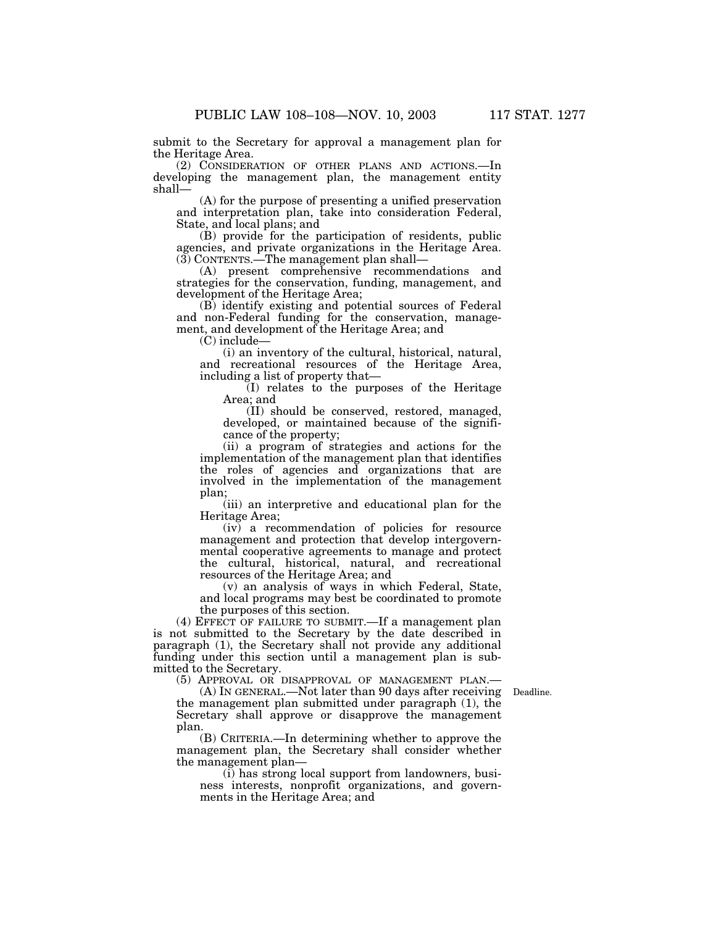submit to the Secretary for approval a management plan for the Heritage Area.

(2) CONSIDERATION OF OTHER PLANS AND ACTIONS.—In developing the management plan, the management entity shall—

(A) for the purpose of presenting a unified preservation and interpretation plan, take into consideration Federal, State, and local plans; and

(B) provide for the participation of residents, public agencies, and private organizations in the Heritage Area. (3) CONTENTS.—The management plan shall—

(A) present comprehensive recommendations and strategies for the conservation, funding, management, and development of the Heritage Area;

(B) identify existing and potential sources of Federal and non-Federal funding for the conservation, management, and development of the Heritage Area; and

(C) include—

(i) an inventory of the cultural, historical, natural, and recreational resources of the Heritage Area, including a list of property that—

(I) relates to the purposes of the Heritage Area; and

(II) should be conserved, restored, managed, developed, or maintained because of the significance of the property;

(ii) a program of strategies and actions for the implementation of the management plan that identifies the roles of agencies and organizations that are involved in the implementation of the management plan;

(iii) an interpretive and educational plan for the Heritage Area;

(iv) a recommendation of policies for resource management and protection that develop intergovernmental cooperative agreements to manage and protect the cultural, historical, natural, and recreational resources of the Heritage Area; and

(v) an analysis of ways in which Federal, State, and local programs may best be coordinated to promote the purposes of this section.

(4) EFFECT OF FAILURE TO SUBMIT.—If a management plan is not submitted to the Secretary by the date described in paragraph (1), the Secretary shall not provide any additional funding under this section until a management plan is submitted to the Secretary.

(5) APPROVAL OR DISAPPROVAL OF MANAGEMENT PLAN.—

(A) IN GENERAL.—Not later than 90 days after receiving Deadline. the management plan submitted under paragraph (1), the Secretary shall approve or disapprove the management plan.

(B) CRITERIA.—In determining whether to approve the management plan, the Secretary shall consider whether the management plan—

(i) has strong local support from landowners, business interests, nonprofit organizations, and governments in the Heritage Area; and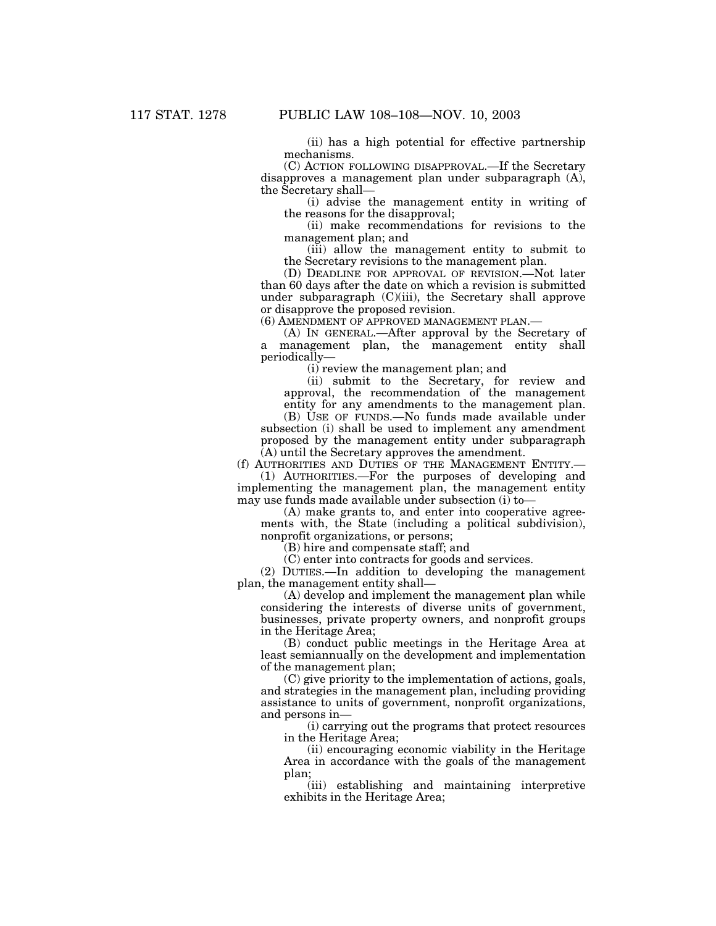(ii) has a high potential for effective partnership mechanisms.

(C) ACTION FOLLOWING DISAPPROVAL.—If the Secretary disapproves a management plan under subparagraph (A), the Secretary shall—

(i) advise the management entity in writing of the reasons for the disapproval;

(ii) make recommendations for revisions to the management plan; and

(iii) allow the management entity to submit to the Secretary revisions to the management plan.

(D) DEADLINE FOR APPROVAL OF REVISION.—Not later than 60 days after the date on which a revision is submitted under subparagraph (C)(iii), the Secretary shall approve or disapprove the proposed revision.

(6) AMENDMENT OF APPROVED MANAGEMENT PLAN.—

(A) IN GENERAL.—After approval by the Secretary of management plan, the management entity shall periodically—

(i) review the management plan; and

(ii) submit to the Secretary, for review and approval, the recommendation of the management entity for any amendments to the management plan.

(B) USE OF FUNDS.—No funds made available under subsection (i) shall be used to implement any amendment proposed by the management entity under subparagraph (A) until the Secretary approves the amendment.

(f) AUTHORITIES AND DUTIES OF THE MANAGEMENT ENTITY.—

(1) AUTHORITIES.—For the purposes of developing and implementing the management plan, the management entity may use funds made available under subsection (i) to—

(A) make grants to, and enter into cooperative agreements with, the State (including a political subdivision), nonprofit organizations, or persons;

(B) hire and compensate staff; and

(C) enter into contracts for goods and services.

(2) DUTIES.—In addition to developing the management plan, the management entity shall—

(A) develop and implement the management plan while considering the interests of diverse units of government, businesses, private property owners, and nonprofit groups in the Heritage Area;

(B) conduct public meetings in the Heritage Area at least semiannually on the development and implementation of the management plan;

(C) give priority to the implementation of actions, goals, and strategies in the management plan, including providing assistance to units of government, nonprofit organizations, and persons in—

(i) carrying out the programs that protect resources in the Heritage Area;

(ii) encouraging economic viability in the Heritage Area in accordance with the goals of the management plan;

(iii) establishing and maintaining interpretive exhibits in the Heritage Area;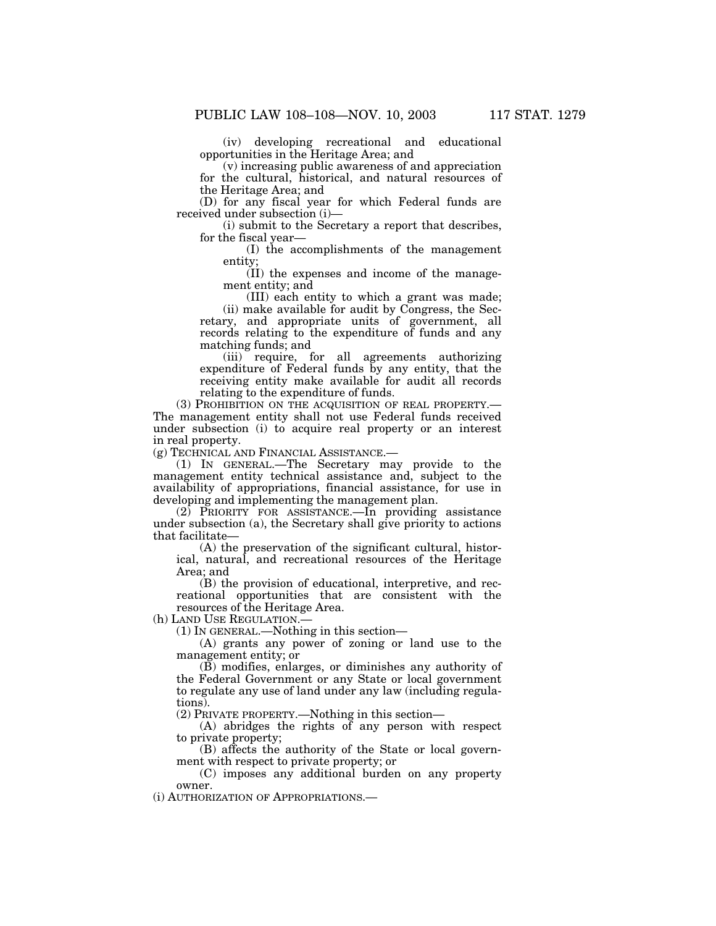(iv) developing recreational and educational opportunities in the Heritage Area; and

(v) increasing public awareness of and appreciation for the cultural, historical, and natural resources of the Heritage Area; and

(D) for any fiscal year for which Federal funds are received under subsection (i)—

(i) submit to the Secretary a report that describes, for the fiscal year—

(I) the accomplishments of the management entity;

(II) the expenses and income of the management entity; and

(III) each entity to which a grant was made; (ii) make available for audit by Congress, the Secretary, and appropriate units of government, all records relating to the expenditure of funds and any matching funds; and

(iii) require, for all agreements authorizing expenditure of Federal funds by any entity, that the receiving entity make available for audit all records relating to the expenditure of funds.

(3) PROHIBITION ON THE ACQUISITION OF REAL PROPERTY.— The management entity shall not use Federal funds received under subsection (i) to acquire real property or an interest in real property.

(g) TECHNICAL AND FINANCIAL ASSISTANCE.—

(1) IN GENERAL.—The Secretary may provide to the management entity technical assistance and, subject to the availability of appropriations, financial assistance, for use in developing and implementing the management plan.

(2) PRIORITY FOR ASSISTANCE.—In providing assistance under subsection (a), the Secretary shall give priority to actions that facilitate—

(A) the preservation of the significant cultural, historical, natural, and recreational resources of the Heritage Area; and

(B) the provision of educational, interpretive, and recreational opportunities that are consistent with the resources of the Heritage Area.

(h) LAND USE REGULATION.—

(1) IN GENERAL.—Nothing in this section—

(A) grants any power of zoning or land use to the management entity; or

(B) modifies, enlarges, or diminishes any authority of the Federal Government or any State or local government to regulate any use of land under any law (including regulations).

(2) PRIVATE PROPERTY.—Nothing in this section—

(A) abridges the rights of any person with respect to private property;

(B) affects the authority of the State or local government with respect to private property; or

(C) imposes any additional burden on any property owner.

(i) AUTHORIZATION OF APPROPRIATIONS.—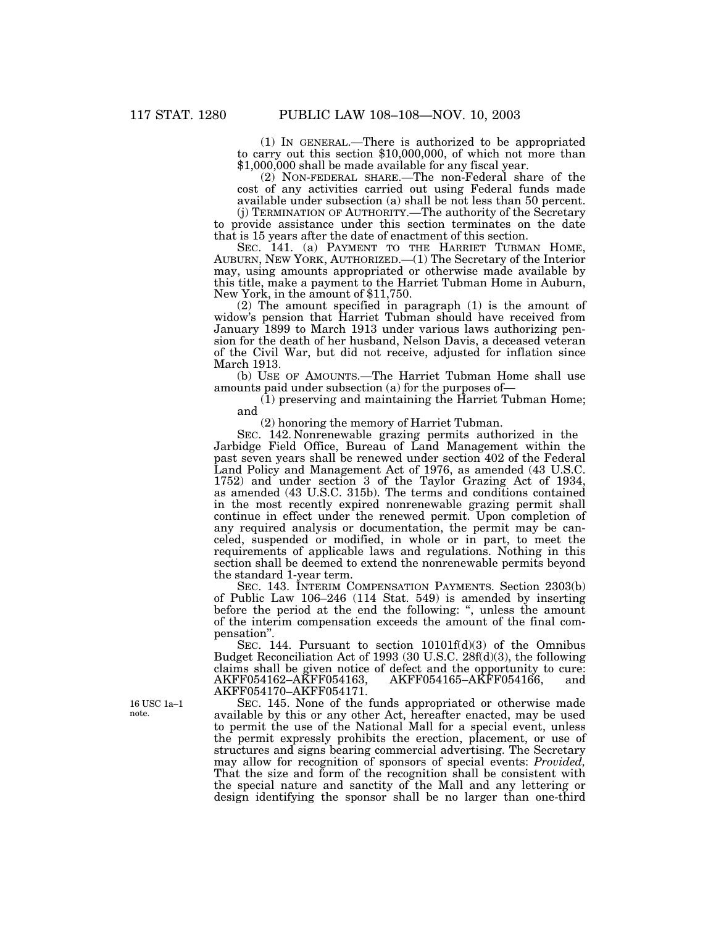(1) IN GENERAL.—There is authorized to be appropriated to carry out this section \$10,000,000, of which not more than \$1,000,000 shall be made available for any fiscal year.

(2) NON-FEDERAL SHARE.—The non-Federal share of the cost of any activities carried out using Federal funds made available under subsection (a) shall be not less than 50 percent.

(j) TERMINATION OF AUTHORITY.—The authority of the Secretary to provide assistance under this section terminates on the date that is 15 years after the date of enactment of this section.

SEC. 141. (a) PAYMENT TO THE HARRIET TUBMAN HOME, AUBURN, NEW YORK, AUTHORIZED.—(1) The Secretary of the Interior may, using amounts appropriated or otherwise made available by this title, make a payment to the Harriet Tubman Home in Auburn, New York, in the amount of \$11,750.

(2) The amount specified in paragraph (1) is the amount of widow's pension that Harriet Tubman should have received from January 1899 to March 1913 under various laws authorizing pension for the death of her husband, Nelson Davis, a deceased veteran of the Civil War, but did not receive, adjusted for inflation since March 1913.

(b) USE OF AMOUNTS.—The Harriet Tubman Home shall use amounts paid under subsection (a) for the purposes of—

(1) preserving and maintaining the Harriet Tubman Home; and

(2) honoring the memory of Harriet Tubman.

SEC. 142. Nonrenewable grazing permits authorized in the Jarbidge Field Office, Bureau of Land Management within the past seven years shall be renewed under section 402 of the Federal Land Policy and Management Act of 1976, as amended (43 U.S.C. 1752) and under section 3 of the Taylor Grazing Act of 1934, as amended (43 U.S.C. 315b). The terms and conditions contained in the most recently expired nonrenewable grazing permit shall continue in effect under the renewed permit. Upon completion of any required analysis or documentation, the permit may be canceled, suspended or modified, in whole or in part, to meet the requirements of applicable laws and regulations. Nothing in this section shall be deemed to extend the nonrenewable permits beyond the standard 1-year term.

SEC. 143. INTERIM COMPENSATION PAYMENTS. Section 2303(b) of Public Law 106–246 (114 Stat. 549) is amended by inserting before the period at the end the following: '', unless the amount of the interim compensation exceeds the amount of the final compensation''.

SEC. 144. Pursuant to section  $10101\text{f(d)}(3)$  of the Omnibus Budget Reconciliation Act of 1993 (30 U.S.C. 28f(d)(3), the following claims shall be given notice of defect and the opportunity to cure:<br>AKFF054162–AKFF054163, AKFF054165–AKFF054166, and AKFF054165-AKFF054166, and AKFF054170–AKFF054171.

SEC. 145. None of the funds appropriated or otherwise made available by this or any other Act, hereafter enacted, may be used to permit the use of the National Mall for a special event, unless the permit expressly prohibits the erection, placement, or use of structures and signs bearing commercial advertising. The Secretary may allow for recognition of sponsors of special events: *Provided,* That the size and form of the recognition shall be consistent with the special nature and sanctity of the Mall and any lettering or design identifying the sponsor shall be no larger than one-third

16 USC 1a–1 note.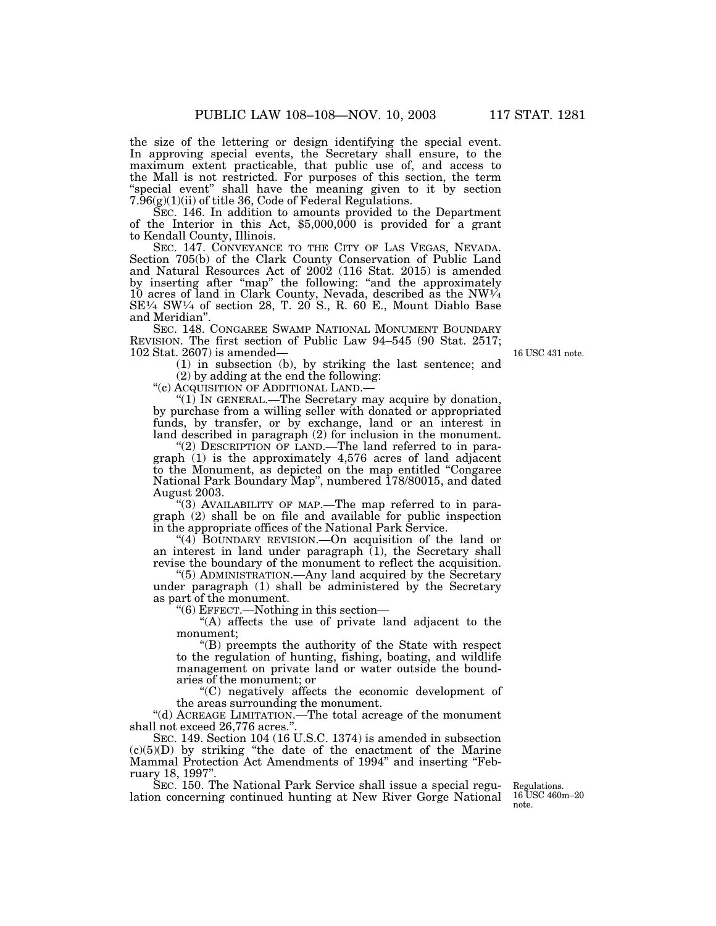the size of the lettering or design identifying the special event. In approving special events, the Secretary shall ensure, to the maximum extent practicable, that public use of, and access to the Mall is not restricted. For purposes of this section, the term "special event" shall have the meaning given to it by section  $7.\overline{96(g)(1)(ii)}$  of title 36, Code of Federal Regulations.<br>SEC. 146. In addition to amounts provided to the Department

of the Interior in this Act,  $$5,000,000$  is provided for a grant to Kendall County, Illinois.<br>SEC. 147. CONVEYANCE TO THE CITY OF LAS VEGAS, NEVADA.

SEC. 147. CONVEYANCE TO THE CITY OF LAS VEGAS, NEVADA. Section 705(b) of the Clark County Conservation of Public Land and Natural Resources Act of 2002 (116 Stat. 2015) is amended by inserting after ''map'' the following: ''and the approximately 10 acres of land in Clark County, Nevada, described as the NW1⁄4  $SE\frac{1}{4}$  SW $\frac{1}{4}$  of section 28, T. 20<sup>'</sup>S., R. 60<sup>'</sup>E., Mount Diablo Base and Meridian''.

SEC. 148. CONGAREE SWAMP NATIONAL MONUMENT BOUNDARY REVISION. The first section of Public Law 94–545 (90 Stat. 2517; 102 Stat. 2607) is amended—

16 USC 431 note.

(1) in subsection (b), by striking the last sentence; and (2) by adding at the end the following:

''(c) ACQUISITION OF ADDITIONAL LAND.—

"(1) IN GENERAL.—The Secretary may acquire by donation, by purchase from a willing seller with donated or appropriated funds, by transfer, or by exchange, land or an interest in land described in paragraph (2) for inclusion in the monument.

"(2) DESCRIPTION OF LAND.—The land referred to in paragraph (1) is the approximately 4,576 acres of land adjacent to the Monument, as depicted on the map entitled ''Congaree National Park Boundary Map'', numbered 178/80015, and dated August 2003.

"(3) AVAILABILITY OF MAP.—The map referred to in paragraph (2) shall be on file and available for public inspection in the appropriate offices of the National Park Service.

" $(4)$  BOUNDARY REVISION.—On acquisition of the land or an interest in land under paragraph (1), the Secretary shall revise the boundary of the monument to reflect the acquisition.

''(5) ADMINISTRATION.—Any land acquired by the Secretary under paragraph (1) shall be administered by the Secretary as part of the monument.

''(6) EFFECT.—Nothing in this section—

''(A) affects the use of private land adjacent to the monument;

''(B) preempts the authority of the State with respect to the regulation of hunting, fishing, boating, and wildlife management on private land or water outside the boundaries of the monument; or

''(C) negatively affects the economic development of the areas surrounding the monument.

''(d) ACREAGE LIMITATION.—The total acreage of the monument shall not exceed 26,776 acres.''.

SEC. 149. Section 104 (16 U.S.C. 1374) is amended in subsection  $(c)(5)(D)$  by striking "the date of the enactment of the Marine Mammal Protection Act Amendments of 1994" and inserting "February 18, 1997''.

SEC. 150. The National Park Service shall issue a special regulation concerning continued hunting at New River Gorge National

Regulations. 16 USC 460m–20 note.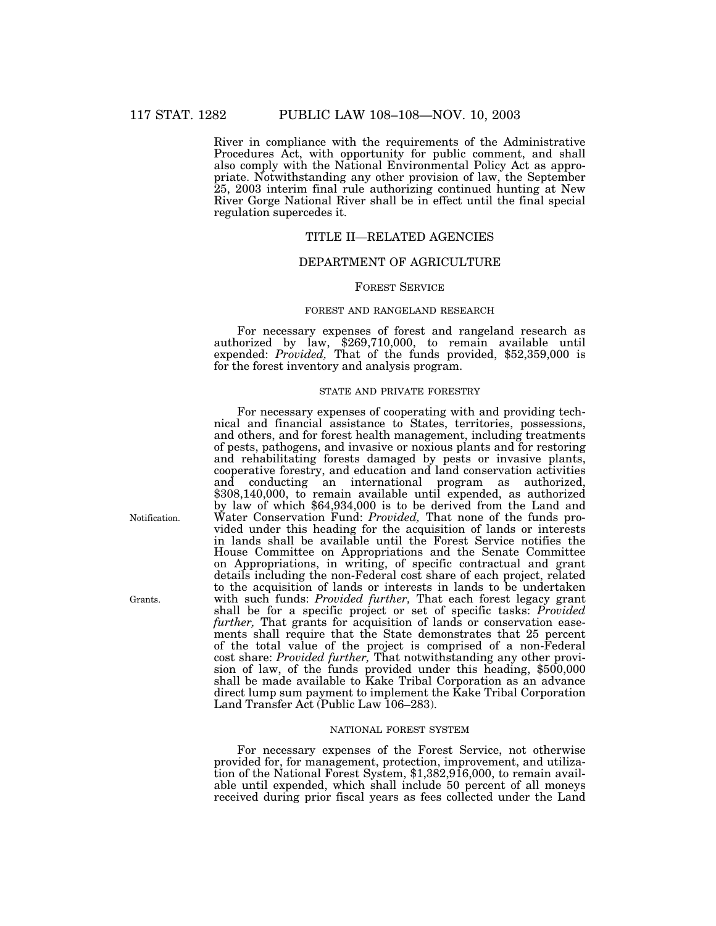River in compliance with the requirements of the Administrative Procedures Act, with opportunity for public comment, and shall also comply with the National Environmental Policy Act as appropriate. Notwithstanding any other provision of law, the September 25, 2003 interim final rule authorizing continued hunting at New River Gorge National River shall be in effect until the final special regulation supercedes it.

# TITLE II—RELATED AGENCIES

# DEPARTMENT OF AGRICULTURE

### FOREST SERVICE

### FOREST AND RANGELAND RESEARCH

For necessary expenses of forest and rangeland research as authorized by law, \$269,710,000, to remain available until expended: *Provided,* That of the funds provided, \$52,359,000 is for the forest inventory and analysis program.

### STATE AND PRIVATE FORESTRY

For necessary expenses of cooperating with and providing technical and financial assistance to States, territories, possessions, and others, and for forest health management, including treatments of pests, pathogens, and invasive or noxious plants and for restoring and rehabilitating forests damaged by pests or invasive plants, cooperative forestry, and education and land conservation activities and conducting an international program as authorized, \$308,140,000, to remain available until expended, as authorized by law of which \$64,934,000 is to be derived from the Land and Water Conservation Fund: *Provided,* That none of the funds provided under this heading for the acquisition of lands or interests in lands shall be available until the Forest Service notifies the House Committee on Appropriations and the Senate Committee on Appropriations, in writing, of specific contractual and grant details including the non-Federal cost share of each project, related to the acquisition of lands or interests in lands to be undertaken with such funds: *Provided further,* That each forest legacy grant shall be for a specific project or set of specific tasks: *Provided further,* That grants for acquisition of lands or conservation easements shall require that the State demonstrates that 25 percent of the total value of the project is comprised of a non-Federal cost share: *Provided further*, That notwithstanding any other provision of law, of the funds provided under this heading, \$500,000 shall be made available to Kake Tribal Corporation as an advance direct lump sum payment to implement the Kake Tribal Corporation Land Transfer Act (Public Law 106–283).

### NATIONAL FOREST SYSTEM

For necessary expenses of the Forest Service, not otherwise provided for, for management, protection, improvement, and utilization of the National Forest System, \$1,382,916,000, to remain available until expended, which shall include 50 percent of all moneys received during prior fiscal years as fees collected under the Land

Notification.

Grants.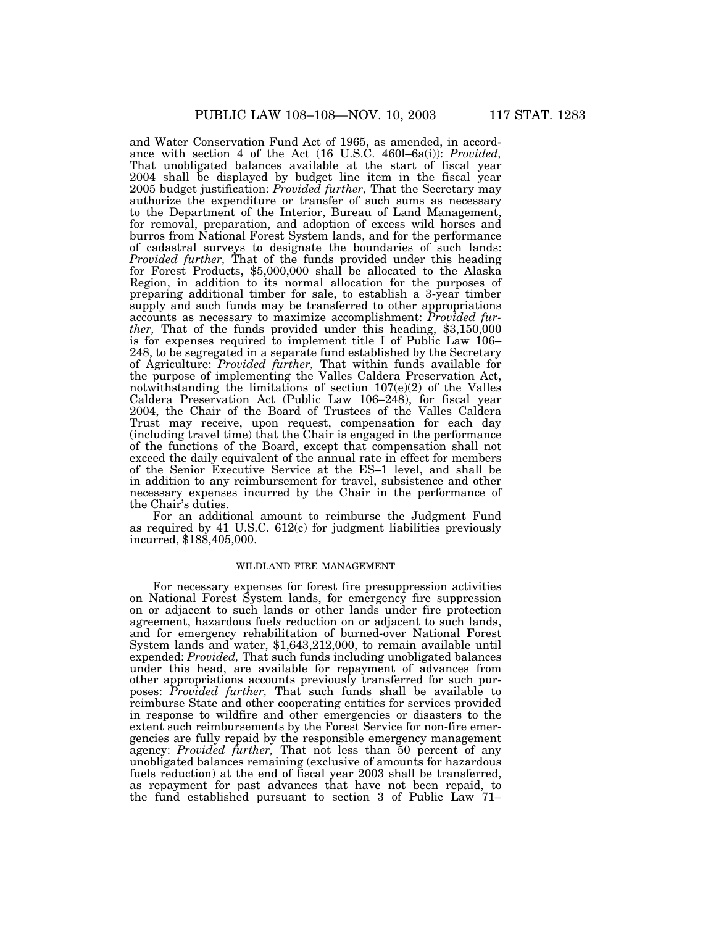and Water Conservation Fund Act of 1965, as amended, in accordance with section 4 of the Act (16 U.S.C. 460l–6a(i)): *Provided,* That unobligated balances available at the start of fiscal year 2004 shall be displayed by budget line item in the fiscal year 2005 budget justification: *Provided further,* That the Secretary may authorize the expenditure or transfer of such sums as necessary to the Department of the Interior, Bureau of Land Management, for removal, preparation, and adoption of excess wild horses and burros from National Forest System lands, and for the performance of cadastral surveys to designate the boundaries of such lands: *Provided further,* That of the funds provided under this heading for Forest Products, \$5,000,000 shall be allocated to the Alaska Region, in addition to its normal allocation for the purposes of preparing additional timber for sale, to establish a 3-year timber supply and such funds may be transferred to other appropriations accounts as necessary to maximize accomplishment: *Provided further,* That of the funds provided under this heading, \$3,150,000 is for expenses required to implement title I of Public Law 106– 248, to be segregated in a separate fund established by the Secretary of Agriculture: *Provided further,* That within funds available for the purpose of implementing the Valles Caldera Preservation Act, notwithstanding the limitations of section  $107(e)(2)$  of the Valles Caldera Preservation Act (Public Law 106–248), for fiscal year 2004, the Chair of the Board of Trustees of the Valles Caldera Trust may receive, upon request, compensation for each day (including travel time) that the Chair is engaged in the performance of the functions of the Board, except that compensation shall not exceed the daily equivalent of the annual rate in effect for members of the Senior Executive Service at the ES–1 level, and shall be in addition to any reimbursement for travel, subsistence and other necessary expenses incurred by the Chair in the performance of

For an additional amount to reimburse the Judgment Fund as required by 41 U.S.C. 612(c) for judgment liabilities previously incurred, \$188,405,000.

the Chair's duties.

#### WILDLAND FIRE MANAGEMENT

For necessary expenses for forest fire presuppression activities on National Forest System lands, for emergency fire suppression on or adjacent to such lands or other lands under fire protection agreement, hazardous fuel*s* reduction on or adjacent to such lands, and for emergency rehabilitation of burned-over National Forest System lands and water, \$1,643,212,000, to remain available until expended: *Provided,* That such funds including unobligated balances under this head, are available for repayment of advances from other appropriations accounts previously transferred for such purposes: *Provided further,* That such funds shall be available to reimburse State and other cooperating entities for services provided in response to wildfire and other emergencies or disasters to the extent such reimbursements by the Forest Service for non-fire emergencies are fully repaid by the responsible emergency management agency: *Provided further,* That not less than 50 percent of any unobligated balances remaining (exclusive of amounts for hazardous fuels reduction) at the end of fiscal year 2003 shall be transferred, as repayment for past advances that have not been repaid, to the fund established pursuant to section 3 of Public Law 71–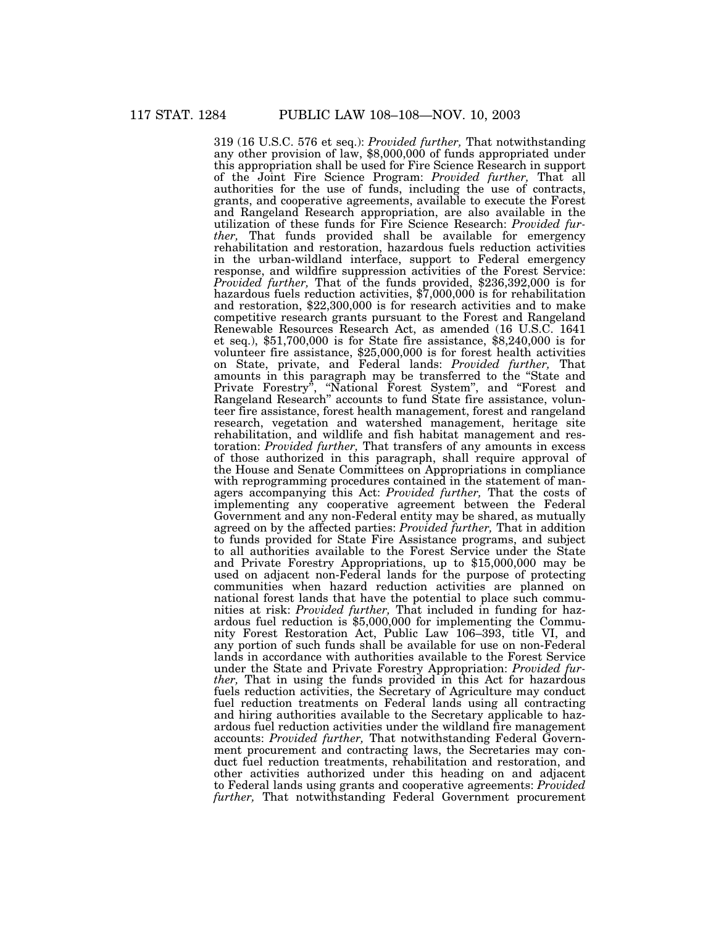319 (16 U.S.C. 576 et seq.): *Provided further,* That notwithstanding any other provision of law, \$8,000,000 of funds appropriated under this appropriation shall be used for Fire Science Research in support of the Joint Fire Science Program: *Provided further,* That all authorities for the use of funds, including the use of contracts, grants, and cooperative agreements, available to execute the Forest and Rangeland Research appropriation, are also available in the utilization of these funds for Fire Science Research: *Provided further,* That funds provided shall be available for emergency rehabilitation and restoration, hazardous fuels reduction activities in the urban-wildland interface, support to Federal emergency response, and wildfire suppression activities of the Forest Service: *Provided further*, That of the funds provided, \$236,392,000 is for hazardous fuels reduction activities, \$7,000,000 is for rehabilitation and restoration, \$22,300,000 is for research activities and to make competitive research grants pursuant to the Forest and Rangeland Renewable Resources Research Act, as amended (16 U.S.C. 1641 et seq.), \$51,700,000 is for State fire assistance, \$8,240,000 is for volunteer fire assistance, \$25,000,000 is for forest health activities on State, private, and Federal lands: *Provided further,* That amounts in this paragraph may be transferred to the ''State and Private Forestry'', ''National Forest System'', and ''Forest and Rangeland Research'' accounts to fund State fire assistance, volunteer fire assistance, forest health management, forest and rangeland research, vegetation and watershed management, heritage site rehabilitation, and wildlife and fish habitat management and restoration: *Provided further,* That transfers of any amounts in excess of those authorized in this paragraph, shall require approval of the House and Senate Committees on Appropriations in compliance with reprogramming procedures contained in the statement of managers accompanying this Act: *Provided further,* That the costs of implementing any cooperative agreement between the Federal Government and any non-Federal entity may be shared, as mutually agreed on by the affected parties: *Provided further,* That in addition to funds provided for State Fire Assistance programs, and subject to all authorities available to the Forest Service under the State and Private Forestry Appropriations, up to \$15,000,000 may be used on adjacent non-Federal lands for the purpose of protecting communities when hazard reduction activities are planned on national forest lands that have the potential to place such communities at risk: *Provided further,* That included in funding for hazardous fuel reduction is \$5,000,000 for implementing the Community Forest Restoration Act, Public Law 106–393, title VI, and any portion of such funds shall be available for use on non-Federal lands in accordance with authorities available to the Forest Service under the State and Private Forestry Appropriation: *Provided further,* That in using the funds provided in this Act for hazardous fuels reduction activities, the Secretary of Agriculture may conduct fuel reduction treatments on Federal lands using all contracting and hiring authorities available to the Secretary applicable to hazardous fuel reduction activities under the wildland fire management accounts: *Provided further,* That notwithstanding Federal Government procurement and contracting laws, the Secretaries may conduct fuel reduction treatments, rehabilitation and restoration, and other activities authorized under this heading on and adjacent to Federal lands using grants and cooperative agreements: *Provided further,* That notwithstanding Federal Government procurement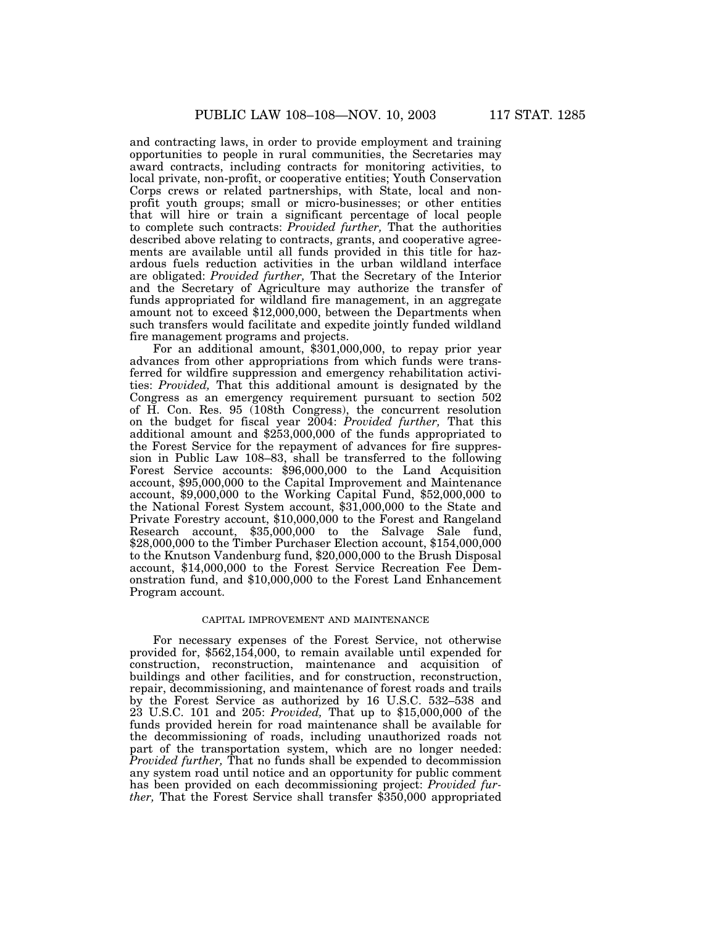and contracting laws, in order to provide employment and training opportunities to people in rural communities, the Secretaries may award contracts, including contracts for monitoring activities, to local private, non-profit, or cooperative entities; Youth Conservation Corps crews or related partnerships, with State, local and nonprofit youth groups; small or micro-businesses; or other entities that will hire or train a significant percentage of local people to complete such contracts: *Provided further,* That the authorities described above relating to contracts, grants, and cooperative agreements are available until all funds provided in this title for hazardous fuels reduction activities in the urban wildland interface are obligated: *Provided further,* That the Secretary of the Interior and the Secretary of Agriculture may authorize the transfer of funds appropriated for wildland fire management, in an aggregate amount not to exceed \$12,000,000, between the Departments when such transfers would facilitate and expedite jointly funded wildland fire management programs and projects.

For an additional amount, \$301,000,000, to repay prior year advances from other appropriations from which funds were transferred for wildfire suppression and emergency rehabilitation activities: *Provided,* That this additional amount is designated by the Congress as an emergency requirement pursuant to section 502 of H. Con. Res. 95 (108th Congress), the concurrent resolution on the budget for fiscal year 2004: *Provided further,* That this additional amount and \$253,000,000 of the funds appropriated to the Forest Service for the repayment of advances for fire suppression in Public Law 108–83, shall be transferred to the following Forest Service accounts: \$96,000,000 to the Land Acquisition account, \$95,000,000 to the Capital Improvement and Maintenance account, \$9,000,000 to the Working Capital Fund, \$52,000,000 to the National Forest System account, \$31,000,000 to the State and Private Forestry account, \$10,000,000 to the Forest and Rangeland Research account, \$35,000,000 to the Salvage Sale fund, \$28,000,000 to the Timber Purchaser Election account, \$154,000,000 to the Knutson Vandenburg fund, \$20,000,000 to the Brush Disposal account, \$14,000,000 to the Forest Service Recreation Fee Demonstration fund, and \$10,000,000 to the Forest Land Enhancement Program account.

#### CAPITAL IMPROVEMENT AND MAINTENANCE

For necessary expenses of the Forest Service, not otherwise provided for, \$562,154,000, to remain available until expended for construction, reconstruction, maintenance and acquisition of buildings and other facilities, and for construction, reconstruction, repair, decommissioning, and maintenance of forest roads and trails by the Forest Service as authorized by 16 U.S.C. 532–538 and 23 U.S.C. 101 and 205: *Provided,* That up to \$15,000,000 of the funds provided herein for road maintenance shall be available for the decommissioning of roads, including unauthorized roads not part of the transportation system, which are no longer needed: *Provided further,* That no funds shall be expended to decommission any system road until notice and an opportunity for public comment has been provided on each decommissioning project: *Provided further,* That the Forest Service shall transfer \$350,000 appropriated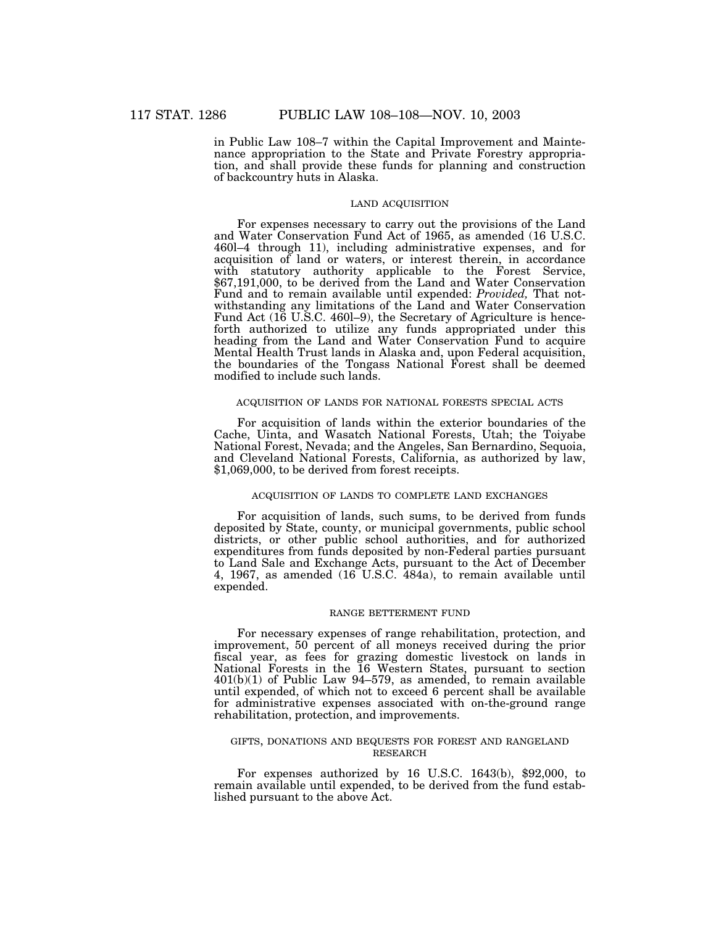in Public Law 108–7 within the Capital Improvement and Maintenance appropriation to the State and Private Forestry appropriation, and shall provide these funds for planning and construction of backcountry huts in Alaska.

#### LAND ACQUISITION

For expenses necessary to carry out the provisions of the Land and Water Conservation Fund Act of 1965, as amended (16 U.S.C. 460l–4 through 11), including administrative expenses, and for acquisition of land or waters, or interest therein, in accordance with statutory authority applicable to the Forest Service, \$67,191,000, to be derived from the Land and Water Conservation Fund and to remain available until expended: *Provided,* That notwithstanding any limitations of the Land and Water Conservation Fund Act (16 U.S.C. 460l–9), the Secretary of Agriculture is henceforth authorized to utilize any funds appropriated under this heading from the Land and Water Conservation Fund to acquire Mental Health Trust lands in Alaska and, upon Federal acquisition, the boundaries of the Tongass National Forest shall be deemed modified to include such lands.

### ACQUISITION OF LANDS FOR NATIONAL FORESTS SPECIAL ACTS

For acquisition of lands within the exterior boundaries of the Cache, Uinta, and Wasatch National Forests, Utah; the Toiyabe National Forest, Nevada; and the Angeles, San Bernardino, Sequoia, and Cleveland National Forests, California, as authorized by law, \$1,069,000, to be derived from forest receipts.

# ACQUISITION OF LANDS TO COMPLETE LAND EXCHANGES

For acquisition of lands, such sums, to be derived from funds deposited by State, county, or municipal governments, public school districts, or other public school authorities, and for authorized expenditures from funds deposited by non-Federal parties pursuant to Land Sale and Exchange Acts, pursuant to the Act of December 4, 1967, as amended (16 U.S.C. 484a), to remain available until expended.

### RANGE BETTERMENT FUND

For necessary expenses of range rehabilitation, protection, and improvement, 50 percent of all moneys received during the prior fiscal year, as fees for grazing domestic livestock on lands in National Forests in the 16 Western States, pursuant to section 401(b)(1) of Public Law 94–579, as amended, to remain available until expended, of which not to exceed 6 percent shall be available for administrative expenses associated with on-the-ground range rehabilitation, protection, and improvements.

# GIFTS, DONATIONS AND BEQUESTS FOR FOREST AND RANGELAND RESEARCH

For expenses authorized by 16 U.S.C. 1643(b), \$92,000, to remain available until expended, to be derived from the fund established pursuant to the above Act.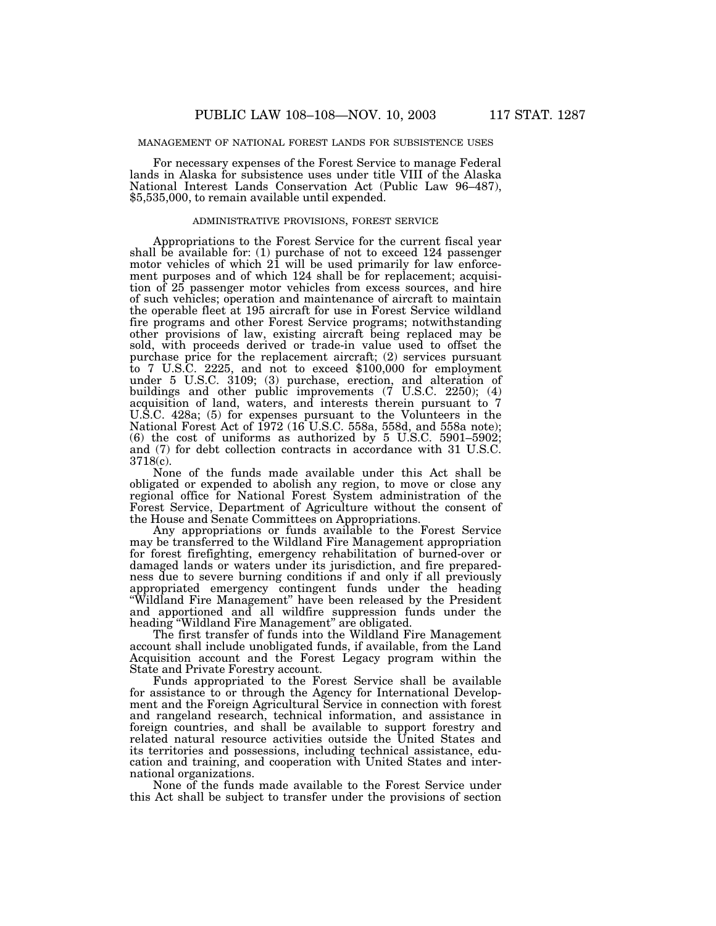### MANAGEMENT OF NATIONAL FOREST LANDS FOR SUBSISTENCE USES

For necessary expenses of the Forest Service to manage Federal lands in Alaska for subsistence uses under title VIII of the Alaska National Interest Lands Conservation Act (Public Law 96–487), \$5,535,000, to remain available until expended.

#### ADMINISTRATIVE PROVISIONS, FOREST SERVICE

Appropriations to the Forest Service for the current fiscal year shall be available for: (1) purchase of not to exceed 124 passenger motor vehicles of which 21 will be used primarily for law enforcement purposes and of which 124 shall be for replacement; acquisition of 25 passenger motor vehicles from excess sources, and hire of such vehicles; operation and maintenance of aircraft to maintain the operable fleet at 195 aircraft for use in Forest Service wildland fire programs and other Forest Service programs; notwithstanding other provisions of law, existing aircraft being replaced may be sold, with proceeds derived or trade-in value used to offset the purchase price for the replacement aircraft; (2) services pursuant to 7 U.S.C. 2225, and not to exceed \$100,000 for employment under 5 U.S.C. 3109; (3) purchase, erection, and alteration of buildings and other public improvements (7 U.S.C. 2250); (4) acquisition of land, waters, and interests therein pursuant to 7 U.S.C. 428a; (5) for expenses pursuant to the Volunteers in the National Forest Act of 1972 (16 U.S.C. 558a, 558d, and 558a note); (6) the cost of uniforms as authorized by 5 U.S.C. 5901–5902; and (7) for debt collection contracts in accordance with 31 U.S.C. 3718(c).

None of the funds made available under this Act shall be obligated or expended to abolish any region, to move or close any regional office for National Forest System administration of the Forest Service, Department of Agriculture without the consent of the House and Senate Committees on Appropriations.

Any appropriations or funds available to the Forest Service may be transferred to the Wildland Fire Management appropriation for forest firefighting, emergency rehabilitation of burned-over or damaged lands or waters under its jurisdiction, and fire preparedness due to severe burning conditions if and only if all previously appropriated emergency contingent funds under the heading ''Wildland Fire Management'' have been released by the President and apportioned and all wildfire suppression funds under the heading ''Wildland Fire Management'' are obligated.

The first transfer of funds into the Wildland Fire Management account shall include unobligated funds, if available, from the Land Acquisition account and the Forest Legacy program within the State and Private Forestry account.

Funds appropriated to the Forest Service shall be available for assistance to or through the Agency for International Development and the Foreign Agricultural Service in connection with forest and rangeland research, technical information, and assistance in foreign countries, and shall be available to support forestry and related natural resource activities outside the United States and its territories and possessions, including technical assistance, education and training, and cooperation with United States and international organizations.

None of the funds made available to the Forest Service under this Act shall be subject to transfer under the provisions of section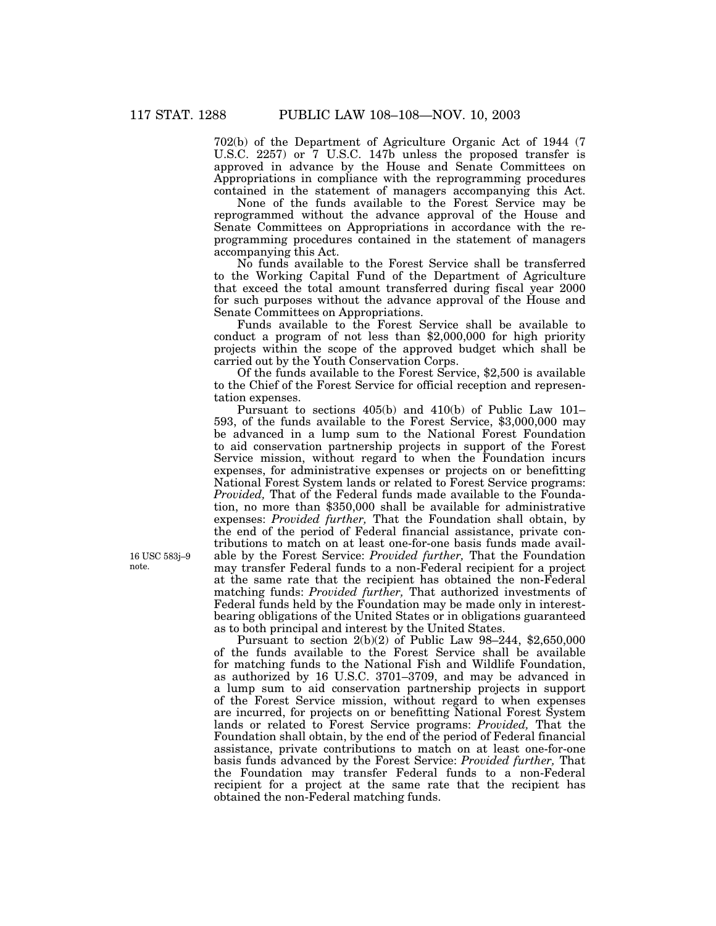702(b) of the Department of Agriculture Organic Act of 1944 (7 U.S.C. 2257) or 7 U.S.C. 147b unless the proposed transfer is approved in advance by the House and Senate Committees on Appropriations in compliance with the reprogramming procedures contained in the statement of managers accompanying this Act.

None of the funds available to the Forest Service may be reprogrammed without the advance approval of the House and Senate Committees on Appropriations in accordance with the reprogramming procedures contained in the statement of managers accompanying this Act.

No funds available to the Forest Service shall be transferred to the Working Capital Fund of the Department of Agriculture that exceed the total amount transferred during fiscal year 2000 for such purposes without the advance approval of the House and Senate Committees on Appropriations.

Funds available to the Forest Service shall be available to conduct a program of not less than \$2,000,000 for high priority projects within the scope of the approved budget which shall be carried out by the Youth Conservation Corps.

Of the funds available to the Forest Service, \$2,500 is available to the Chief of the Forest Service for official reception and representation expenses.

Pursuant to sections 405(b) and 410(b) of Public Law 101– 593, of the funds available to the Forest Service, \$3,000,000 may be advanced in a lump sum to the National Forest Foundation to aid conservation partnership projects in support of the Forest Service mission, without regard to when the Foundation incurs expenses, for administrative expenses or projects on or benefitting National Forest System lands or related to Forest Service programs: *Provided,* That of the Federal funds made available to the Foundation, no more than \$350,000 shall be available for administrative expenses: *Provided further,* That the Foundation shall obtain, by the end of the period of Federal financial assistance, private contributions to match on at least one-for-one basis funds made available by the Forest Service: *Provided further,* That the Foundation may transfer Federal funds to a non-Federal recipient for a project at the same rate that the recipient has obtained the non-Federal matching funds: *Provided further,* That authorized investments of Federal funds held by the Foundation may be made only in interestbearing obligations of the United States or in obligations guaranteed as to both principal and interest by the United States.

Pursuant to section 2(b)(2) of Public Law 98–244, \$2,650,000 of the funds available to the Forest Service shall be available for matching funds to the National Fish and Wildlife Foundation, as authorized by 16 U.S.C. 3701–3709, and may be advanced in a lump sum to aid conservation partnership projects in support of the Forest Service mission, without regard to when expenses are incurred, for projects on or benefitting National Forest System lands or related to Forest Service programs: *Provided,* That the Foundation shall obtain, by the end of the period of Federal financial assistance, private contributions to match on at least one-for-one basis funds advanced by the Forest Service: *Provided further,* That the Foundation may transfer Federal funds to a non-Federal recipient for a project at the same rate that the recipient has obtained the non-Federal matching funds.

16 USC 583j–9 note.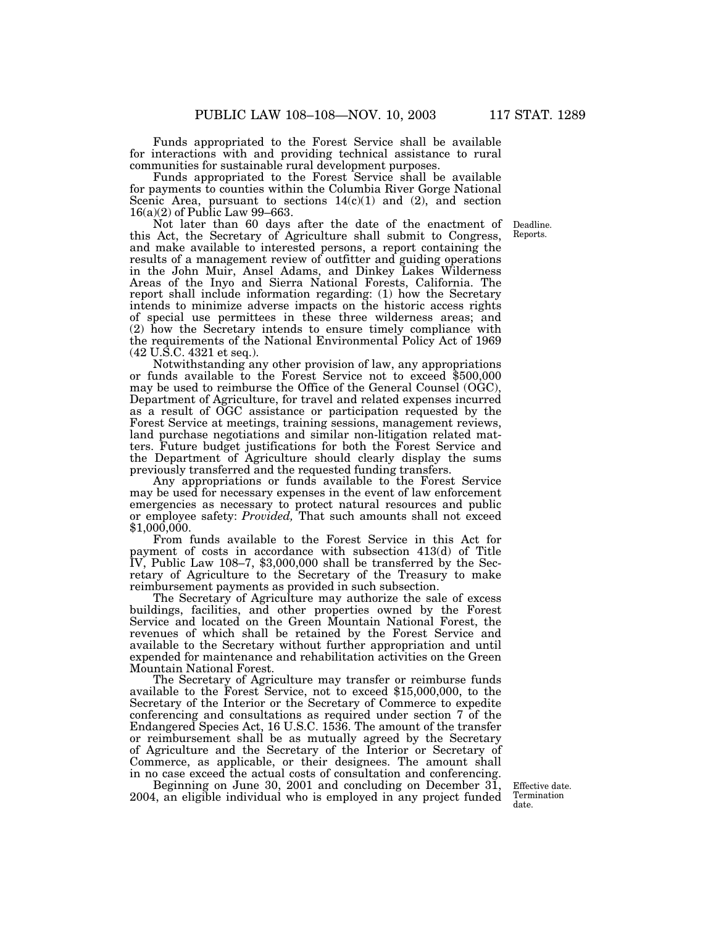Funds appropriated to the Forest Service shall be available for interactions with and providing technical assistance to rural communities for sustainable rural development purposes.

Funds appropriated to the Forest Service shall be available for payments to counties within the Columbia River Gorge National Scenic Area, pursuant to sections  $14(c)(1)$  and  $(2)$ , and section 16(a)(2) of Public Law 99–663.

Not later than 60 days after the date of the enactment of Deadline. this Act, the Secretary of Agriculture shall submit to Congress, and make available to interested persons, a report containing the results of a management review of outfitter and guiding operations in the John Muir, Ansel Adams, and Dinkey Lakes Wilderness Areas of the Inyo and Sierra National Forests, California. The report shall include information regarding: (1) how the Secretary intends to minimize adverse impacts on the historic access rights of special use permittees in these three wilderness areas; and (2) how the Secretary intends to ensure timely compliance with the requirements of the National Environmental Policy Act of 1969 (42 U.S.C. 4321 et seq.).

Notwithstanding any other provision of law, any appropriations or funds available to the Forest Service not to exceed \$500,000 may be used to reimburse the Office of the General Counsel (OGC), Department of Agriculture, for travel and related expenses incurred as a result of OGC assistance or participation requested by the Forest Service at meetings, training sessions, management reviews, land purchase negotiations and similar non-litigation related matters. Future budget justifications for both the Forest Service and the Department of Agriculture should clearly display the sums previously transferred and the requested funding transfers.

Any appropriations or funds available to the Forest Service may be used for necessary expenses in the event of law enforcement emergencies as necessary to protect natural resources and public or employee safety: *Provided,* That such amounts shall not exceed \$1,000,000.

From funds available to the Forest Service in this Act for payment of costs in accordance with subsection 413(d) of Title IV, Public Law 108–7, \$3,000,000 shall be transferred by the Secretary of Agriculture to the Secretary of the Treasury to make reimbursement payments as provided in such subsection.

The Secretary of Agriculture may authorize the sale of excess buildings, facilities, and other properties owned by the Forest Service and located on the Green Mountain National Forest, the revenues of which shall be retained by the Forest Service and available to the Secretary without further appropriation and until expended for maintenance and rehabilitation activities on the Green Mountain National Forest.

The Secretary of Agriculture may transfer or reimburse funds available to the Forest Service, not to exceed \$15,000,000, to the Secretary of the Interior or the Secretary of Commerce to expedite conferencing and consultations as required under section 7 of the Endangered Species Act, 16 U.S.C. 1536. The amount of the transfer or reimbursement shall be as mutually agreed by the Secretary of Agriculture and the Secretary of the Interior or Secretary of Commerce, as applicable, or their designees. The amount shall in no case exceed the actual costs of consultation and conferencing.

Beginning on June 30, 2001 and concluding on December 31, 2004, an eligible individual who is employed in any project funded

Effective date. Termination date.

Reports.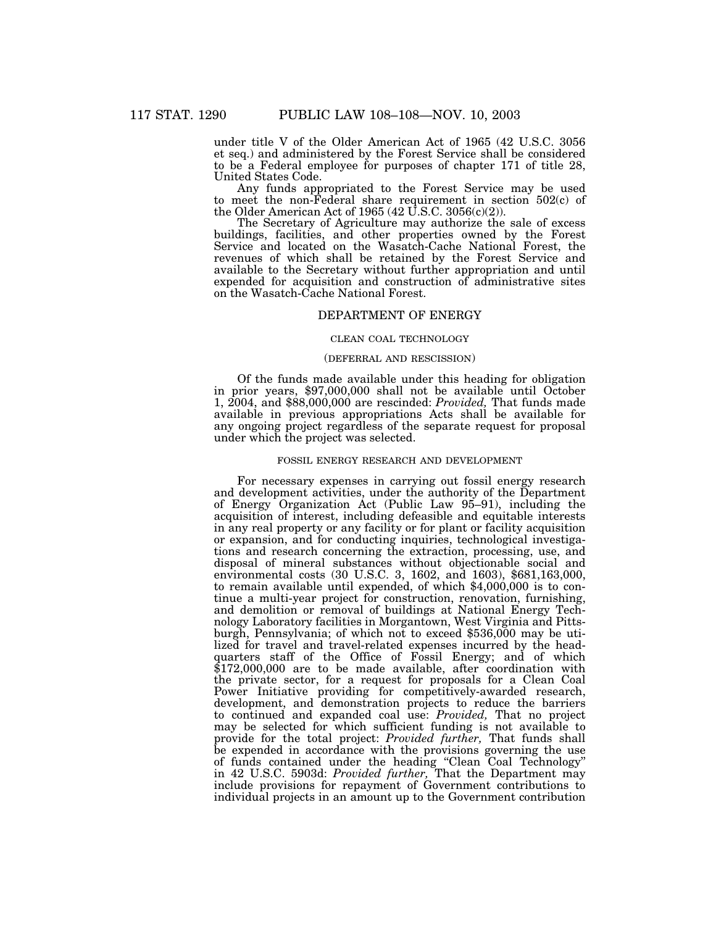under title V of the Older American Act of 1965 (42 U.S.C. 3056 et seq.) and administered by the Forest Service shall be considered to be a Federal employee for purposes of chapter 171 of title 28, United States Code.

Any funds appropriated to the Forest Service may be used to meet the non-Federal share requirement in section 502(c) of the Older American Act of 1965 (42 U.S.C. 3056(c)(2)).

The Secretary of Agriculture may authorize the sale of excess buildings, facilities, and other properties owned by the Forest Service and located on the Wasatch-Cache National Forest, the revenues of which shall be retained by the Forest Service and available to the Secretary without further appropriation and until expended for acquisition and construction of administrative sites on the Wasatch-Cache National Forest.

# DEPARTMENT OF ENERGY

## CLEAN COAL TECHNOLOGY

### (DEFERRAL AND RESCISSION)

Of the funds made available under this heading for obligation in prior years, \$97,000,000 shall not be available until October 1, 2004, and \$88,000,000 are rescinded: *Provided,* That funds made available in previous appropriations Acts shall be available for any ongoing project regardless of the separate request for proposal under which the project was selected.

### FOSSIL ENERGY RESEARCH AND DEVELOPMENT

For necessary expenses in carrying out fossil energy research and development activities, under the authority of the Department of Energy Organization Act (Public Law 95–91), including the acquisition of interest, including defeasible and equitable interests in any real property or any facility or for plant or facility acquisition or expansion, and for conducting inquiries, technological investigations and research concerning the extraction, processing, use, and disposal of mineral substances without objectionable social and environmental costs (30 U.S.C. 3, 1602, and 1603), \$681,163,000, to remain available until expended, of which \$4,000,000 is to continue a multi-year project for construction, renovation, furnishing, and demolition or removal of buildings at National Energy Technology Laboratory facilities in Morgantown, West Virginia and Pittsburgh, Pennsylvania; of which not to exceed \$536,000 may be utilized for travel and travel-related expenses incurred by the headquarters staff of the Office of Fossil Energy; and of which \$172,000,000 are to be made available, after coordination with the private sector, for a request for proposals for a Clean Coal Power Initiative providing for competitively-awarded research, development, and demonstration projects to reduce the barriers to continued and expanded coal use: *Provided,* That no project may be selected for which sufficient funding is not available to provide for the total project: *Provided further,* That funds shall be expended in accordance with the provisions governing the use of funds contained under the heading ''Clean Coal Technology'' in 42 U.S.C. 5903d: *Provided further,* That the Department may include provisions for repayment of Government contributions to individual projects in an amount up to the Government contribution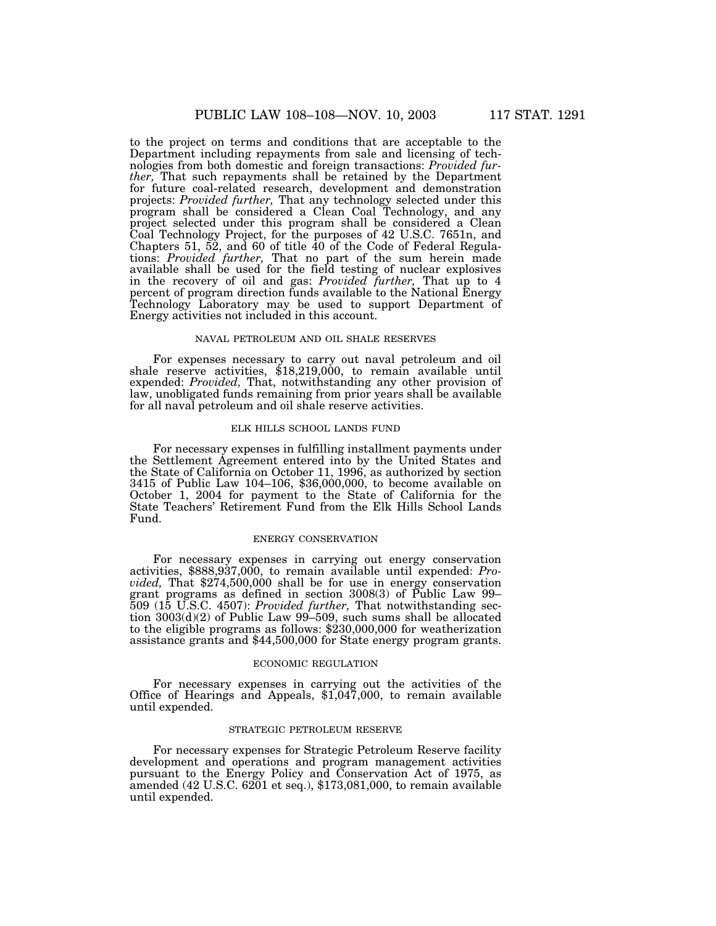to the project on terms and conditions that are acceptable to the Department including repayments from sale and licensing of technologies from both domestic and foreign transactions: *Provided further,* That such repayments shall be retained by the Department for future coal-related research, development and demonstration projects: *Provided further,* That any technology selected under this program shall be considered a Clean Coal Technology, and any project selected under this program shall be considered a Clean Coal Technology Project, for the purposes of 42 U.S.C. 7651n, and Chapters 51, 52, and 60 of title 40 of the Code of Federal Regulations: *Provided further,* That no part of the sum herein made available shall be used for the field testing of nuclear explosives in the recovery of oil and gas: *Provided further,* That up to 4 percent of program direction funds available to the National Energy Technology Laboratory may be used to support Department of Energy activities not included in this account.

#### NAVAL PETROLEUM AND OIL SHALE RESERVES

For expenses necessary to carry out naval petroleum and oil shale reserve activities, \$18,219,000, to remain available until expended: *Provided,* That, notwithstanding any other provision of law, unobligated funds remaining from prior years shall be available for all naval petroleum and oil shale reserve activities.

# ELK HILLS SCHOOL LANDS FUND

For necessary expenses in fulfilling installment payments under the Settlement Agreement entered into by the United States and the State of California on October 11, 1996, as authorized by section 3415 of Public Law 104–106, \$36,000,000, to become available on October 1, 2004 for payment to the State of California for the State Teachers' Retirement Fund from the Elk Hills School Lands Fund.

# ENERGY CONSERVATION

For necessary expenses in carrying out energy conservation activities, \$888,937,000, to remain available until expended: *Provided,* That \$274,500,000 shall be for use in energy conservation grant programs as defined in section 3008(3) of Public Law 99– 509 (15 U.S.C. 4507): *Provided further,* That notwithstanding section 3003(d)(2) of Public Law 99–509, such sums shall be allocated to the eligible programs as follows: \$230,000,000 for weatherization assistance grants and \$44,500,000 for State energy program grants.

#### ECONOMIC REGULATION

For necessary expenses in carrying out the activities of the Office of Hearings and Appeals, \$1,047,000, to remain available until expended.

### STRATEGIC PETROLEUM RESERVE

For necessary expenses for Strategic Petroleum Reserve facility development and operations and program management activities pursuant to the Energy Policy and Conservation Act of 1975, as amended (42 U.S.C. 6201 et seq.), \$173,081,000, to remain available until expended.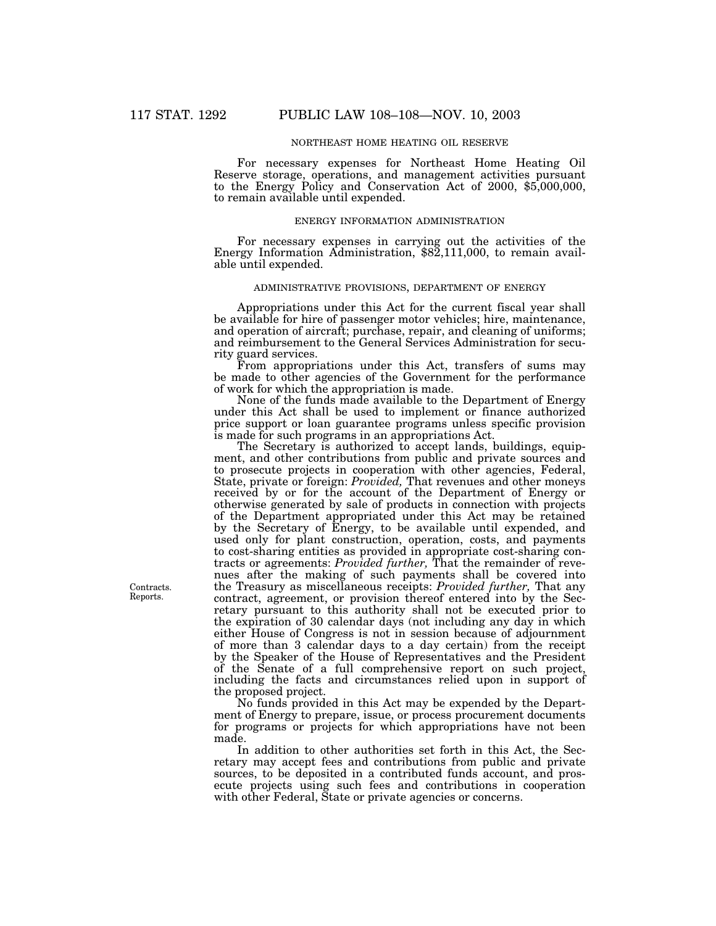### NORTHEAST HOME HEATING OIL RESERVE

For necessary expenses for Northeast Home Heating Oil Reserve storage, operations, and management activities pursuant to the Energy Policy and Conservation Act of 2000, \$5,000,000, to remain available until expended.

#### ENERGY INFORMATION ADMINISTRATION

For necessary expenses in carrying out the activities of the Energy Information Administration, \$82,111,000, to remain available until expended.

### ADMINISTRATIVE PROVISIONS, DEPARTMENT OF ENERGY

Appropriations under this Act for the current fiscal year shall be available for hire of passenger motor vehicles; hire, maintenance, and operation of aircraft; purchase, repair, and cleaning of uniforms; and reimbursement to the General Services Administration for security guard services.

From appropriations under this Act, transfers of sums may be made to other agencies of the Government for the performance of work for which the appropriation is made.

None of the funds made available to the Department of Energy under this Act shall be used to implement or finance authorized price support or loan guarantee programs unless specific provision is made for such programs in an appropriations Act.

The Secretary is authorized to accept lands, buildings, equipment, and other contributions from public and private sources and to prosecute projects in cooperation with other agencies, Federal, State, private or foreign: *Provided,* That revenues and other moneys received by or for the account of the Department of Energy or otherwise generated by sale of products in connection with projects of the Department appropriated under this Act may be retained by the Secretary of Energy, to be available until expended, and used only for plant construction, operation, costs, and payments to cost-sharing entities as provided in appropriate cost-sharing contracts or agreements: *Provided further,* That the remainder of revenues after the making of such payments shall be covered into the Treasury as miscellaneous receipts: *Provided further,* That any contract, agreement, or provision thereof entered into by the Secretary pursuant to this authority shall not be executed prior to the expiration of 30 calendar days (not including any day in which either House of Congress is not in session because of adjournment of more than 3 calendar days to a day certain) from the receipt by the Speaker of the House of Representatives and the President of the Senate of a full comprehensive report on such project, including the facts and circumstances relied upon in support of the proposed project.

No funds provided in this Act may be expended by the Department of Energy to prepare, issue, or process procurement documents for programs or projects for which appropriations have not been made.

In addition to other authorities set forth in this Act, the Secretary may accept fees and contributions from public and private sources, to be deposited in a contributed funds account, and prosecute projects using such fees and contributions in cooperation with other Federal, State or private agencies or concerns.

Contracts. Reports.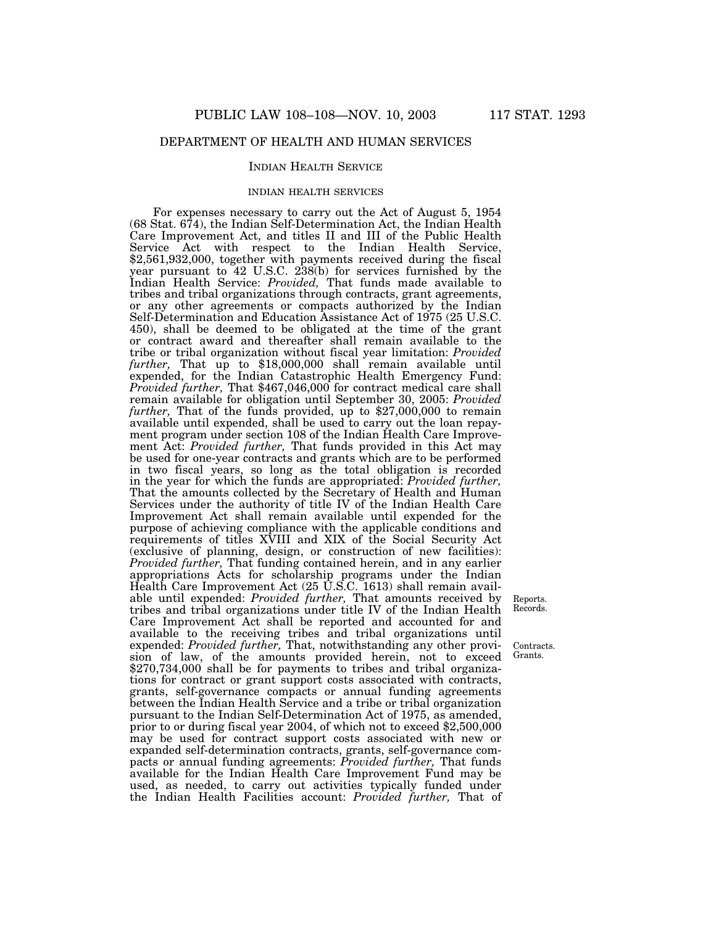# DEPARTMENT OF HEALTH AND HUMAN SERVICES

### INDIAN HEALTH SERVICE

### INDIAN HEALTH SERVICES

For expenses necessary to carry out the Act of August 5, 1954 (68 Stat. 674), the Indian Self-Determination Act, the Indian Health Care Improvement Act, and titles II and III of the Public Health Service Act with respect to the Indian Health Service, \$2,561,932,000, together with payments received during the fiscal year pursuant to 42 U.S.C. 238(b) for services furnished by the Indian Health Service: *Provided,* That funds made available to tribes and tribal organizations through contracts, grant agreements, or any other agreements or compacts authorized by the Indian Self-Determination and Education Assistance Act of 1975 (25 U.S.C. 450), shall be deemed to be obligated at the time of the grant or contract award and thereafter shall remain available to the tribe or tribal organization without fiscal year limitation: *Provided further,* That up to \$18,000,000 shall remain available until expended, for the Indian Catastrophic Health Emergency Fund: *Provided further,* That \$467,046,000 for contract medical care shall remain available for obligation until September 30, 2005: *Provided* further, That of the funds provided, up to \$27,000,000 to remain available until expended, shall be used to carry out the loan repayment program under section 108 of the Indian Health Care Improvement Act: *Provided further,* That funds provided in this Act may be used for one-year contracts and grants which are to be performed in two fiscal years, so long as the total obligation is recorded in the year for which the funds are appropriated: *Provided further,* That the amounts collected by the Secretary of Health and Human Services under the authority of title IV of the Indian Health Care Improvement Act shall remain available until expended for the purpose of achieving compliance with the applicable conditions and requirements of titles XVIII and XIX of the Social Security Act (exclusive of planning, design, or construction of new facilities): *Provided further,* That funding contained herein, and in any earlier appropriations Acts for scholarship programs under the Indian Health Care Improvement Act (25 U.S.C. 1613) shall remain available until expended: *Provided further,* That amounts received by tribes and tribal organizations under title IV of the Indian Health Care Improvement Act shall be reported and accounted for and available to the receiving tribes and tribal organizations until expended: *Provided further,* That, notwithstanding any other provision of law, of the amounts provided herein, not to exceed \$270,734,000 shall be for payments to tribes and tribal organizations for contract or grant support costs associated with contracts, grants, self-governance compacts or annual funding agreements between the Indian Health Service and a tribe or tribal organization pursuant to the Indian Self-Determination Act of 1975, as amended, prior to or during fiscal year 2004, of which not to exceed \$2,500,000 may be used for contract support costs associated with new or expanded self-determination contracts, grants, self-governance compacts or annual funding agreements: *Provided further,* That funds available for the Indian Health Care Improvement Fund may be used, as needed, to carry out activities typically funded under the Indian Health Facilities account: *Provided further,* That of

Reports. Records.

Contracts. Grants.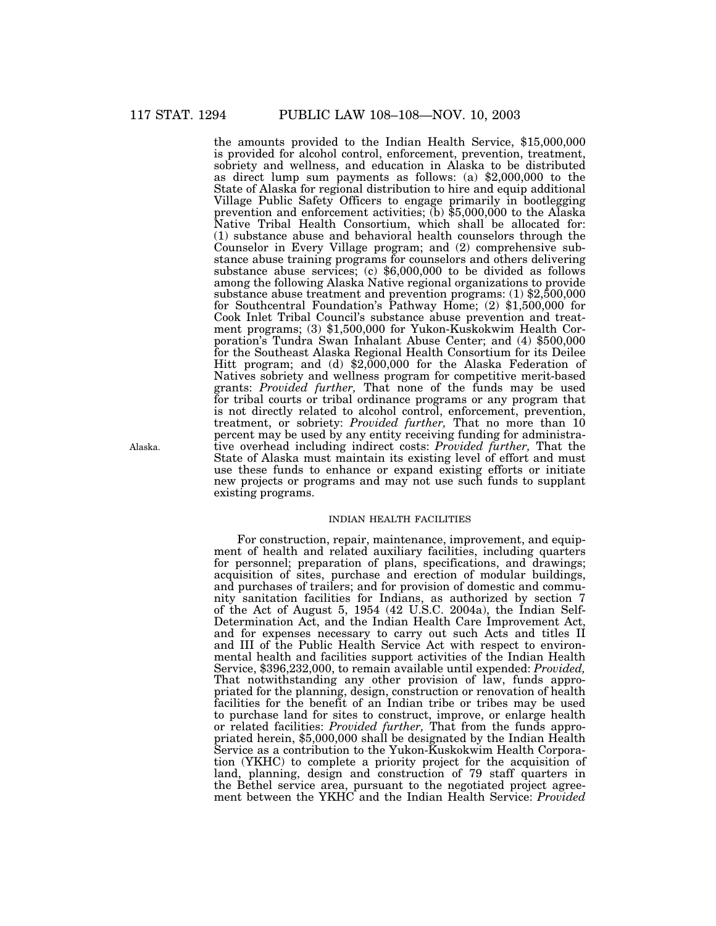the amounts provided to the Indian Health Service, \$15,000,000 is provided for alcohol control, enforcement, prevention, treatment, sobriety and wellness, and education in Alaska to be distributed as direct lump sum payments as follows: (a) \$2,000,000 to the State of Alaska for regional distribution to hire and equip additional Village Public Safety Officers to engage primarily in bootlegging prevention and enforcement activities; (b) \$5,000,000 to the Alaska Native Tribal Health Consortium, which shall be allocated for: (1) substance abuse and behavioral health counselors through the Counselor in Every Village program; and (2) comprehensive substance abuse training programs for counselors and others delivering substance abuse services; (c) \$6,000,000 to be divided as follows among the following Alaska Native regional organizations to provide substance abuse treatment and prevention programs: (1) \$2,500,000 for Southcentral Foundation's Pathway Home; (2) \$1,500,000 for Cook Inlet Tribal Council's substance abuse prevention and treatment programs; (3) \$1,500,000 for Yukon-Kuskokwim Health Corporation's Tundra Swan Inhalant Abuse Center; and (4) \$500,000 for the Southeast Alaska Regional Health Consortium for its Deilee Hitt program; and (d) \$2,000,000 for the Alaska Federation of Natives sobriety and wellness program for competitive merit-based grants: *Provided further,* That none of the funds may be used for tribal courts or tribal ordinance programs or any program that is not directly related to alcohol control, enforcement, prevention, treatment, or sobriety: *Provided further,* That no more than 10 percent may be used by any entity receiving funding for administrative overhead including indirect costs: *Provided further,* That the State of Alaska must maintain its existing level of effort and must use these funds to enhance or expand existing efforts or initiate new projects or programs and may not use such funds to supplant existing programs.

### INDIAN HEALTH FACILITIES

For construction, repair, maintenance, improvement, and equipment of health and related auxiliary facilities, including quarters for personnel; preparation of plans, specifications, and drawings; acquisition of sites, purchase and erection of modular buildings, and purchases of trailers; and for provision of domestic and community sanitation facilities for Indians, as authorized by section 7 of the Act of August 5, 1954 (42 U.S.C. 2004a), the Indian Self-Determination Act, and the Indian Health Care Improvement Act, and for expenses necessary to carry out such Acts and titles II and III of the Public Health Service Act with respect to environmental health and facilities support activities of the Indian Health Service, \$396,232,000, to remain available until expended: *Provided,* That notwithstanding any other provision of law, funds appropriated for the planning, design, construction or renovation of health facilities for the benefit of an Indian tribe or tribes may be used to purchase land for sites to construct, improve, or enlarge health or related facilities: *Provided further,* That from the funds appropriated herein, \$5,000,000 shall be designated by the Indian Health Service as a contribution to the Yukon-Kuskokwim Health Corporation (YKHC) to complete a priority project for the acquisition of land, planning, design and construction of 79 staff quarters in the Bethel service area, pursuant to the negotiated project agreement between the YKHC and the Indian Health Service: *Provided*

Alaska.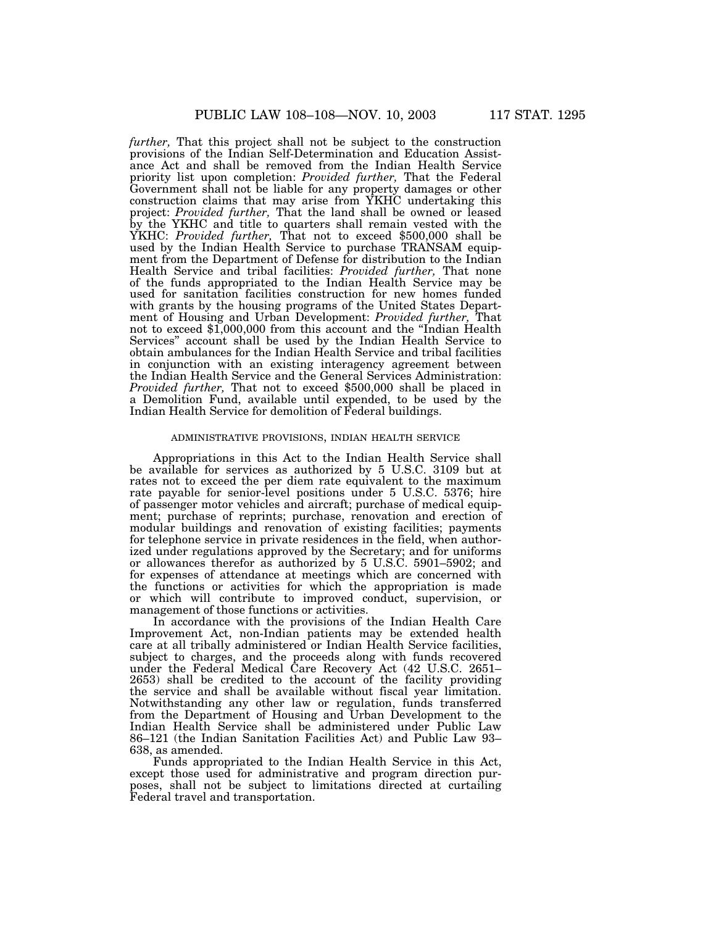*further,* That this project shall not be subject to the construction provisions of the Indian Self-Determination and Education Assistance Act and shall be removed from the Indian Health Service priority list upon completion: *Provided further,* That the Federal Government shall not be liable for any property damages or other construction claims that may arise from YKHC undertaking this project: *Provided further,* That the land shall be owned or leased by the YKHC and title to quarters shall remain vested with the YKHC: *Provided further*, That not to exceed \$500,000 shall be used by the Indian Health Service to purchase TRANSAM equipment from the Department of Defense for distribution to the Indian Health Service and tribal facilities: *Provided further,* That none of the funds appropriated to the Indian Health Service may be used for sanitation facilities construction for new homes funded with grants by the housing programs of the United States Department of Housing and Urban Development: *Provided further,* That not to exceed \$1,000,000 from this account and the ''Indian Health Services'' account shall be used by the Indian Health Service to obtain ambulances for the Indian Health Service and tribal facilities in conjunction with an existing interagency agreement between the Indian Health Service and the General Services Administration: *Provided further,* That not to exceed \$500,000 shall be placed in a Demolition Fund, available until expended, to be used by the Indian Health Service for demolition of Federal buildings.

### ADMINISTRATIVE PROVISIONS, INDIAN HEALTH SERVICE

Appropriations in this Act to the Indian Health Service shall be available for services as authorized by 5 U.S.C. 3109 but at rates not to exceed the per diem rate equivalent to the maximum rate payable for senior-level positions under 5 U.S.C. 5376; hire of passenger motor vehicles and aircraft; purchase of medical equipment; purchase of reprints; purchase, renovation and erection of modular buildings and renovation of existing facilities; payments for telephone service in private residences in the field, when authorized under regulations approved by the Secretary; and for uniforms or allowances therefor as authorized by 5 U.S.C. 5901–5902; and for expenses of attendance at meetings which are concerned with the functions or activities for which the appropriation is made or which will contribute to improved conduct, supervision, or management of those functions or activities.

In accordance with the provisions of the Indian Health Care Improvement Act, non-Indian patients may be extended health care at all tribally administered or Indian Health Service facilities, subject to charges, and the proceeds along with funds recovered under the Federal Medical Care Recovery Act (42 U.S.C. 2651– 2653) shall be credited to the account of the facility providing the service and shall be available without fiscal year limitation. Notwithstanding any other law or regulation, funds transferred from the Department of Housing and Urban Development to the Indian Health Service shall be administered under Public Law 86–121 (the Indian Sanitation Facilities Act) and Public Law 93– 638, as amended.

Funds appropriated to the Indian Health Service in this Act, except those used for administrative and program direction purposes, shall not be subject to limitations directed at curtailing Federal travel and transportation.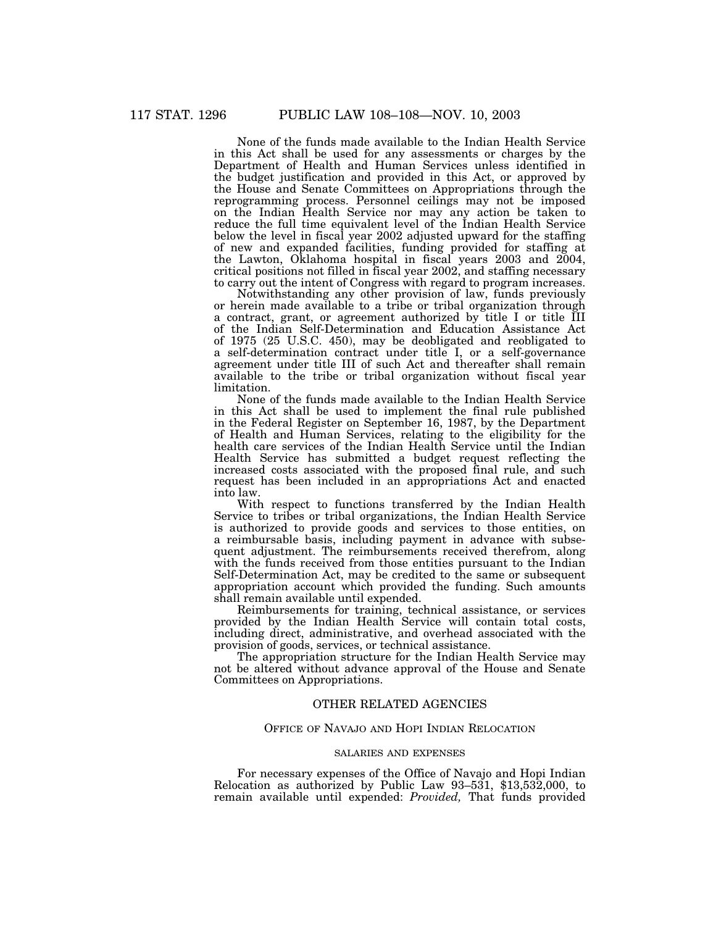None of the funds made available to the Indian Health Service in this Act shall be used for any assessments or charges by the Department of Health and Human Services unless identified in the budget justification and provided in this Act, or approved by the House and Senate Committees on Appropriations through the reprogramming process. Personnel ceilings may not be imposed on the Indian Health Service nor may any action be taken to reduce the full time equivalent level of the Indian Health Service below the level in fiscal year 2002 adjusted upward for the staffing of new and expanded facilities, funding provided for staffing at the Lawton, Oklahoma hospital in fiscal years 2003 and 2004, critical positions not filled in fiscal year 2002, and staffing necessary to carry out the intent of Congress with regard to program increases.

Notwithstanding any other provision of law, funds previously or herein made available to a tribe or tribal organization through a contract, grant, or agreement authorized by title I or title III of the Indian Self-Determination and Education Assistance Act of 1975 (25 U.S.C. 450), may be deobligated and reobligated to a self-determination contract under title I, or a self-governance agreement under title III of such Act and thereafter shall remain available to the tribe or tribal organization without fiscal year limitation.

None of the funds made available to the Indian Health Service in this Act shall be used to implement the final rule published in the Federal Register on September 16, 1987, by the Department of Health and Human Services, relating to the eligibility for the health care services of the Indian Health Service until the Indian Health Service has submitted a budget request reflecting the increased costs associated with the proposed final rule, and such request has been included in an appropriations Act and enacted into law.

With respect to functions transferred by the Indian Health Service to tribes or tribal organizations, the Indian Health Service is authorized to provide goods and services to those entities, on a reimbursable basis, including payment in advance with subsequent adjustment. The reimbursements received therefrom, along with the funds received from those entities pursuant to the Indian Self-Determination Act, may be credited to the same or subsequent appropriation account which provided the funding. Such amounts shall remain available until expended.

Reimbursements for training, technical assistance, or services provided by the Indian Health Service will contain total costs, including direct, administrative, and overhead associated with the provision of goods, services, or technical assistance.

The appropriation structure for the Indian Health Service may not be altered without advance approval of the House and Senate Committees on Appropriations.

# OTHER RELATED AGENCIES

# OFFICE OF NAVAJO AND HOPI INDIAN RELOCATION

### SALARIES AND EXPENSES

For necessary expenses of the Office of Navajo and Hopi Indian Relocation as authorized by Public Law 93–531, \$13,532,000, to remain available until expended: *Provided,* That funds provided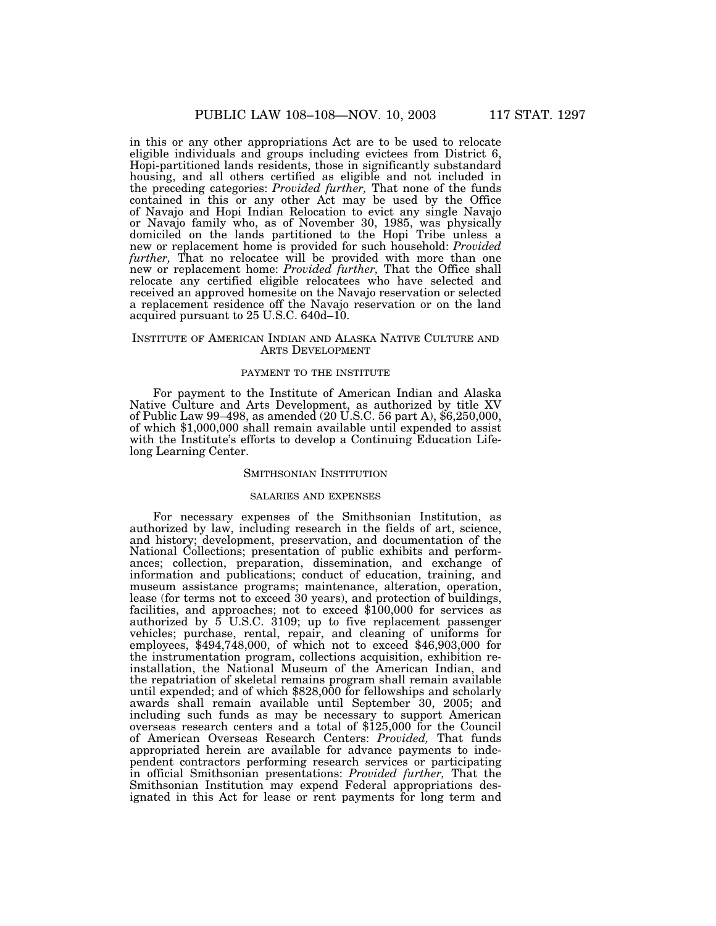in this or any other appropriations Act are to be used to relocate eligible individuals and groups including evictees from District 6, Hopi-partitioned lands residents, those in significantly substandard housing, and all others certified as eligible and not included in the preceding categories: *Provided further,* That none of the funds contained in this or any other Act may be used by the Office of Navajo and Hopi Indian Relocation to evict any single Navajo or Navajo family who, as of November 30, 1985, was physically domiciled on the lands partitioned to the Hopi Tribe unless a new or replacement home is provided for such household: *Provided further,* That no relocatee will be provided with more than one new or replacement home: *Provided further,* That the Office shall relocate any certified eligible relocatees who have selected and received an approved homesite on the Navajo reservation or selected a replacement residence off the Navajo reservation or on the land acquired pursuant to 25 U.S.C. 640d–10.

#### INSTITUTE OF AMERICAN INDIAN AND ALASKA NATIVE CULTURE AND ARTS DEVELOPMENT

#### PAYMENT TO THE INSTITUTE

For payment to the Institute of American Indian and Alaska Native Culture and Arts Development, as authorized by title XV of Public Law 99–498, as amended (20 U.S.C. 56 part A), \$6,250,000, of which \$1,000,000 shall remain available until expended to assist with the Institute's efforts to develop a Continuing Education Lifelong Learning Center.

#### SMITHSONIAN INSTITUTION

### SALARIES AND EXPENSES

For necessary expenses of the Smithsonian Institution, as authorized by law, including research in the fields of art, science, and history; development, preservation, and documentation of the National Collections; presentation of public exhibits and performances; collection, preparation, dissemination, and exchange of information and publications; conduct of education, training, and museum assistance programs; maintenance, alteration, operation, lease (for terms not to exceed 30 years), and protection of buildings, facilities, and approaches; not to exceed \$100,000 for services as authorized by  $5$  U.S.C. 3109; up to five replacement passenger vehicles; purchase, rental, repair, and cleaning of uniforms for employees, \$494,748,000, of which not to exceed \$46,903,000 for the instrumentation program, collections acquisition, exhibition reinstallation, the National Museum of the American Indian, and the repatriation of skeletal remains program shall remain available until expended; and of which \$828,000 for fellowships and scholarly awards shall remain available until September 30, 2005; and including such funds as may be necessary to support American overseas research centers and a total of \$125,000 for the Council of American Overseas Research Centers: *Provided,* That funds appropriated herein are available for advance payments to independent contractors performing research services or participating in official Smithsonian presentations: *Provided further,* That the Smithsonian Institution may expend Federal appropriations designated in this Act for lease or rent payments for long term and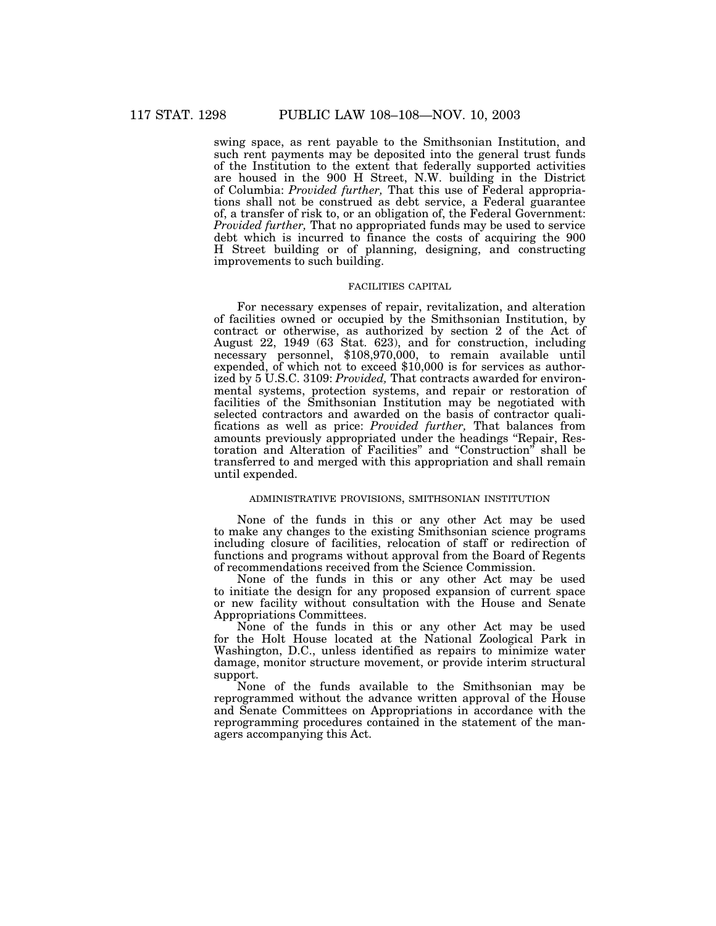swing space, as rent payable to the Smithsonian Institution, and such rent payments may be deposited into the general trust funds of the Institution to the extent that federally supported activities are housed in the 900 H Street, N.W. building in the District of Columbia: *Provided further,* That this use of Federal appropriations shall not be construed as debt service, a Federal guarantee of, a transfer of risk to, or an obligation of, the Federal Government: *Provided further,* That no appropriated funds may be used to service debt which is incurred to finance the costs of acquiring the 900 H Street building or of planning, designing, and constructing improvements to such building.

### FACILITIES CAPITAL

For necessary expenses of repair, revitalization, and alteration of facilities owned or occupied by the Smithsonian Institution, by contract or otherwise, as authorized by section 2 of the Act of August 22, 1949 (63 Stat. 623), and for construction, including necessary personnel, \$108,970,000, to remain available until expended, of which not to exceed \$10,000 is for services as authorized by 5 U.S.C. 3109: *Provided,* That contracts awarded for environmental systems, protection systems, and repair or restoration of facilities of the Smithsonian Institution may be negotiated with selected contractors and awarded on the basis of contractor qualifications as well as price: *Provided further,* That balances from amounts previously appropriated under the headings ''Repair, Restoration and Alteration of Facilities'' and ''Construction'' shall be transferred to and merged with this appropriation and shall remain until expended.

### ADMINISTRATIVE PROVISIONS, SMITHSONIAN INSTITUTION

None of the funds in this or any other Act may be used to make any changes to the existing Smithsonian science programs including closure of facilities, relocation of staff or redirection of functions and programs without approval from the Board of Regents of recommendations received from the Science Commission.

None of the funds in this or any other Act may be used to initiate the design for any proposed expansion of current space or new facility without consultation with the House and Senate Appropriations Committees.

None of the funds in this or any other Act may be used for the Holt House located at the National Zoological Park in Washington, D.C., unless identified as repairs to minimize water damage, monitor structure movement, or provide interim structural support.

None of the funds available to the Smithsonian may be reprogrammed without the advance written approval of the House and Senate Committees on Appropriations in accordance with the reprogramming procedures contained in the statement of the managers accompanying this Act.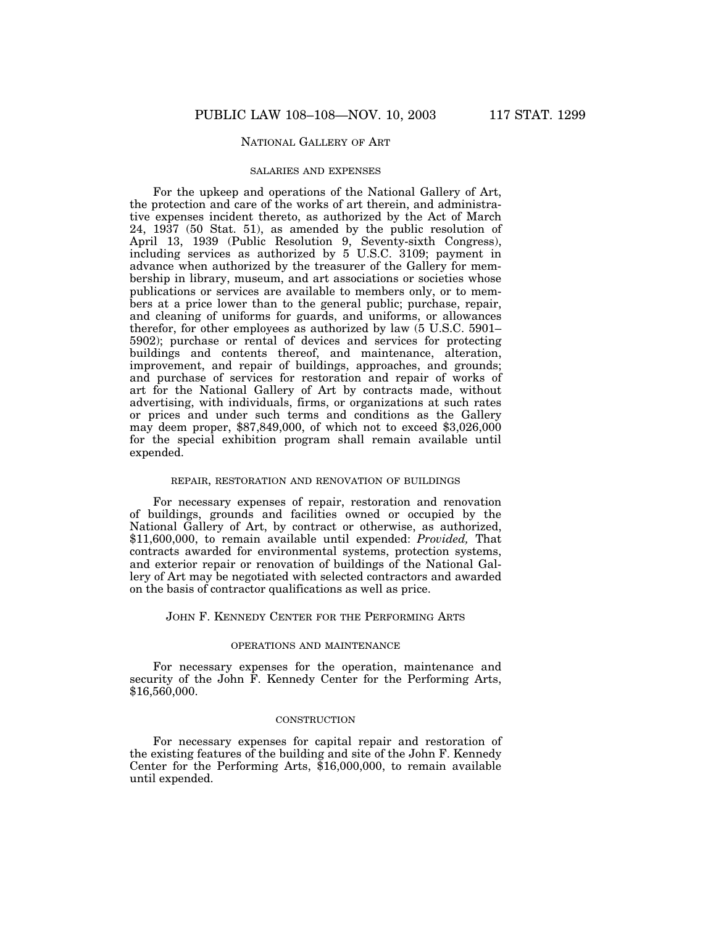# NATIONAL GALLERY OF ART

### SALARIES AND EXPENSES

For the upkeep and operations of the National Gallery of Art, the protection and care of the works of art therein, and administrative expenses incident thereto, as authorized by the Act of March 24, 1937 (50 Stat. 51), as amended by the public resolution of April 13, 1939 (Public Resolution 9, Seventy-sixth Congress), including services as authorized by 5 U.S.C. 3109; payment in advance when authorized by the treasurer of the Gallery for membership in library, museum, and art associations or societies whose publications or services are available to members only, or to members at a price lower than to the general public; purchase, repair, and cleaning of uniforms for guards, and uniforms, or allowances therefor, for other employees as authorized by law (5 U.S.C. 5901– 5902); purchase or rental of devices and services for protecting buildings and contents thereof, and maintenance, alteration, improvement, and repair of buildings, approaches, and grounds; and purchase of services for restoration and repair of works of art for the National Gallery of Art by contracts made, without advertising, with individuals, firms, or organizations at such rates or prices and under such terms and conditions as the Gallery may deem proper, \$87,849,000, of which not to exceed \$3,026,000 for the special exhibition program shall remain available until expended.

### REPAIR, RESTORATION AND RENOVATION OF BUILDINGS

For necessary expenses of repair, restoration and renovation of buildings, grounds and facilities owned or occupied by the National Gallery of Art, by contract or otherwise, as authorized, \$11,600,000, to remain available until expended: *Provided,* That contracts awarded for environmental systems, protection systems, and exterior repair or renovation of buildings of the National Gallery of Art may be negotiated with selected contractors and awarded on the basis of contractor qualifications as well as price.

### JOHN F. KENNEDY CENTER FOR THE PERFORMING ARTS

# OPERATIONS AND MAINTENANCE

For necessary expenses for the operation, maintenance and security of the John F. Kennedy Center for the Performing Arts, \$16,560,000.

### **CONSTRUCTION**

For necessary expenses for capital repair and restoration of the existing features of the building and site of the John F. Kennedy Center for the Performing Arts, \$16,000,000, to remain available until expended.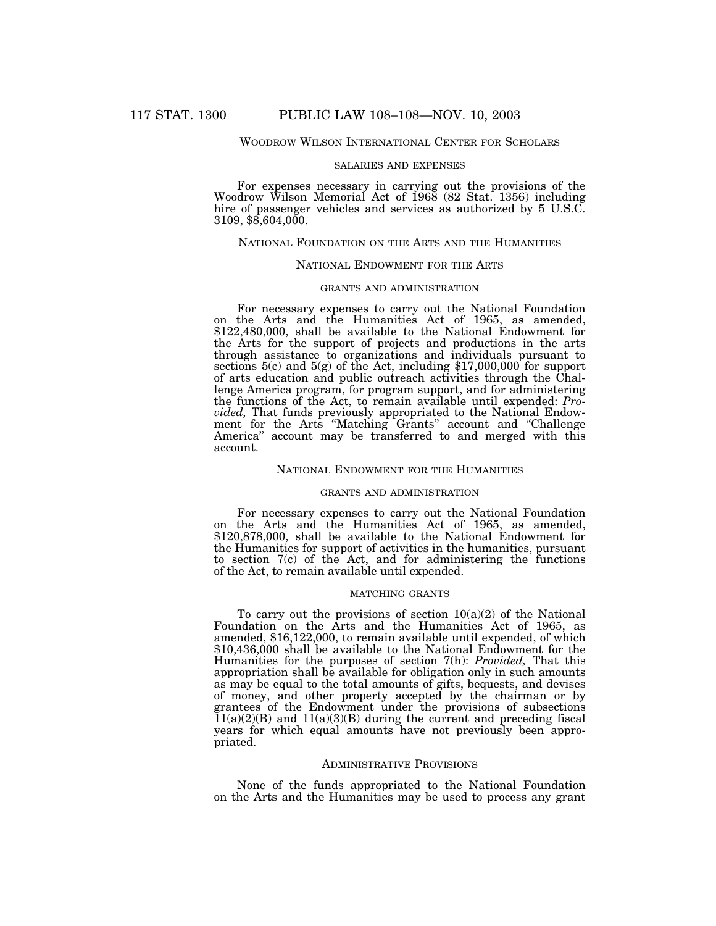### WOODROW WILSON INTERNATIONAL CENTER FOR SCHOLARS

#### SALARIES AND EXPENSES

For expenses necessary in carrying out the provisions of the Woodrow Wilson Memorial Act of 1968 (82 Stat. 1356) including hire of passenger vehicles and services as authorized by 5 U.S.C. 3109, \$8,604,000.

### NATIONAL FOUNDATION ON THE ARTS AND THE HUMANITIES

### NATIONAL ENDOWMENT FOR THE ARTS

### GRANTS AND ADMINISTRATION

For necessary expenses to carry out the National Foundation on the Arts and the Humanities Act of 1965, as amended, \$122,480,000, shall be available to the National Endowment for the Arts for the support of projects and productions in the arts through assistance to organizations and individuals pursuant to sections  $5(c)$  and  $5(g)$  of the Act, including \$17,000,000 for support of arts education and public outreach activities through the Challenge America program, for program support, and for administering the functions of the Act, to remain available until expended: *Provided,* That funds previously appropriated to the National Endowment for the Arts ''Matching Grants'' account and ''Challenge America'' account may be transferred to and merged with this account.

# NATIONAL ENDOWMENT FOR THE HUMANITIES

#### GRANTS AND ADMINISTRATION

For necessary expenses to carry out the National Foundation on the Arts and the Humanities Act of 1965, as amended, \$120,878,000, shall be available to the National Endowment for the Humanities for support of activities in the humanities, pursuant to section  $7(c)$  of the Act, and for administering the functions of the Act, to remain available until expended.

# MATCHING GRANTS

To carry out the provisions of section  $10(a)(2)$  of the National Foundation on the Arts and the Humanities Act of 1965, as amended, \$16,122,000, to remain available until expended, of which \$10,436,000 shall be available to the National Endowment for the Humanities for the purposes of section 7(h): *Provided,* That this appropriation shall be available for obligation only in such amounts as may be equal to the total amounts of gifts, bequests, and devises of money, and other property accepted by the chairman or by grantees of the Endowment under the provisions of subsections  $\tilde{1}1(a)(2)(B)$  and  $11(a)(3)(B)$  during the current and preceding fiscal years for which equal amounts have not previously been appropriated.

### ADMINISTRATIVE PROVISIONS

None of the funds appropriated to the National Foundation on the Arts and the Humanities may be used to process any grant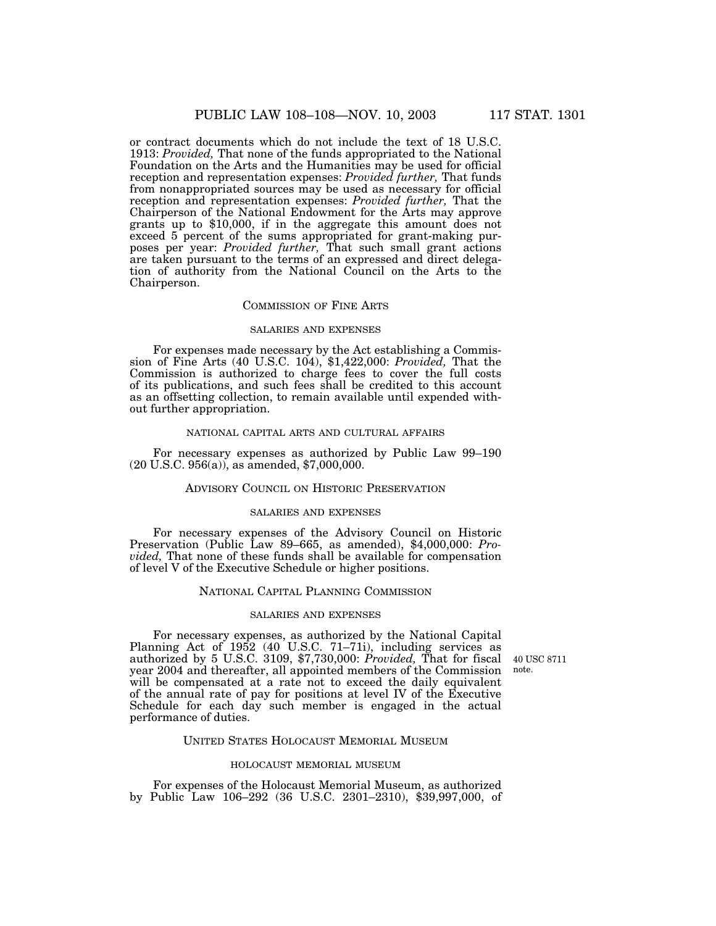or contract documents which do not include the text of 18 U.S.C. 1913: *Provided,* That none of the funds appropriated to the National Foundation on the Arts and the Humanities may be used for official reception and representation expenses: *Provided further,* That funds from nonappropriated sources may be used as necessary for official reception and representation expenses: *Provided further,* That the Chairperson of the National Endowment for the Arts may approve grants up to \$10,000, if in the aggregate this amount does not exceed 5 percent of the sums appropriated for grant-making purposes per year: *Provided further,* That such small grant actions are taken pursuant to the terms of an expressed and direct delegation of authority from the National Council on the Arts to the Chairperson.

#### COMMISSION OF FINE ARTS

#### SALARIES AND EXPENSES

For expenses made necessary by the Act establishing a Commission of Fine Arts (40 U.S.C. 104), \$1,422,000: *Provided,* That the Commission is authorized to charge fees to cover the full costs of its publications, and such fees shall be credited to this account as an offsetting collection, to remain available until expended without further appropriation.

### NATIONAL CAPITAL ARTS AND CULTURAL AFFAIRS

For necessary expenses as authorized by Public Law 99–190 (20 U.S.C. 956(a)), as amended, \$7,000,000.

# ADVISORY COUNCIL ON HISTORIC PRESERVATION

#### SALARIES AND EXPENSES

For necessary expenses of the Advisory Council on Historic Preservation (Public Law 89–665, as amended), \$4,000,000: *Provided,* That none of these funds shall be available for compensation of level V of the Executive Schedule or higher positions.

### NATIONAL CAPITAL PLANNING COMMISSION

#### SALARIES AND EXPENSES

40 USC 8711 note.

For necessary expenses, as authorized by the National Capital Planning Act of 1952 (40 U.S.C. 71–71i), including services as authorized by 5 U.S.C. 3109, \$7,730,000: *Provided,* That for fiscal year 2004 and thereafter, all appointed members of the Commission will be compensated at a rate not to exceed the daily equivalent of the annual rate of pay for positions at level IV of the Executive Schedule for each day such member is engaged in the actual performance of duties.

# UNITED STATES HOLOCAUST MEMORIAL MUSEUM

#### HOLOCAUST MEMORIAL MUSEUM

For expenses of the Holocaust Memorial Museum, as authorized by Public Law 106–292 (36 U.S.C. 2301–2310), \$39,997,000, of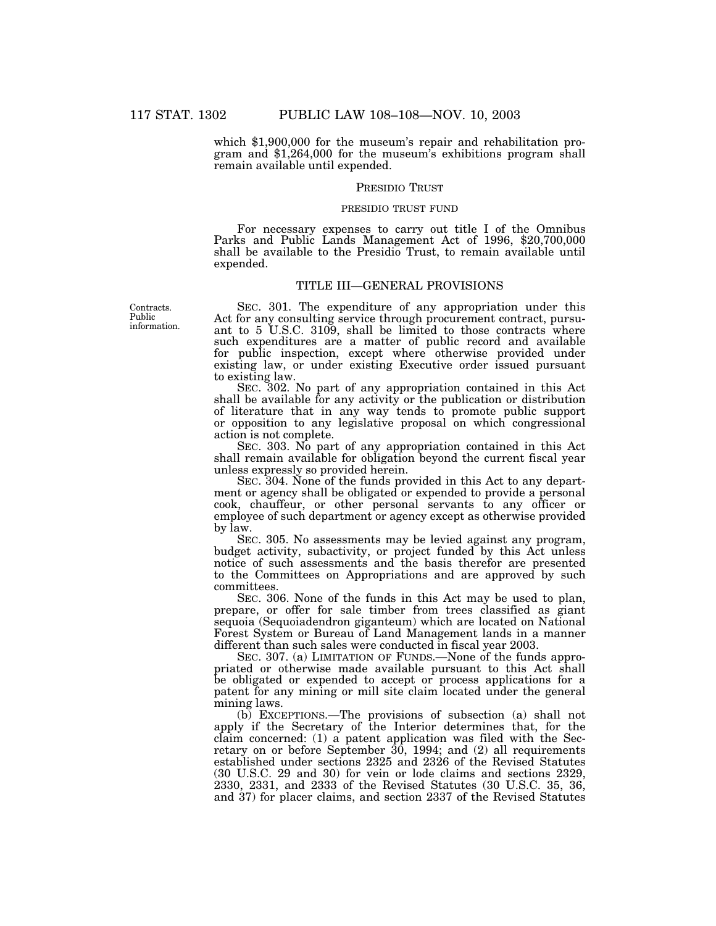which \$1,900,000 for the museum's repair and rehabilitation program and \$1,264,000 for the museum's exhibitions program shall remain available until expended.

### PRESIDIO TRUST

#### PRESIDIO TRUST FUND

For necessary expenses to carry out title I of the Omnibus Parks and Public Lands Management Act of 1996, \$20,700,000 shall be available to the Presidio Trust, to remain available until expended.

# TITLE III—GENERAL PROVISIONS

Contracts. Public information.

SEC. 301. The expenditure of any appropriation under this Act for any consulting service through procurement contract, pursuant to 5 U.S.C. 3109, shall be limited to those contracts where such expenditures are a matter of public record and available for public inspection, except where otherwise provided under existing law, or under existing Executive order issued pursuant to existing law.

SEC. 302. No part of any appropriation contained in this Act shall be available for any activity or the publication or distribution of literature that in any way tends to promote public support or opposition to any legislative proposal on which congressional action is not complete.

SEC. 303. No part of any appropriation contained in this Act shall remain available for obligation beyond the current fiscal year unless expressly so provided herein.

SEC. 304. None of the funds provided in this Act to any department or agency shall be obligated or expended to provide a personal cook, chauffeur, or other personal servants to any officer or employee of such department or agency except as otherwise provided by law.

SEC. 305. No assessments may be levied against any program, budget activity, subactivity, or project funded by this Act unless notice of such assessments and the basis therefor are presented to the Committees on Appropriations and are approved by such committees.

SEC. 306. None of the funds in this Act may be used to plan, prepare, or offer for sale timber from trees classified as giant sequoia (Sequoiadendron giganteum) which are located on National Forest System or Bureau of Land Management lands in a manner different than such sales were conducted in fiscal year 2003.

SEC. 307. (a) LIMITATION OF FUNDS.—None of the funds appropriated or otherwise made available pursuant to this Act shall be obligated or expended to accept or process applications for a patent for any mining or mill site claim located under the general mining laws.

(b) EXCEPTIONS.—The provisions of subsection (a) shall not apply if the Secretary of the Interior determines that, for the claim concerned: (1) a patent application was filed with the Secretary on or before September 30, 1994; and (2) all requirements established under sections 2325 and 2326 of the Revised Statutes (30 U.S.C. 29 and 30) for vein or lode claims and sections 2329, 2330, 2331, and 2333 of the Revised Statutes (30 U.S.C. 35, 36, and 37) for placer claims, and section 2337 of the Revised Statutes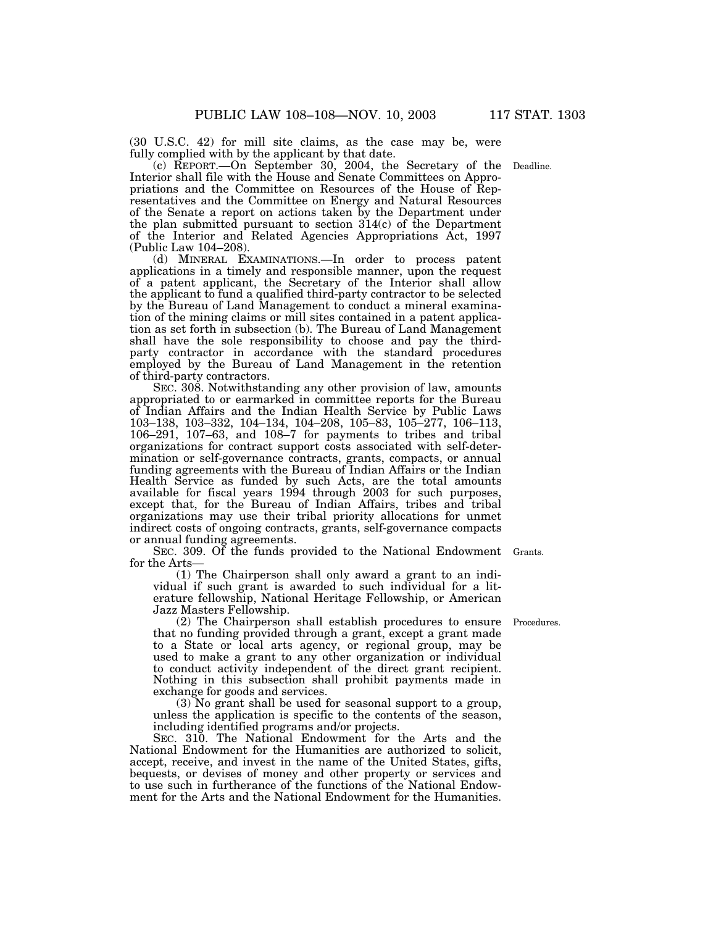(30 U.S.C. 42) for mill site claims, as the case may be, were

fully complied with by the applicant by that date. (c) REPORT.—On September 30, 2004, the Secretary of the Deadline. Interior shall file with the House and Senate Committees on Appropriations and the Committee on Resources of the House of Representatives and the Committee on Energy and Natural Resources of the Senate a report on actions taken by the Department under the plan submitted pursuant to section 314(c) of the Department of the Interior and Related Agencies Appropriations Act, 1997 (Public Law 104–208).

(d) MINERAL EXAMINATIONS.—In order to process patent applications in a timely and responsible manner, upon the request of a patent applicant, the Secretary of the Interior shall allow the applicant to fund a qualified third-party contractor to be selected by the Bureau of Land Management to conduct a mineral examination of the mining claims or mill sites contained in a patent application as set forth in subsection (b). The Bureau of Land Management shall have the sole responsibility to choose and pay the thirdparty contractor in accordance with the standard procedures employed by the Bureau of Land Management in the retention of third-party contractors.

SEC. 308. Notwithstanding any other provision of law, amounts appropriated to or earmarked in committee reports for the Bureau of Indian Affairs and the Indian Health Service by Public Laws 103–138, 103–332, 104–134, 104–208, 105–83, 105–277, 106–113, 106–291, 107–63, and 108–7 for payments to tribes and tribal organizations for contract support costs associated with self-determination or self-governance contracts, grants, compacts, or annual funding agreements with the Bureau of Indian Affairs or the Indian Health Service as funded by such Acts, are the total amounts available for fiscal years 1994 through 2003 for such purposes, except that, for the Bureau of Indian Affairs, tribes and tribal organizations may use their tribal priority allocations for unmet indirect costs of ongoing contracts, grants, self-governance compacts or annual funding agreements.

SEC. 309. Of the funds provided to the National Endowment Grants. for the Arts—

(1) The Chairperson shall only award a grant to an individual if such grant is awarded to such individual for a literature fellowship, National Heritage Fellowship, or American Jazz Masters Fellowship.

(2) The Chairperson shall establish procedures to ensure Procedures. that no funding provided through a grant, except a grant made to a State or local arts agency, or regional group, may be used to make a grant to any other organization or individual to conduct activity independent of the direct grant recipient. Nothing in this subsection shall prohibit payments made in exchange for goods and services.

(3) No grant shall be used for seasonal support to a group, unless the application is specific to the contents of the season, including identified programs and/or projects.

SEC. 310. The National Endowment for the Arts and the National Endowment for the Humanities are authorized to solicit, accept, receive, and invest in the name of the United States, gifts, bequests, or devises of money and other property or services and to use such in furtherance of the functions of the National Endowment for the Arts and the National Endowment for the Humanities.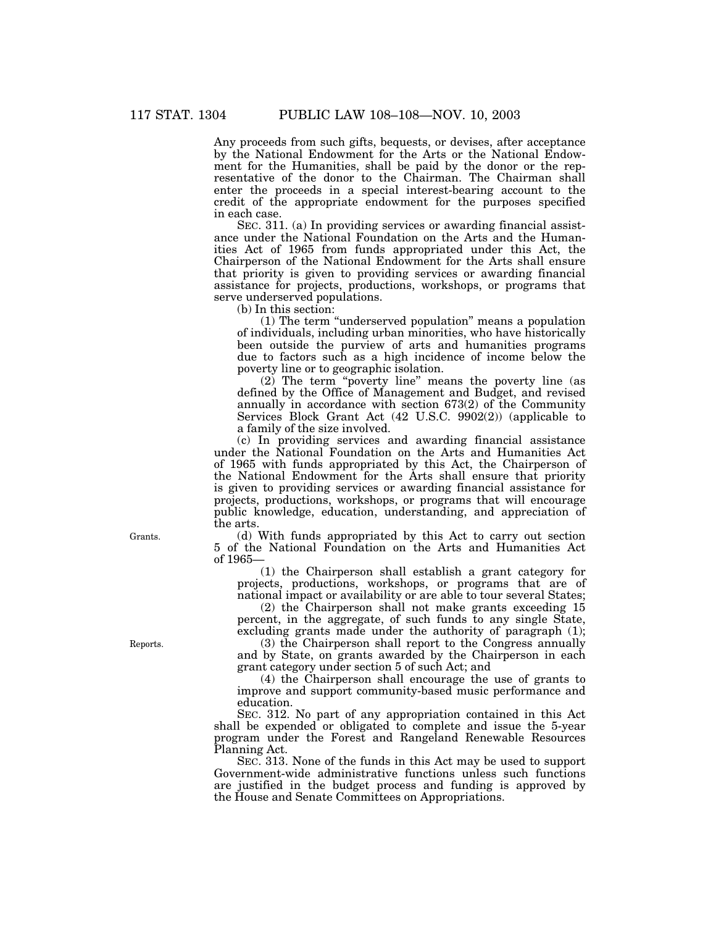Any proceeds from such gifts, bequests, or devises, after acceptance by the National Endowment for the Arts or the National Endowment for the Humanities, shall be paid by the donor or the representative of the donor to the Chairman. The Chairman shall enter the proceeds in a special interest-bearing account to the credit of the appropriate endowment for the purposes specified in each case.

SEC. 311. (a) In providing services or awarding financial assistance under the National Foundation on the Arts and the Humanities Act of 1965 from funds appropriated under this Act, the Chairperson of the National Endowment for the Arts shall ensure that priority is given to providing services or awarding financial assistance for projects, productions, workshops, or programs that serve underserved populations.

(b) In this section:

(1) The term ''underserved population'' means a population of individuals, including urban minorities, who have historically been outside the purview of arts and humanities programs due to factors such as a high incidence of income below the poverty line or to geographic isolation.

(2) The term ''poverty line'' means the poverty line (as defined by the Office of Management and Budget, and revised annually in accordance with section 673(2) of the Community Services Block Grant Act (42 U.S.C. 9902(2)) (applicable to a family of the size involved.

(c) In providing services and awarding financial assistance under the National Foundation on the Arts and Humanities Act of 1965 with funds appropriated by this Act, the Chairperson of the National Endowment for the Arts shall ensure that priority is given to providing services or awarding financial assistance for projects, productions, workshops, or programs that will encourage public knowledge, education, understanding, and appreciation of the arts.

(d) With funds appropriated by this Act to carry out section 5 of the National Foundation on the Arts and Humanities Act of 1965—

(1) the Chairperson shall establish a grant category for projects, productions, workshops, or programs that are of national impact or availability or are able to tour several States;

(2) the Chairperson shall not make grants exceeding 15 percent, in the aggregate, of such funds to any single State, excluding grants made under the authority of paragraph (1);

(3) the Chairperson shall report to the Congress annually and by State, on grants awarded by the Chairperson in each grant category under section 5 of such Act; and

(4) the Chairperson shall encourage the use of grants to improve and support community-based music performance and education.

SEC. 312. No part of any appropriation contained in this Act shall be expended or obligated to complete and issue the 5-year program under the Forest and Rangeland Renewable Resources Planning Act.

SEC. 313. None of the funds in this Act may be used to support Government-wide administrative functions unless such functions are justified in the budget process and funding is approved by the House and Senate Committees on Appropriations.

Grants.

Reports.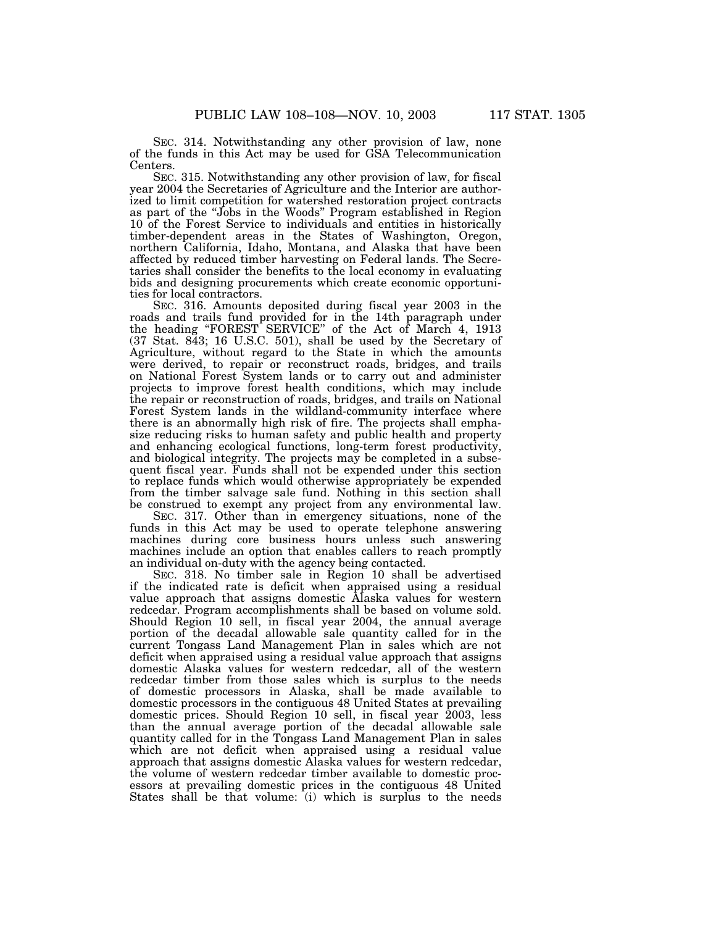SEC. 314. Notwithstanding any other provision of law, none of the funds in this Act may be used for GSA Telecommunication Centers.

SEC. 315. Notwithstanding any other provision of law, for fiscal year 2004 the Secretaries of Agriculture and the Interior are authorized to limit competition for watershed restoration project contracts as part of the ''Jobs in the Woods'' Program established in Region 10 of the Forest Service to individuals and entities in historically timber-dependent areas in the States of Washington, Oregon, northern California, Idaho, Montana, and Alaska that have been affected by reduced timber harvesting on Federal lands. The Secretaries shall consider the benefits to the local economy in evaluating bids and designing procurements which create economic opportunities for local contractors.

SEC. 316. Amounts deposited during fiscal year 2003 in the roads and trails fund provided for in the 14th paragraph under the heading ''FOREST SERVICE'' of the Act of March 4, 1913 (37 Stat. 843; 16 U.S.C. 501), shall be used by the Secretary of Agriculture, without regard to the State in which the amounts were derived, to repair or reconstruct roads, bridges, and trails on National Forest System lands or to carry out and administer projects to improve forest health conditions, which may include the repair or reconstruction of roads, bridges, and trails on National Forest System lands in the wildland-community interface where there is an abnormally high risk of fire. The projects shall emphasize reducing risks to human safety and public health and property and enhancing ecological functions, long-term forest productivity, and biological integrity. The projects may be completed in a subsequent fiscal year. Funds shall not be expended under this section to replace funds which would otherwise appropriately be expended from the timber salvage sale fund. Nothing in this section shall be construed to exempt any project from any environmental law.

SEC. 317. Other than in emergency situations, none of the funds in this Act may be used to operate telephone answering machines during core business hours unless such answering machines include an option that enables callers to reach promptly an individual on-duty with the agency being contacted.

SEC. 318. No timber sale in Region 10 shall be advertised if the indicated rate is deficit when appraised using a residual value approach that assigns domestic Alaska values for western redcedar. Program accomplishments shall be based on volume sold. Should Region 10 sell, in fiscal year 2004, the annual average portion of the decadal allowable sale quantity called for in the current Tongass Land Management Plan in sales which are not deficit when appraised using a residual value approach that assigns domestic Alaska values for western redcedar, all of the western redcedar timber from those sales which is surplus to the needs of domestic processors in Alaska, shall be made available to domestic processors in the contiguous 48 United States at prevailing domestic prices. Should Region 10 sell, in fiscal year 2003, less than the annual average portion of the decadal allowable sale quantity called for in the Tongass Land Management Plan in sales which are not deficit when appraised using a residual value approach that assigns domestic Alaska values for western redcedar, the volume of western redcedar timber available to domestic processors at prevailing domestic prices in the contiguous 48 United States shall be that volume: (i) which is surplus to the needs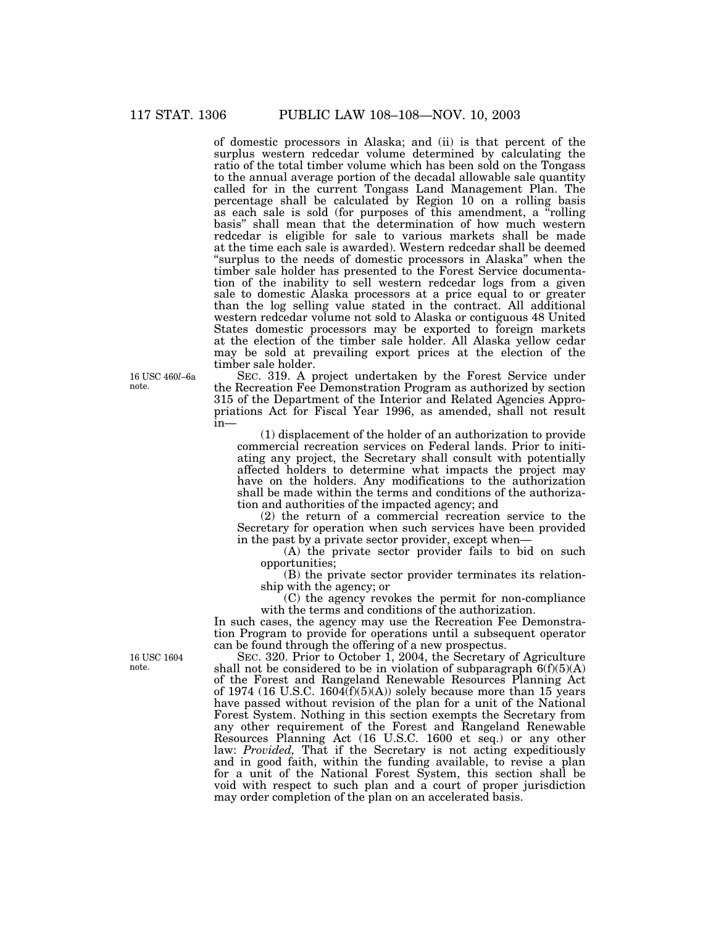of domestic processors in Alaska; and (ii) is that percent of the surplus western redcedar volume determined by calculating the ratio of the total timber volume which has been sold on the Tongass to the annual average portion of the decadal allowable sale quantity called for in the current Tongass Land Management Plan. The percentage shall be calculated by Region 10 on a rolling basis as each sale is sold (for purposes of this amendment, a ''rolling basis'' shall mean that the determination of how much western redcedar is eligible for sale to various markets shall be made at the time each sale is awarded). Western redcedar shall be deemed ''surplus to the needs of domestic processors in Alaska'' when the timber sale holder has presented to the Forest Service documentation of the inability to sell western redcedar logs from a given sale to domestic Alaska processors at a price equal to or greater than the log selling value stated in the contract. All additional western redcedar volume not sold to Alaska or contiguous 48 United States domestic processors may be exported to foreign markets at the election of the timber sale holder. All Alaska yellow cedar may be sold at prevailing export prices at the election of the timber sale holder.

SEC. 319. A project undertaken by the Forest Service under the Recreation Fee Demonstration Program as authorized by section 315 of the Department of the Interior and Related Agencies Appropriations Act for Fiscal Year 1996, as amended, shall not result in—

(1) displacement of the holder of an authorization to provide commercial recreation services on Federal lands. Prior to initiating any project, the Secretary shall consult with potentially affected holders to determine what impacts the project may have on the holders. Any modifications to the authorization shall be made within the terms and conditions of the authorization and authorities of the impacted agency; and

(2) the return of a commercial recreation service to the Secretary for operation when such services have been provided in the past by a private sector provider, except when—

(A) the private sector provider fails to bid on such opportunities;

(B) the private sector provider terminates its relationship with the agency; or

(C) the agency revokes the permit for non-compliance with the terms and conditions of the authorization.

In such cases, the agency may use the Recreation Fee Demonstration Program to provide for operations until a subsequent operator can be found through the offering of a new prospectus.

SEC. 320. Prior to October 1, 2004, the Secretary of Agriculture shall not be considered to be in violation of subparagraph  $6(f)(5)(A)$ of the Forest and Rangeland Renewable Resources Planning Act of 1974 (16 U.S.C. 1604 $(f)(5)(A)$ ) solely because more than 15 years have passed without revision of the plan for a unit of the National Forest System. Nothing in this section exempts the Secretary from any other requirement of the Forest and Rangeland Renewable Resources Planning Act (16 U.S.C. 1600 et seq.) or any other law: *Provided,* That if the Secretary is not acting expeditiously and in good faith, within the funding available, to revise a plan for a unit of the National Forest System, this section shall be void with respect to such plan and a court of proper jurisdiction may order completion of the plan on an accelerated basis.

16 USC 460*l*–6a note.

16 USC 1604 note.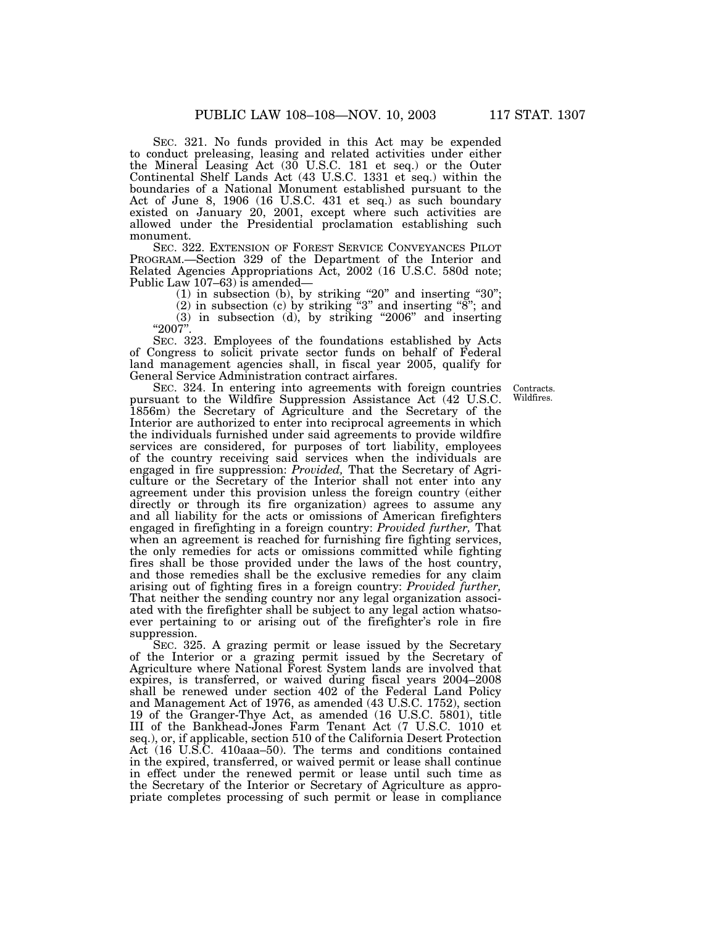SEC. 321. No funds provided in this Act may be expended to conduct preleasing, leasing and related activities under either the Mineral Leasing Act (30 U.S.C. 181 et seq.) or the Outer Continental Shelf Lands Act (43 U.S.C. 1331 et seq.) within the boundaries of a National Monument established pursuant to the Act of June 8, 1906 (16 U.S.C. 431 et seq.) as such boundary existed on January 20, 2001, except where such activities are allowed under the Presidential proclamation establishing such monument.

SEC. 322. EXTENSION OF FOREST SERVICE CONVEYANCES PILOT PROGRAM.—Section 329 of the Department of the Interior and Related Agencies Appropriations Act, 2002 (16 U.S.C. 580d note; Public Law 107–63) is amended—

 $(1)$  in subsection  $(b)$ , by striking "20" and inserting "30";

(2) in subsection (c) by striking "3" and inserting "8"; and  $(3)$  in subsection  $(d)$ , by striking "2006" and inserting

"2007"

SEC. 323. Employees of the foundations established by Acts of Congress to solicit private sector funds on behalf of Federal land management agencies shall, in fiscal year 2005, qualify for General Service Administration contract airfares.

> Contracts. Wildfires.

SEC. 324. In entering into agreements with foreign countries pursuant to the Wildfire Suppression Assistance Act (42 U.S.C. 1856m) the Secretary of Agriculture and the Secretary of the Interior are authorized to enter into reciprocal agreements in which the individuals furnished under said agreements to provide wildfire services are considered, for purposes of tort liability, employees of the country receiving said services when the individuals are engaged in fire suppression: *Provided,* That the Secretary of Agriculture or the Secretary of the Interior shall not enter into any agreement under this provision unless the foreign country (either directly or through its fire organization) agrees to assume any and all liability for the acts or omissions of American firefighters engaged in firefighting in a foreign country: *Provided further,* That when an agreement is reached for furnishing fire fighting services, the only remedies for acts or omissions committed while fighting fires shall be those provided under the laws of the host country, and those remedies shall be the exclusive remedies for any claim arising out of fighting fires in a foreign country: *Provided further,* That neither the sending country nor any legal organization associated with the firefighter shall be subject to any legal action whatsoever pertaining to or arising out of the firefighter's role in fire suppression.

SEC. 325. A grazing permit or lease issued by the Secretary of the Interior or a grazing permit issued by the Secretary of Agriculture where National Forest System lands are involved that expires, is transferred, or waived during fiscal years 2004–2008 shall be renewed under section 402 of the Federal Land Policy and Management Act of 1976, as amended (43 U.S.C. 1752), section 19 of the Granger-Thye Act, as amended (16 U.S.C. 5801), title III of the Bankhead-Jones Farm Tenant Act (7 U.S.C. 1010 et seq.), or, if applicable, section 510 of the California Desert Protection Act (16 U.S.C. 410aaa–50). The terms and conditions contained in the expired, transferred, or waived permit or lease shall continue in effect under the renewed permit or lease until such time as the Secretary of the Interior or Secretary of Agriculture as appropriate completes processing of such permit or lease in compliance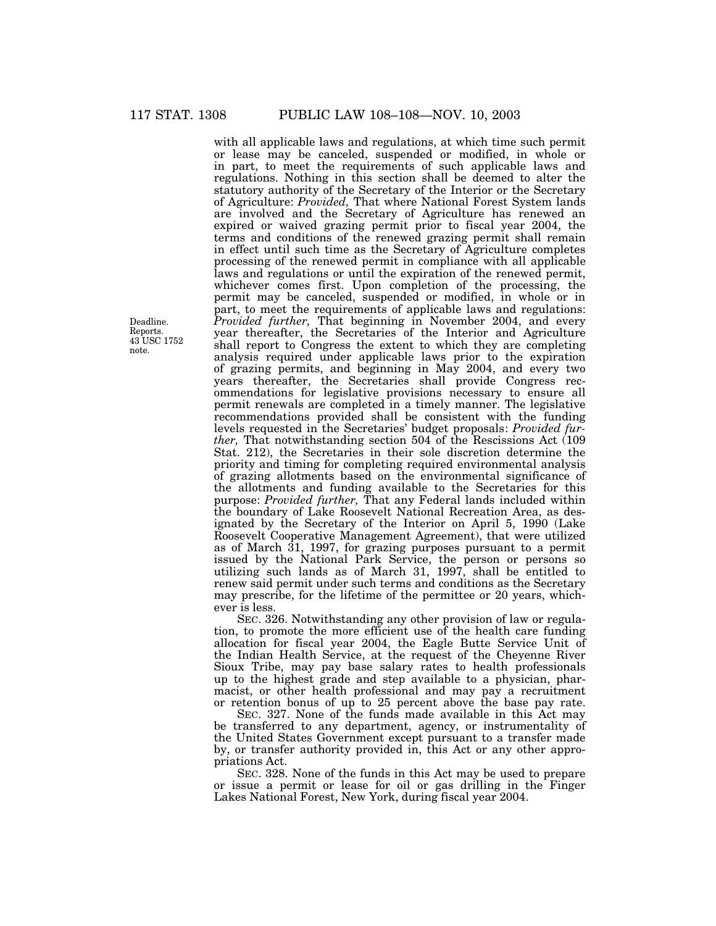with all applicable laws and regulations, at which time such permit or lease may be canceled, suspended or modified, in whole or in part, to meet the requirements of such applicable laws and regulations. Nothing in this section shall be deemed to alter the statutory authority of the Secretary of the Interior or the Secretary of Agriculture: *Provided,* That where National Forest System lands are involved and the Secretary of Agriculture has renewed an expired or waived grazing permit prior to fiscal year 2004, the terms and conditions of the renewed grazing permit shall remain in effect until such time as the Secretary of Agriculture completes processing of the renewed permit in compliance with all applicable laws and regulations or until the expiration of the renewed permit, whichever comes first. Upon completion of the processing, the permit may be canceled, suspended or modified, in whole or in part, to meet the requirements of applicable laws and regulations: *Provided further,* That beginning in November 2004, and every year thereafter, the Secretaries of the Interior and Agriculture shall report to Congress the extent to which they are completing analysis required under applicable laws prior to the expiration of grazing permits, and beginning in May 2004, and every two years thereafter, the Secretaries shall provide Congress recommendations for legislative provisions necessary to ensure all permit renewals are completed in a timely manner. The legislative recommendations provided shall be consistent with the funding levels requested in the Secretaries' budget proposals: *Provided further,* That notwithstanding section 504 of the Rescissions Act (109 Stat. 212), the Secretaries in their sole discretion determine the priority and timing for completing required environmental analysis of grazing allotments based on the environmental significance of the allotments and funding available to the Secretaries for this purpose: *Provided further,* That any Federal lands included within the boundary of Lake Roosevelt National Recreation Area, as designated by the Secretary of the Interior on April 5, 1990 (Lake Roosevelt Cooperative Management Agreement), that were utilized as of March 31, 1997, for grazing purposes pursuant to a permit issued by the National Park Service, the person or persons so utilizing such lands as of March 31, 1997, shall be entitled to renew said permit under such terms and conditions as the Secretary may prescribe, for the lifetime of the permittee or 20 years, whichever is less.

SEC. 326. Notwithstanding any other provision of law or regulation, to promote the more efficient use of the health care funding allocation for fiscal year 2004, the Eagle Butte Service Unit of the Indian Health Service, at the request of the Cheyenne River Sioux Tribe, may pay base salary rates to health professionals up to the highest grade and step available to a physician, pharmacist, or other health professional and may pay a recruitment or retention bonus of up to 25 percent above the base pay rate.

SEC. 327. None of the funds made available in this Act may be transferred to any department, agency, or instrumentality of the United States Government except pursuant to a transfer made by, or transfer authority provided in, this Act or any other appropriations Act.

SEC. 328. None of the funds in this Act may be used to prepare or issue a permit or lease for oil or gas drilling in the Finger Lakes National Forest, New York, during fiscal year 2004.

Deadline. Reports. 43 USC 1752 note.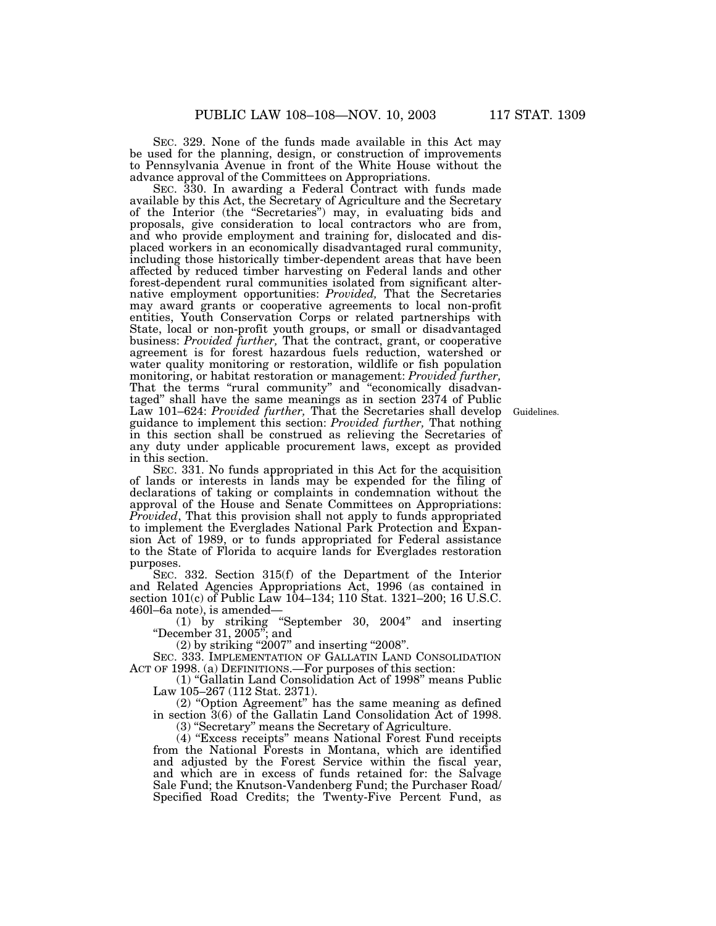SEC. 329. None of the funds made available in this Act may be used for the planning, design, or construction of improvements to Pennsylvania Avenue in front of the White House without the advance approval of the Committees on Appropriations.

SEC. 330. In awarding a Federal Contract with funds made available by this Act, the Secretary of Agriculture and the Secretary of the Interior (the ''Secretaries'') may, in evaluating bids and proposals, give consideration to local contractors who are from, and who provide employment and training for, dislocated and displaced workers in an economically disadvantaged rural community, including those historically timber-dependent areas that have been affected by reduced timber harvesting on Federal lands and other forest-dependent rural communities isolated from significant alternative employment opportunities: *Provided,* That the Secretaries may award grants or cooperative agreements to local non-profit entities, Youth Conservation Corps or related partnerships with State, local or non-profit youth groups, or small or disadvantaged business: *Provided further,* That the contract, grant, or cooperative agreement is for forest hazardous fuels reduction, watershed or water quality monitoring or restoration, wildlife or fish population monitoring, or habitat restoration or management: *Provided further,* That the terms "rural community" and "economically disadvantaged'' shall have the same meanings as in section 2374 of Public Law 101–624: *Provided further,* That the Secretaries shall develop guidance to implement this section: *Provided further,* That nothing in this section shall be construed as relieving the Secretaries of any duty under applicable procurement laws, except as provided in this section.

SEC. 331. No funds appropriated in this Act for the acquisition of lands or interests in lands may be expended for the filing of declarations of taking or complaints in condemnation without the approval of the House and Senate Committees on Appropriations: *Provided*, That this provision shall not apply to funds appropriated to implement the Everglades National Park Protection and Expansion Act of 1989, or to funds appropriated for Federal assistance to the State of Florida to acquire lands for Everglades restoration purposes.

SEC. 332. Section 315(f) of the Department of the Interior and Related Agencies Appropriations Act, 1996 (as contained in section 101(c) of Public Law 104–134; 110 Stat. 1321–200; 16 U.S.C. 460l–6a note), is amended—

(1) by striking ''September 30, 2004'' and inserting "December 31, 2005"; and

 $(2)$  by striking "2007" and inserting "2008".

SEC. 333. IMPLEMENTATION OF GALLATIN LAND CONSOLIDATION ACT OF 1998. (a) DEFINITIONS.—For purposes of this section:

(1) ''Gallatin Land Consolidation Act of 1998'' means Public Law 105–267 (112 Stat. 2371).

(2) ''Option Agreement'' has the same meaning as defined in section 3(6) of the Gallatin Land Consolidation Act of 1998. (3) ''Secretary'' means the Secretary of Agriculture.

(4) ''Excess receipts'' means National Forest Fund receipts from the National Forests in Montana, which are identified and adjusted by the Forest Service within the fiscal year, and which are in excess of funds retained for: the Salvage Sale Fund; the Knutson-Vandenberg Fund; the Purchaser Road/ Specified Road Credits; the Twenty-Five Percent Fund, as

Guidelines.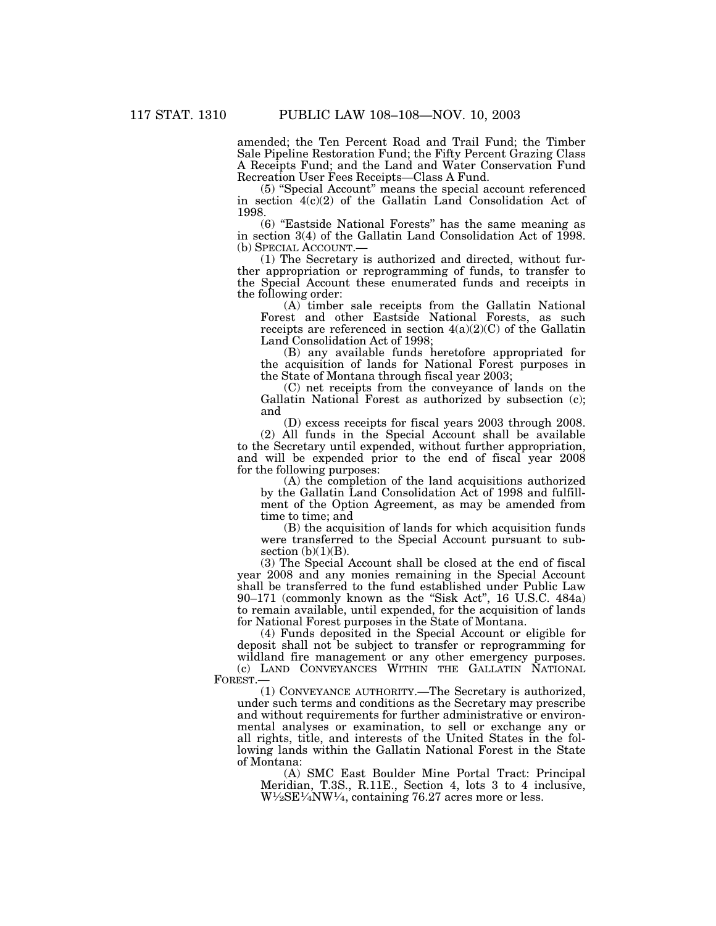amended; the Ten Percent Road and Trail Fund; the Timber Sale Pipeline Restoration Fund; the Fifty Percent Grazing Class A Receipts Fund; and the Land and Water Conservation Fund Recreation User Fees Receipts—Class A Fund.

(5) ''Special Account'' means the special account referenced in section 4(c)(2) of the Gallatin Land Consolidation Act of 1998.

(6) ''Eastside National Forests'' has the same meaning as in section 3(4) of the Gallatin Land Consolidation Act of 1998.

 $(1)$  The Secretary is authorized and directed, without further appropriation or reprogramming of funds, to transfer to the Special Account these enumerated funds and receipts in the following order:

(A) timber sale receipts from the Gallatin National Forest and other Eastside National Forests, as such receipts are referenced in section  $4(a)(2)(C)$  of the Gallatin Land Consolidation Act of 1998;

(B) any available funds heretofore appropriated for the acquisition of lands for National Forest purposes in the State of Montana through fiscal year 2003;

(C) net receipts from the conveyance of lands on the Gallatin National Forest as authorized by subsection (c); and

(D) excess receipts for fiscal years 2003 through 2008.

(2) All funds in the Special Account shall be available to the Secretary until expended, without further appropriation, and will be expended prior to the end of fiscal year 2008 for the following purposes:

(A) the completion of the land acquisitions authorized by the Gallatin Land Consolidation Act of 1998 and fulfillment of the Option Agreement, as may be amended from time to time; and

(B) the acquisition of lands for which acquisition funds were transferred to the Special Account pursuant to subsection  $(b)(1)(B)$ .

(3) The Special Account shall be closed at the end of fiscal year 2008 and any monies remaining in the Special Account shall be transferred to the fund established under Public Law 90–171 (commonly known as the ''Sisk Act'', 16 U.S.C. 484a) to remain available, until expended, for the acquisition of lands for National Forest purposes in the State of Montana.

(4) Funds deposited in the Special Account or eligible for deposit shall not be subject to transfer or reprogramming for wildland fire management or any other emergency purposes.

(c) LAND CONVEYANCES WITHIN THE GALLATIN NATIONAL FOREST.—

(1) CONVEYANCE AUTHORITY.—The Secretary is authorized, under such terms and conditions as the Secretary may prescribe and without requirements for further administrative or environmental analyses or examination, to sell or exchange any or all rights, title, and interests of the United States in the following lands within the Gallatin National Forest in the State of Montana:

(A) SMC East Boulder Mine Portal Tract: Principal Meridian, T.3S., R.11E., Section 4, lots 3 to 4 inclusive,  $W\frac{1}{2}SE\frac{1}{4}NW\frac{1}{4}$ , containing 76.27 acres more or less.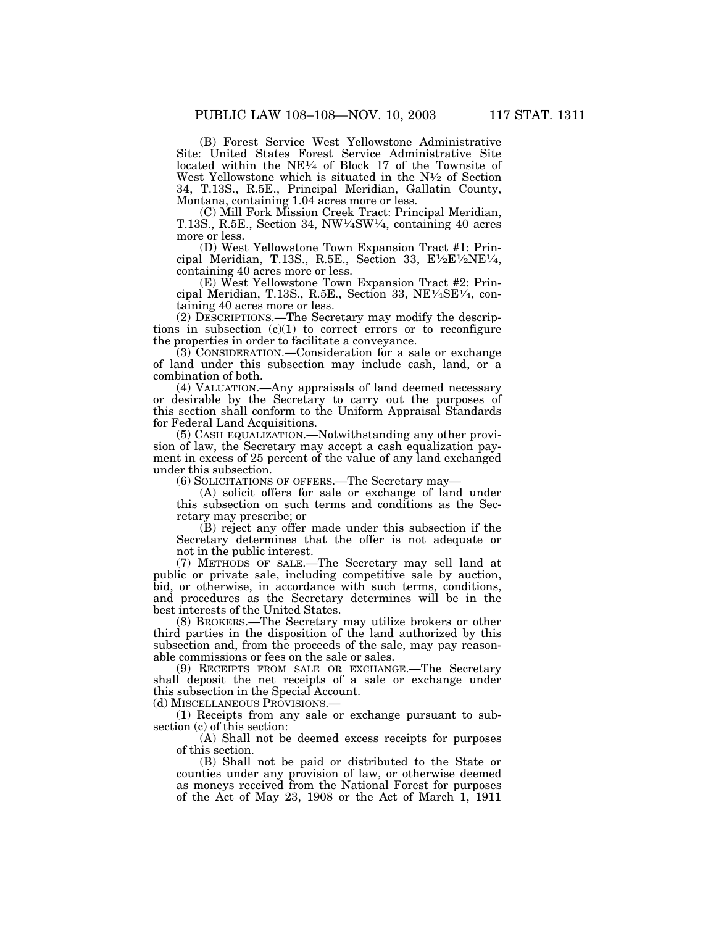(B) Forest Service West Yellowstone Administrative Site: United States Forest Service Administrative Site located within the NE1⁄4 of Block 17 of the Townsite of West Yellowstone which is situated in the  $N<sup>1</sup>$  of Section 34, T.13S., R.5E., Principal Meridian, Gallatin County, Montana, containing 1.04 acres more or less.

(C) Mill Fork Mission Creek Tract: Principal Meridian, T.13S., R.5E., Section 34, NW1⁄4SW1⁄4, containing 40 acres more or less.

(D) West Yellowstone Town Expansion Tract #1: Principal Meridian, T.13S., R.5E., Section 33, E $\frac{1}{2}E\frac{1}{2}NEV_4$ , containing 40 acres more or less.

(E) West Yellowstone Town Expansion Tract #2: Principal Meridian, T.13S., R.5E., Section 33, NE1⁄4SE1⁄4, containing 40 acres more or less.

(2) DESCRIPTIONS.—The Secretary may modify the descriptions in subsection  $(c)(1)$  to correct errors or to reconfigure the properties in order to facilitate a conveyance.

(3) CONSIDERATION.—Consideration for a sale or exchange of land under this subsection may include cash, land, or a combination of both.

(4) VALUATION.—Any appraisals of land deemed necessary or desirable by the Secretary to carry out the purposes of this section shall conform to the Uniform Appraisal Standards for Federal Land Acquisitions.

(5) CASH EQUALIZATION.—Notwithstanding any other provision of law, the Secretary may accept a cash equalization payment in excess of 25 percent of the value of any land exchanged under this subsection.

(6) SOLICITATIONS OF OFFERS.—The Secretary may—

(A) solicit offers for sale or exchange of land under this subsection on such terms and conditions as the Secretary may prescribe; or

(B) reject any offer made under this subsection if the Secretary determines that the offer is not adequate or not in the public interest.

(7) METHODS OF SALE.—The Secretary may sell land at public or private sale, including competitive sale by auction, bid, or otherwise, in accordance with such terms, conditions, and procedures as the Secretary determines will be in the best interests of the United States.

(8) BROKERS.—The Secretary may utilize brokers or other third parties in the disposition of the land authorized by this subsection and, from the proceeds of the sale, may pay reasonable commissions or fees on the sale or sales.

(9) RECEIPTS FROM SALE OR EXCHANGE.—The Secretary shall deposit the net receipts of a sale or exchange under this subsection in the Special Account.

(d) MISCELLANEOUS PROVISIONS.—

(1) Receipts from any sale or exchange pursuant to subsection (c) of this section:

(A) Shall not be deemed excess receipts for purposes of this section.

(B) Shall not be paid or distributed to the State or counties under any provision of law, or otherwise deemed as moneys received from the National Forest for purposes of the Act of May 23, 1908 or the Act of March 1, 1911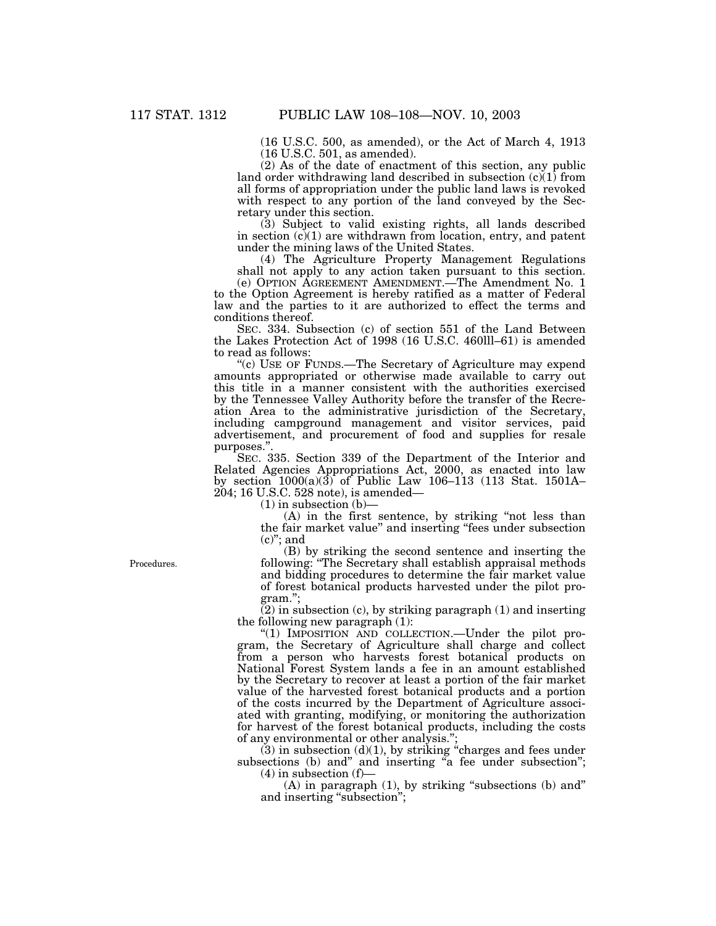(16 U.S.C. 500, as amended), or the Act of March 4, 1913 (16 U.S.C. 501, as amended).

(2) As of the date of enactment of this section, any public land order withdrawing land described in subsection  $(c)(1)$  from all forms of appropriation under the public land laws is revoked with respect to any portion of the land conveyed by the Secretary under this section.

(3) Subject to valid existing rights, all lands described in section  $(c)(1)$  are withdrawn from location, entry, and patent under the mining laws of the United States.

(4) The Agriculture Property Management Regulations shall not apply to any action taken pursuant to this section.

(e) OPTION AGREEMENT AMENDMENT.—The Amendment No. 1 to the Option Agreement is hereby ratified as a matter of Federal law and the parties to it are authorized to effect the terms and conditions thereof.

SEC. 334. Subsection (c) of section 551 of the Land Between the Lakes Protection Act of 1998 (16 U.S.C. 460lll–61) is amended to read as follows:

''(c) USE OF FUNDS.—The Secretary of Agriculture may expend amounts appropriated or otherwise made available to carry out this title in a manner consistent with the authorities exercised by the Tennessee Valley Authority before the transfer of the Recreation Area to the administrative jurisdiction of the Secretary, including campground management and visitor services, paid advertisement, and procurement of food and supplies for resale purposes.''.

SEC. 335. Section 339 of the Department of the Interior and Related Agencies Appropriations Act, 2000, as enacted into law by section 1000(a)(3) of Public Law 106–113 (113 Stat. 1501A– 204; 16 U.S.C. 528 note), is amended—

 $(1)$  in subsection  $(b)$ -

(A) in the first sentence, by striking ''not less than the fair market value'' and inserting ''fees under subsection  $(c)$ "; and

(B) by striking the second sentence and inserting the following: ''The Secretary shall establish appraisal methods and bidding procedures to determine the fair market value of forest botanical products harvested under the pilot program.'';

(2) in subsection (c), by striking paragraph (1) and inserting the following new paragraph (1):

''(1) IMPOSITION AND COLLECTION.—Under the pilot program, the Secretary of Agriculture shall charge and collect from a person who harvests forest botanical products on National Forest System lands a fee in an amount established by the Secretary to recover at least a portion of the fair market value of the harvested forest botanical products and a portion of the costs incurred by the Department of Agriculture associated with granting, modifying, or monitoring the authorization for harvest of the forest botanical products, including the costs of any environmental or other analysis.'';

 $(3)$  in subsection  $(d)(1)$ , by striking "charges and fees under subsections (b) and" and inserting "a fee under subsection";  $(4)$  in subsection  $(f)$ —

(A) in paragraph (1), by striking ''subsections (b) and'' and inserting "subsection";

Procedures.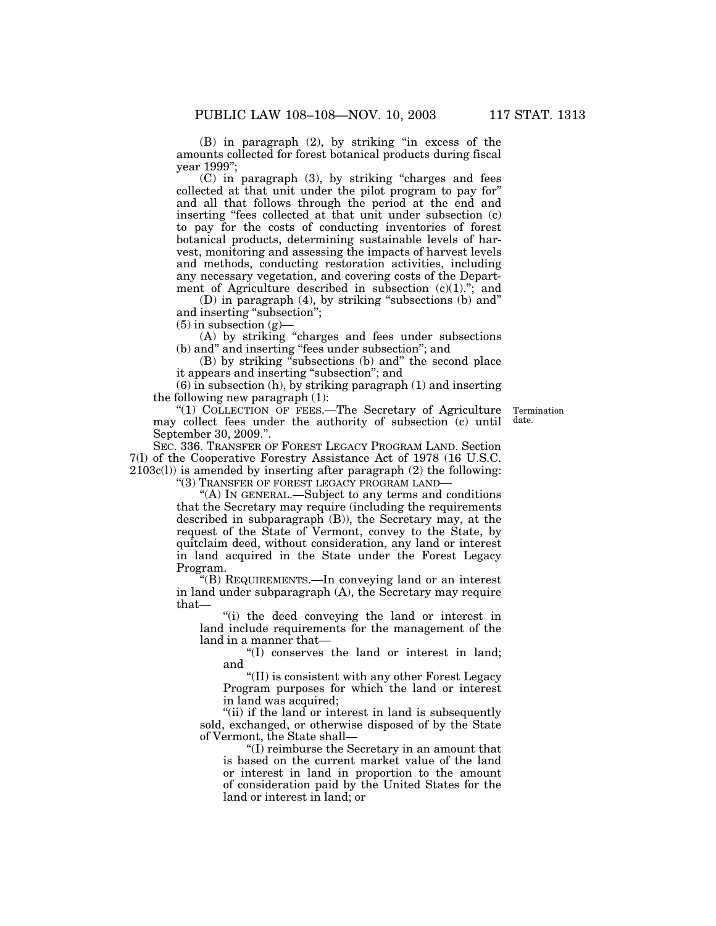(B) in paragraph (2), by striking ''in excess of the amounts collected for forest botanical products during fiscal year 1999'';

(C) in paragraph (3), by striking ''charges and fees collected at that unit under the pilot program to pay for'' and all that follows through the period at the end and inserting "fees collected at that unit under subsection (c) to pay for the costs of conducting inventories of forest botanical products, determining sustainable levels of harvest, monitoring and assessing the impacts of harvest levels and methods, conducting restoration activities, including any necessary vegetation, and covering costs of the Department of Agriculture described in subsection  $(c)(1)$ ."; and

(D) in paragraph (4), by striking ''subsections (b) and'' and inserting "subsection";

 $(5)$  in subsection  $(g)$ –

(A) by striking ''charges and fees under subsections (b) and'' and inserting ''fees under subsection''; and

(B) by striking ''subsections (b) and'' the second place it appears and inserting ''subsection''; and

(6) in subsection (h), by striking paragraph (1) and inserting the following new paragraph (1):

Termination date.

"(1) COLLECTION OF FEES.—The Secretary of Agriculture may collect fees under the authority of subsection (c) until September 30, 2009.''.

SEC. 336. TRANSFER OF FOREST LEGACY PROGRAM LAND. Section 7(l) of the Cooperative Forestry Assistance Act of 1978 (16 U.S.C.  $2103c(l)$ ) is amended by inserting after paragraph  $(2)$  the following:

''(3) TRANSFER OF FOREST LEGACY PROGRAM LAND—

''(A) IN GENERAL.—Subject to any terms and conditions that the Secretary may require (including the requirements described in subparagraph (B)), the Secretary may, at the request of the State of Vermont, convey to the State, by quitclaim deed, without consideration, any land or interest in land acquired in the State under the Forest Legacy Program.

''(B) REQUIREMENTS.—In conveying land or an interest in land under subparagraph (A), the Secretary may require that—

''(i) the deed conveying the land or interest in land include requirements for the management of the land in a manner that—

''(I) conserves the land or interest in land; and

''(II) is consistent with any other Forest Legacy Program purposes for which the land or interest in land was acquired;

"(ii) if the land or interest in land is subsequently sold, exchanged, or otherwise disposed of by the State of Vermont, the State shall—

''(I) reimburse the Secretary in an amount that is based on the current market value of the land or interest in land in proportion to the amount of consideration paid by the United States for the land or interest in land; or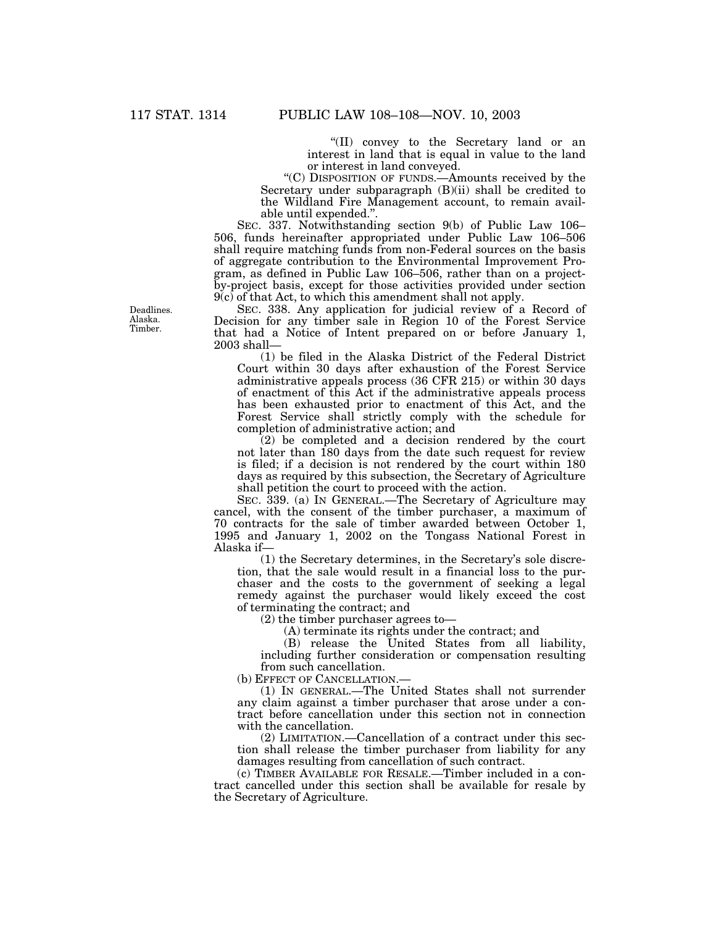''(II) convey to the Secretary land or an interest in land that is equal in value to the land or interest in land conveyed.

''(C) DISPOSITION OF FUNDS.—Amounts received by the Secretary under subparagraph (B)(ii) shall be credited to the Wildland Fire Management account, to remain available until expended.''.

SEC. 337. Notwithstanding section 9(b) of Public Law 106– 506, funds hereinafter appropriated under Public Law 106–506 shall require matching funds from non-Federal sources on the basis of aggregate contribution to the Environmental Improvement Program, as defined in Public Law 106–506, rather than on a projectby-project basis, except for those activities provided under section  $9(c)$  of that Act, to which this amendment shall not apply.

SEC. 338. Any application for judicial review of a Record of Decision for any timber sale in Region 10 of the Forest Service that had a Notice of Intent prepared on or before January 1, 2003 shall—

(1) be filed in the Alaska District of the Federal District Court within 30 days after exhaustion of the Forest Service administrative appeals process (36 CFR 215) or within 30 days of enactment of this Act if the administrative appeals process has been exhausted prior to enactment of this Act, and the Forest Service shall strictly comply with the schedule for completion of administrative action; and

(2) be completed and a decision rendered by the court not later than 180 days from the date such request for review is filed; if a decision is not rendered by the court within 180 days as required by this subsection, the Secretary of Agriculture shall petition the court to proceed with the action.

SEC. 339. (a) IN GENERAL.—The Secretary of Agriculture may cancel, with the consent of the timber purchaser, a maximum of 70 contracts for the sale of timber awarded between October 1, 1995 and January 1, 2002 on the Tongass National Forest in Alaska if—

(1) the Secretary determines, in the Secretary's sole discretion, that the sale would result in a financial loss to the purchaser and the costs to the government of seeking a legal remedy against the purchaser would likely exceed the cost of terminating the contract; and

(2) the timber purchaser agrees to—

(A) terminate its rights under the contract; and

(B) release the United States from all liability, including further consideration or compensation resulting from such cancellation.

(b) EFFECT OF CANCELLATION.—

(1) IN GENERAL.—The United States shall not surrender any claim against a timber purchaser that arose under a contract before cancellation under this section not in connection with the cancellation.

(2) LIMITATION.—Cancellation of a contract under this section shall release the timber purchaser from liability for any damages resulting from cancellation of such contract.

(c) TIMBER AVAILABLE FOR RESALE.—Timber included in a contract cancelled under this section shall be available for resale by the Secretary of Agriculture.

Deadlines. Alaska. Timber.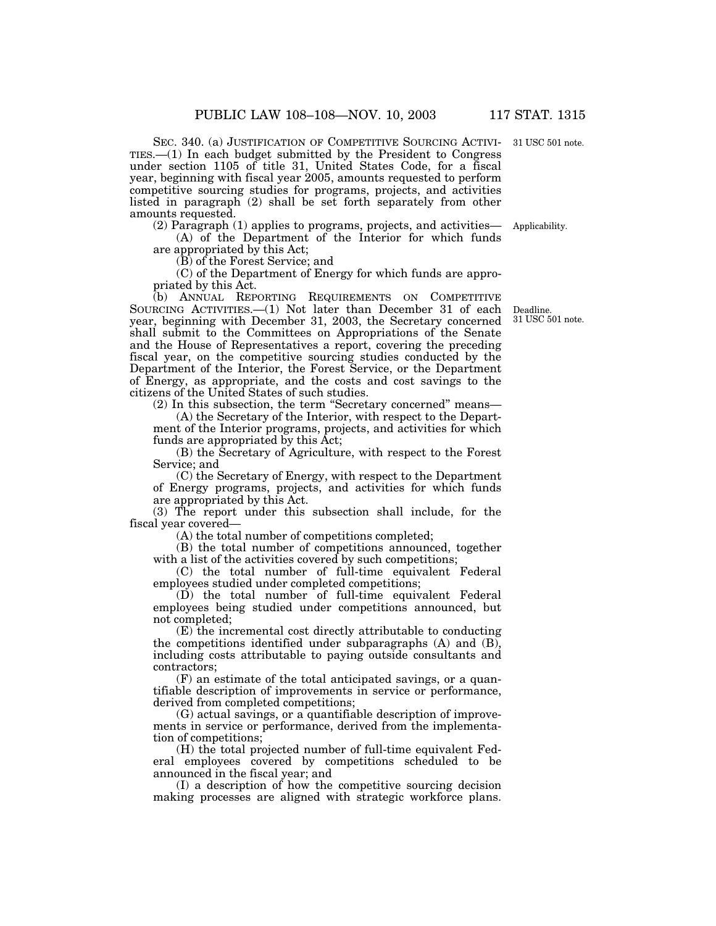SEC. 340. (a) JUSTIFICATION OF COMPETITIVE SOURCING ACTIVI-31 USC 501 note. TIES.—(1) In each budget submitted by the President to Congress under section 1105 of title 31, United States Code, for a fiscal year, beginning with fiscal year 2005, amounts requested to perform competitive sourcing studies for programs, projects, and activities listed in paragraph (2) shall be set forth separately from other amounts requested.

(2) Paragraph (1) applies to programs, projects, and activities—

(A) of the Department of the Interior for which funds are appropriated by this Act;

(B) of the Forest Service; and

(C) of the Department of Energy for which funds are appropriated by this Act.

(b) ANNUAL REPORTING REQUIREMENTS ON COMPETITIVE SOURCING ACTIVITIES.—(1) Not later than December 31 of each year, beginning with December 31, 2003, the Secretary concerned shall submit to the Committees on Appropriations of the Senate and the House of Representatives a report, covering the preceding fiscal year, on the competitive sourcing studies conducted by the Department of the Interior, the Forest Service, or the Department of Energy, as appropriate, and the costs and cost savings to the citizens of the United States of such studies.

(2) In this subsection, the term ''Secretary concerned'' means—

(A) the Secretary of the Interior, with respect to the Department of the Interior programs, projects, and activities for which funds are appropriated by this Act;

(B) the Secretary of Agriculture, with respect to the Forest Service; and

(C) the Secretary of Energy, with respect to the Department of Energy programs, projects, and activities for which funds are appropriated by this Act.

(3) The report under this subsection shall include, for the fiscal year covered—

(A) the total number of competitions completed;

(B) the total number of competitions announced, together with a list of the activities covered by such competitions;

(C) the total number of full-time equivalent Federal employees studied under completed competitions;

(D) the total number of full-time equivalent Federal employees being studied under competitions announced, but not completed;

(E) the incremental cost directly attributable to conducting the competitions identified under subparagraphs  $(A)$  and  $(B)$ , including costs attributable to paying outside consultants and contractors;

(F) an estimate of the total anticipated savings, or a quantifiable description of improvements in service or performance, derived from completed competitions;

(G) actual savings, or a quantifiable description of improvements in service or performance, derived from the implementation of competitions;

(H) the total projected number of full-time equivalent Federal employees covered by competitions scheduled to be announced in the fiscal year; and

(I) a description of how the competitive sourcing decision making processes are aligned with strategic workforce plans.

Deadline. 31 USC 501 note.

Applicability.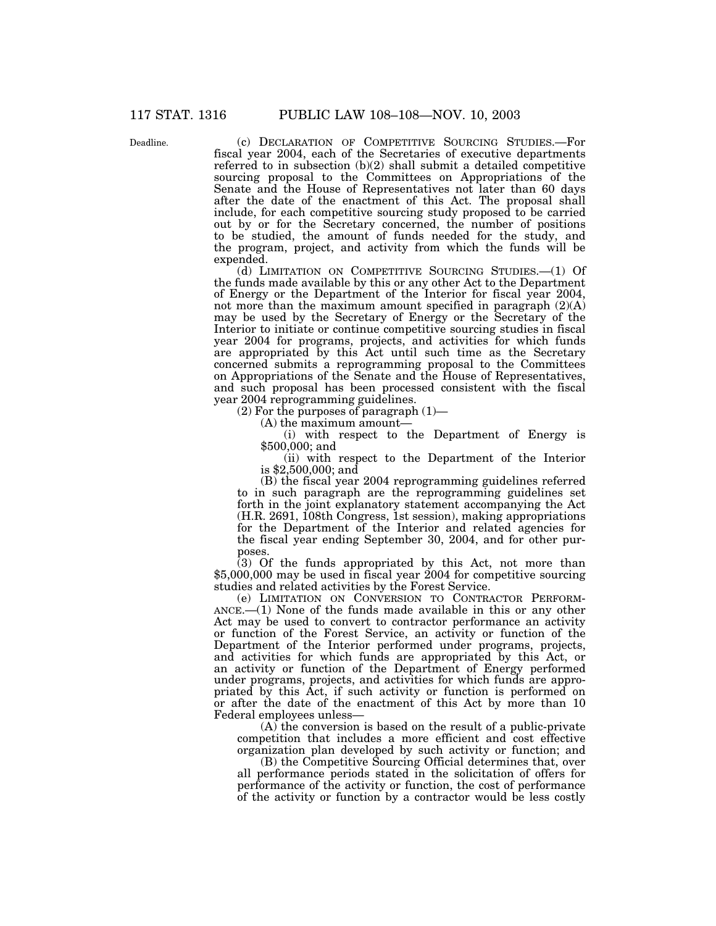Deadline.

(c) DECLARATION OF COMPETITIVE SOURCING STUDIES.—For fiscal year 2004, each of the Secretaries of executive departments referred to in subsection (b)(2) shall submit a detailed competitive sourcing proposal to the Committees on Appropriations of the Senate and the House of Representatives not later than 60 days after the date of the enactment of this Act. The proposal shall include, for each competitive sourcing study proposed to be carried out by or for the Secretary concerned, the number of positions to be studied, the amount of funds needed for the study, and the program, project, and activity from which the funds will be expended.

(d) LIMITATION ON COMPETITIVE SOURCING STUDIES.—(1) Of the funds made available by this or any other Act to the Department of Energy or the Department of the Interior for fiscal year 2004, not more than the maximum amount specified in paragraph  $(2)(A)$ may be used by the Secretary of Energy or the Secretary of the Interior to initiate or continue competitive sourcing studies in fiscal year 2004 for programs, projects, and activities for which funds are appropriated by this Act until such time as the Secretary concerned submits a reprogramming proposal to the Committees on Appropriations of the Senate and the House of Representatives, and such proposal has been processed consistent with the fiscal year 2004 reprogramming guidelines.

(2) For the purposes of paragraph  $(1)$ —

(A) the maximum amount—

(i) with respect to the Department of Energy is \$500,000; and

(ii) with respect to the Department of the Interior is \$2,500,000; and

(B) the fiscal year 2004 reprogramming guidelines referred to in such paragraph are the reprogramming guidelines set forth in the joint explanatory statement accompanying the Act (H.R. 2691, 108th Congress, 1st session), making appropriations for the Department of the Interior and related agencies for the fiscal year ending September 30, 2004, and for other purposes.

(3) Of the funds appropriated by this Act, not more than \$5,000,000 may be used in fiscal year 2004 for competitive sourcing studies and related activities by the Forest Service.

(e) LIMITATION ON CONVERSION TO CONTRACTOR PERFORM-ANCE.—(1) None of the funds made available in this or any other Act may be used to convert to contractor performance an activity or function of the Forest Service, an activity or function of the Department of the Interior performed under programs, projects, and activities for which funds are appropriated by this Act, or an activity or function of the Department of Energy performed under programs, projects, and activities for which funds are appropriated by this Act, if such activity or function is performed on or after the date of the enactment of this Act by more than 10 Federal employees unless—

(A) the conversion is based on the result of a public-private competition that includes a more efficient and cost effective organization plan developed by such activity or function; and

(B) the Competitive Sourcing Official determines that, over all performance periods stated in the solicitation of offers for performance of the activity or function, the cost of performance of the activity or function by a contractor would be less costly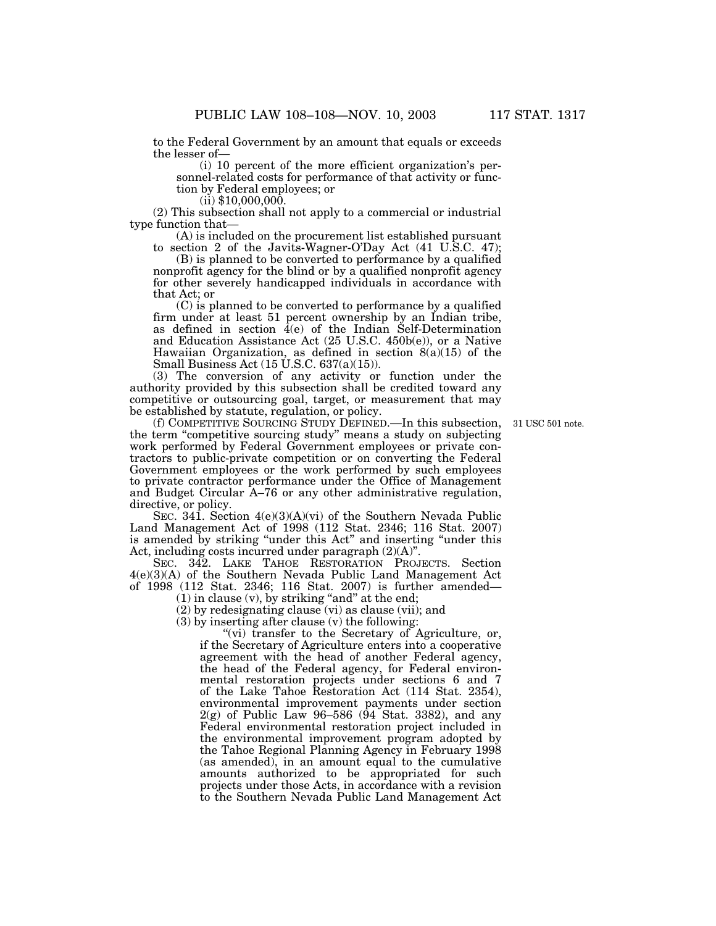to the Federal Government by an amount that equals or exceeds the lesser of—

(i) 10 percent of the more efficient organization's personnel-related costs for performance of that activity or function by Federal employees; or

 $(ii)$  \$10,000,000.

(2) This subsection shall not apply to a commercial or industrial type function that—

(A) is included on the procurement list established pursuant to section 2 of the Javits-Wagner-O'Day Act (41 U.S.C. 47);

(B) is planned to be converted to performance by a qualified nonprofit agency for the blind or by a qualified nonprofit agency for other severely handicapped individuals in accordance with that Act; or

(C) is planned to be converted to performance by a qualified firm under at least 51 percent ownership by an Indian tribe, as defined in section  $\bar{4}$ (e) of the Indian Self-Determination and Education Assistance Act (25 U.S.C. 450b(e)), or a Native Hawaiian Organization, as defined in section 8(a)(15) of the Small Business Act (15 U.S.C. 637(a)(15)).

(3) The conversion of any activity or function under the authority provided by this subsection shall be credited toward any competitive or outsourcing goal, target, or measurement that may be established by statute, regulation, or policy.

31 USC 501 note.

(f) COMPETITIVE SOURCING STUDY DEFINED.—In this subsection, the term ''competitive sourcing study'' means a study on subjecting work performed by Federal Government employees or private contractors to public-private competition or on converting the Federal Government employees or the work performed by such employees to private contractor performance under the Office of Management and Budget Circular A–76 or any other administrative regulation, directive, or policy.

SEC. 341. Section 4(e)(3)(A)(vi) of the Southern Nevada Public Land Management Act of 1998 (112 Stat. 2346; 116 Stat. 2007) is amended by striking ''under this Act'' and inserting ''under this Act, including costs incurred under paragraph (2)(A)''.

SEC. 342. LAKE TAHOE RESTORATION PROJECTS. Section 4(e)(3)(A) of the Southern Nevada Public Land Management Act of 1998 (112 Stat. 2346; 116 Stat. 2007) is further amended—

 $(1)$  in clause  $(v)$ , by striking "and" at the end;

(2) by redesignating clause (vi) as clause (vii); and

(3) by inserting after clause (v) the following:

"(vi) transfer to the Secretary of Agriculture, or, if the Secretary of Agriculture enters into a cooperative agreement with the head of another Federal agency, the head of the Federal agency, for Federal environmental restoration projects under sections 6 and 7 of the Lake Tahoe Restoration Act (114 Stat. 2354), environmental improvement payments under section 2(g) of Public Law 96–586 (94 Stat. 3382), and any Federal environmental restoration project included in the environmental improvement program adopted by the Tahoe Regional Planning Agency in February 1998 (as amended), in an amount equal to the cumulative amounts authorized to be appropriated for such projects under those Acts, in accordance with a revision to the Southern Nevada Public Land Management Act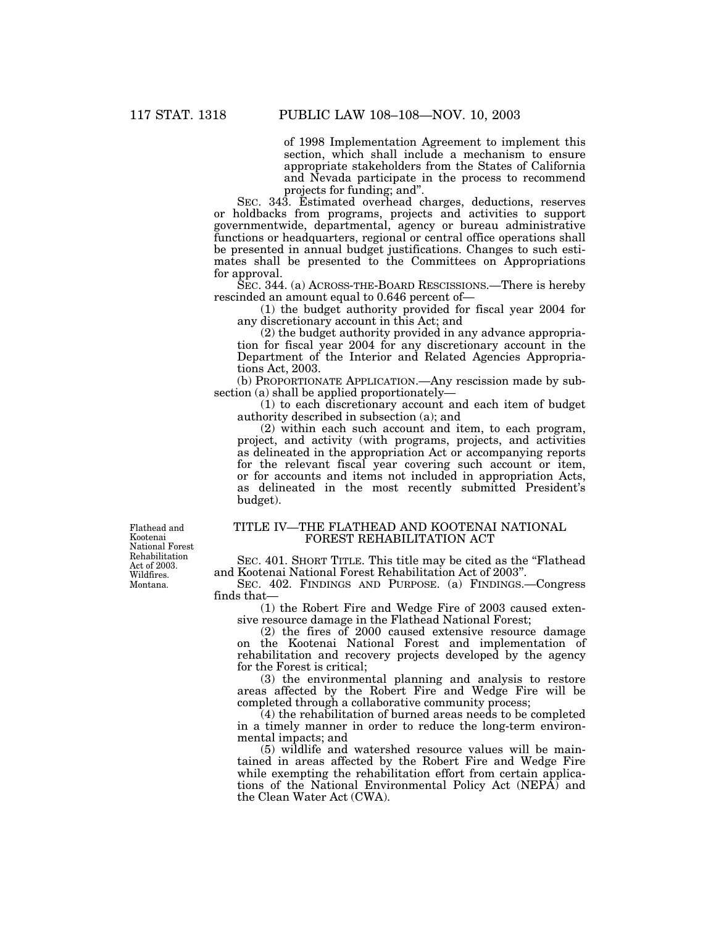of 1998 Implementation Agreement to implement this section, which shall include a mechanism to ensure appropriate stakeholders from the States of California and Nevada participate in the process to recommend projects for funding; and''.

SEC. 343. Estimated overhead charges, deductions, reserves or holdbacks from programs, projects and activities to support governmentwide, departmental, agency or bureau administrative functions or headquarters, regional or central office operations shall be presented in annual budget justifications. Changes to such estimates shall be presented to the Committees on Appropriations for approval.

SEC. 344. (a) ACROSS-THE-BOARD RESCISSIONS.—There is hereby rescinded an amount equal to 0.646 percent of—

(1) the budget authority provided for fiscal year 2004 for any discretionary account in this Act; and

(2) the budget authority provided in any advance appropriation for fiscal year 2004 for any discretionary account in the Department of the Interior and Related Agencies Appropriations Act, 2003.

(b) PROPORTIONATE APPLICATION.—Any rescission made by subsection (a) shall be applied proportionately—

(1) to each discretionary account and each item of budget authority described in subsection (a); and

(2) within each such account and item, to each program, project, and activity (with programs, projects, and activities as delineated in the appropriation Act or accompanying reports for the relevant fiscal year covering such account or item, or for accounts and items not included in appropriation Acts, as delineated in the most recently submitted President's budget).

Flathead and Kootenai National Forest Rehabilitation Act of 2003. Wildfires. Montana.

## TITLE IV—THE FLATHEAD AND KOOTENAI NATIONAL FOREST REHABILITATION ACT

SEC. 401. SHORT TITLE. This title may be cited as the "Flathead" and Kootenai National Forest Rehabilitation Act of 2003''.

SEC. 402. FINDINGS AND PURPOSE. (a) FINDINGS.—Congress finds that—

(1) the Robert Fire and Wedge Fire of 2003 caused extensive resource damage in the Flathead National Forest;

(2) the fires of 2000 caused extensive resource damage on the Kootenai National Forest and implementation of rehabilitation and recovery projects developed by the agency for the Forest is critical;

(3) the environmental planning and analysis to restore areas affected by the Robert Fire and Wedge Fire will be completed through a collaborative community process;

(4) the rehabilitation of burned areas needs to be completed in a timely manner in order to reduce the long-term environmental impacts; and

(5) wildlife and watershed resource values will be maintained in areas affected by the Robert Fire and Wedge Fire while exempting the rehabilitation effort from certain applications of the National Environmental Policy Act (NEPA) and the Clean Water Act (CWA).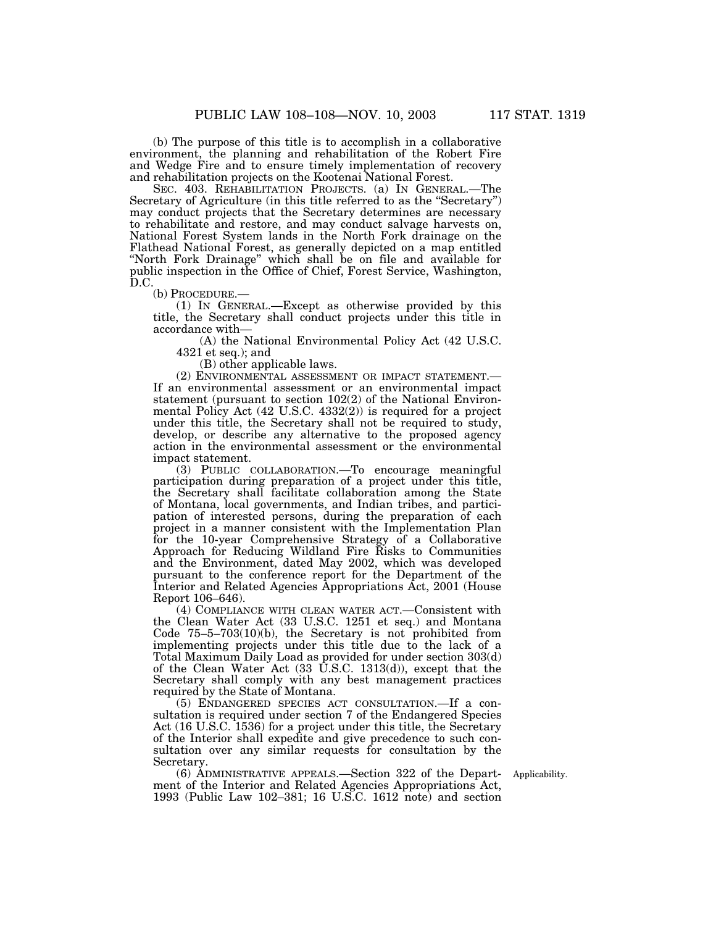(b) The purpose of this title is to accomplish in a collaborative environment, the planning and rehabilitation of the Robert Fire and Wedge Fire and to ensure timely implementation of recovery and rehabilitation projects on the Kootenai National Forest.

SEC. 403. REHABILITATION PROJECTS. (a) IN GENERAL.—The Secretary of Agriculture (in this title referred to as the "Secretary") may conduct projects that the Secretary determines are necessary to rehabilitate and restore, and may conduct salvage harvests on, National Forest System lands in the North Fork drainage on the Flathead National Forest, as generally depicted on a map entitled ''North Fork Drainage'' which shall be on file and available for public inspection in the Office of Chief, Forest Service, Washington, D.C.<br>(b) Procedure.—

 $(1)$  In GENERAL.—Except as otherwise provided by this title, the Secretary shall conduct projects under this title in accordance with—

(A) the National Environmental Policy Act (42 U.S.C. 4321 et seq.); and

(B) other applicable laws.

(2) ENVIRONMENTAL ASSESSMENT OR IMPACT STATEMENT.— If an environmental assessment or an environmental impact statement (pursuant to section 102(2) of the National Environmental Policy Act (42 U.S.C. 4332(2)) is required for a project under this title, the Secretary shall not be required to study, develop, or describe any alternative to the proposed agency action in the environmental assessment or the environmental impact statement.

(3) PUBLIC COLLABORATION.—To encourage meaningful participation during preparation of a project under this title, the Secretary shall facilitate collaboration among the State of Montana, local governments, and Indian tribes, and participation of interested persons, during the preparation of each project in a manner consistent with the Implementation Plan for the 10-year Comprehensive Strategy of a Collaborative Approach for Reducing Wildland Fire Risks to Communities and the Environment, dated May 2002, which was developed pursuant to the conference report for the Department of the Interior and Related Agencies Appropriations Act, 2001 (House Report 106–646).

(4) COMPLIANCE WITH CLEAN WATER ACT.—Consistent with the Clean Water Act (33 U.S.C. 1251 et seq.) and Montana Code 75–5–703(10)(b), the Secretary is not prohibited from implementing projects under this title due to the lack of a Total Maximum Daily Load as provided for under section 303(d) of the Clean Water Act (33 U.S.C. 1313(d)), except that the Secretary shall comply with any best management practices required by the State of Montana.

(5) ENDANGERED SPECIES ACT CONSULTATION.—If a consultation is required under section 7 of the Endangered Species Act (16 U.S.C. 1536) for a project under this title, the Secretary of the Interior shall expedite and give precedence to such consultation over any similar requests for consultation by the Secretary.

(6) ADMINISTRATIVE APPEALS.—Section 322 of the Department of the Interior and Related Agencies Appropriations Act, 1993 (Public Law 102–381; 16 U.S.C. 1612 note) and section

Applicability.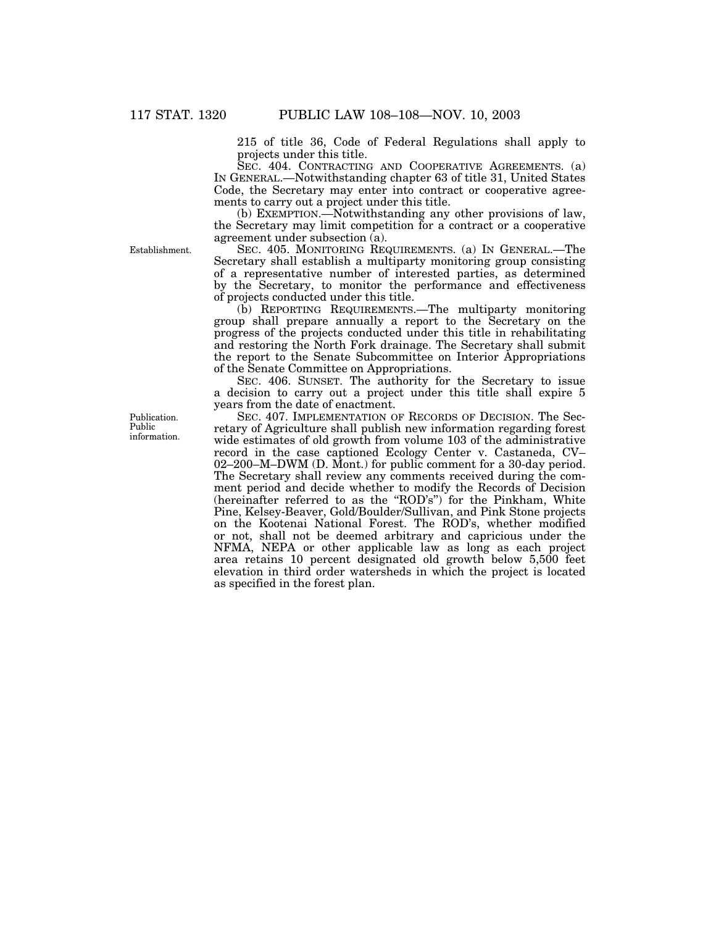215 of title 36, Code of Federal Regulations shall apply to projects under this title.

SEC. 404. CONTRACTING AND COOPERATIVE AGREEMENTS. (a) IN GENERAL.—Notwithstanding chapter 63 of title 31, United States Code, the Secretary may enter into contract or cooperative agreements to carry out a project under this title.

(b) EXEMPTION.—Notwithstanding any other provisions of law, the Secretary may limit competition for a contract or a cooperative agreement under subsection (a).

SEC. 405. MONITORING REQUIREMENTS. (a) IN GENERAL.—The Secretary shall establish a multiparty monitoring group consisting of a representative number of interested parties, as determined by the Secretary, to monitor the performance and effectiveness of projects conducted under this title.

(b) REPORTING REQUIREMENTS.—The multiparty monitoring group shall prepare annually a report to the Secretary on the progress of the projects conducted under this title in rehabilitating and restoring the North Fork drainage. The Secretary shall submit the report to the Senate Subcommittee on Interior Appropriations of the Senate Committee on Appropriations.

SEC. 406. SUNSET. The authority for the Secretary to issue a decision to carry out a project under this title shall expire 5 years from the date of enactment.

SEC. 407. IMPLEMENTATION OF RECORDS OF DECISION. The Secretary of Agriculture shall publish new information regarding forest wide estimates of old growth from volume 103 of the administrative record in the case captioned Ecology Center v. Castaneda, CV– 02–200–M–DWM (D. Mont.) for public comment for a 30-day period. The Secretary shall review any comments received during the comment period and decide whether to modify the Records of Decision (hereinafter referred to as the ''ROD's'') for the Pinkham, White Pine, Kelsey-Beaver, Gold/Boulder/Sullivan, and Pink Stone projects on the Kootenai National Forest. The ROD's, whether modified or not, shall not be deemed arbitrary and capricious under the NFMA, NEPA or other applicable law as long as each project area retains 10 percent designated old growth below 5,500 feet elevation in third order watersheds in which the project is located as specified in the forest plan.

Establishment.

Publication. Public information.